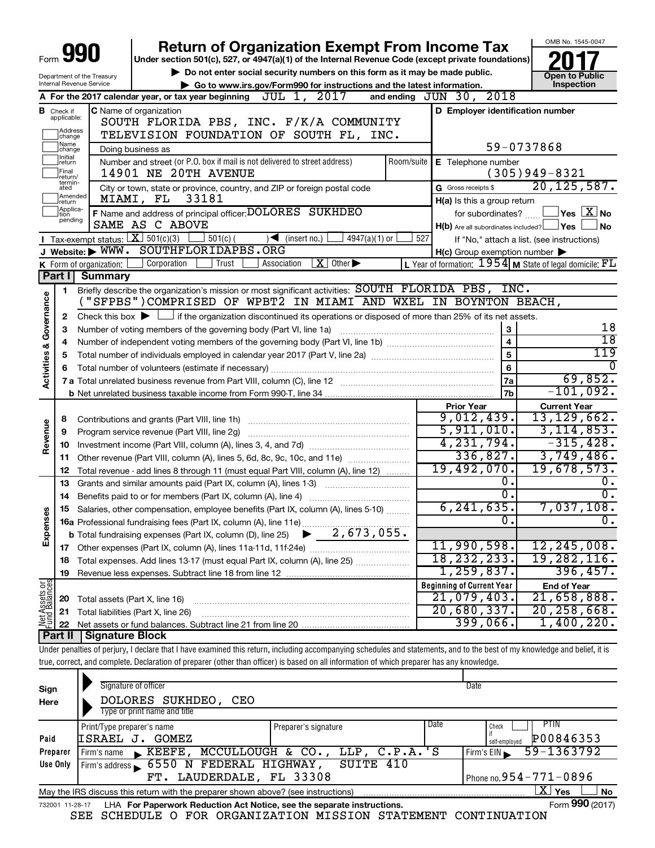|                                |                               |                                    | <b>Return of Organization Exempt From Income Tax</b>                                                                                                                       |            |                                                     | OMB No. 1545-0047                                           |
|--------------------------------|-------------------------------|------------------------------------|----------------------------------------------------------------------------------------------------------------------------------------------------------------------------|------------|-----------------------------------------------------|-------------------------------------------------------------|
|                                |                               |                                    | Under section 501(c), 527, or 4947(a)(1) of the Internal Revenue Code (except private foundations)                                                                         |            |                                                     |                                                             |
| Department of the Treasury     |                               |                                    | Do not enter social security numbers on this form as it may be made public.                                                                                                |            |                                                     | <b>Open to Public</b>                                       |
|                                |                               | Internal Revenue Service           | Go to www.irs.gov/Form990 for instructions and the latest information.                                                                                                     |            |                                                     | Inspection                                                  |
|                                |                               |                                    | A For the 2017 calendar year, or tax year beginning $JUL$ $1, 2017$                                                                                                        |            | and ending JUN 30, 2018                             |                                                             |
|                                | <b>B</b> Check if applicable: |                                    | C Name of organization<br>SOUTH FLORIDA PBS, INC. F/K/A COMMUNITY                                                                                                          |            | D Employer identification number                    |                                                             |
|                                | Address                       |                                    | TELEVISION FOUNDATION OF SOUTH FL, INC.                                                                                                                                    |            |                                                     |                                                             |
|                                | change<br>Name                |                                    |                                                                                                                                                                            |            |                                                     | 59-0737868                                                  |
|                                | change<br>Initial             |                                    | Doing business as<br>Number and street (or P.O. box if mail is not delivered to street address)                                                                            | Room/suite | E Telephone number                                  |                                                             |
|                                | return<br>Final               |                                    | 14901 NE 20TH AVENUE                                                                                                                                                       |            |                                                     | $(305)949 - 8321$                                           |
|                                | return/<br>termin-<br>ated    |                                    | City or town, state or province, country, and ZIP or foreign postal code                                                                                                   |            | G Gross receipts \$                                 | 20, 125, 587.                                               |
|                                | Amended<br>return             |                                    | 33181<br>MIAMI, FL                                                                                                                                                         |            | H(a) Is this a group return                         |                                                             |
|                                | Applica-<br>Ition             |                                    | F Name and address of principal officer: DOLORES SUKHDEO                                                                                                                   |            | for subordinates?                                   | $\sqrt{}$ Yes $\sqrt{ \ \ }$ No                             |
|                                | pending                       |                                    | SAME AS C ABOVE                                                                                                                                                            |            | $H(b)$ Are all subordinates included? $\Box$ Yes    | No                                                          |
|                                |                               | Tax-exempt status: $X \ 501(c)(3)$ | $501(c)$ (<br>$\sqrt{\frac{1}{1}}$ (insert no.)<br>$4947(a)(1)$ or                                                                                                         | 527        |                                                     | If "No," attach a list. (see instructions)                  |
|                                |                               |                                    | Website: WWW. SOUTHFLORIDAPBS.ORG                                                                                                                                          |            | $H(c)$ Group exemption number $\blacktriangleright$ |                                                             |
|                                |                               | K Form of organization:            | $X \mid$ Other $\blacktriangleright$<br>Corporation<br>Trust<br>Association                                                                                                |            |                                                     | L Year of formation: $1954$ M State of legal domicile: $FL$ |
|                                | Part I                        | <b>Summary</b>                     |                                                                                                                                                                            |            |                                                     |                                                             |
|                                | 1.                            |                                    | Briefly describe the organization's mission or most significant activities: SOUTH FLORIDA PBS, INC.                                                                        |            |                                                     |                                                             |
|                                |                               |                                    | "SFPBS")COMPRISED OF WPBT2 IN MIAMI AND WXEL IN BOYNTON BEACH,                                                                                                             |            |                                                     |                                                             |
|                                | 2                             |                                    | Check this box $\blacktriangleright$ $\Box$ if the organization discontinued its operations or disposed of more than 25% of its net assets.                                |            |                                                     |                                                             |
|                                | З                             |                                    | Number of voting members of the governing body (Part VI, line 1a)                                                                                                          |            | 3                                                   | 18                                                          |
|                                | 4                             |                                    |                                                                                                                                                                            |            | $\overline{\mathbf{4}}$                             | $\overline{18}$                                             |
| Activities & Governance        | 5                             |                                    |                                                                                                                                                                            |            | $\overline{5}$                                      | 119                                                         |
|                                | 6                             |                                    |                                                                                                                                                                            |            | $6\phantom{a}$                                      |                                                             |
|                                |                               |                                    |                                                                                                                                                                            |            | 7a                                                  | 69,852.                                                     |
|                                |                               |                                    |                                                                                                                                                                            |            | 7b                                                  | $-101,092.$                                                 |
|                                |                               |                                    |                                                                                                                                                                            |            | <b>Prior Year</b><br>9,012,439.                     | <b>Current Year</b><br>13, 129, 662.                        |
|                                | 8                             |                                    |                                                                                                                                                                            |            | 5,911,010.                                          | 3, 114, 853.                                                |
| Revenue                        | 9                             |                                    | Program service revenue (Part VIII, line 2g)                                                                                                                               |            | 4,231,794.                                          | $-315,428.$                                                 |
|                                | 10                            |                                    |                                                                                                                                                                            |            | 336,827.                                            | 3,749,486.                                                  |
|                                | 11                            |                                    | Other revenue (Part VIII, column (A), lines 5, 6d, 8c, 9c, 10c, and 11e)                                                                                                   |            | 19,492,070.                                         | 19,678,573.                                                 |
|                                | 12<br>13                      |                                    | Total revenue - add lines 8 through 11 (must equal Part VIII, column (A), line 12)<br>Grants and similar amounts paid (Part IX, column (A), lines 1-3)                     |            | Ο.                                                  | 0.                                                          |
|                                | 14                            |                                    | Benefits paid to or for members (Part IX, column (A), line 4)                                                                                                              |            | σ.                                                  | σ.                                                          |
|                                |                               |                                    | 15 Salaries, other compensation, employee benefits (Part IX, column (A), lines 5-10)                                                                                       |            | 6, 241, 635.                                        | 7,037,108.                                                  |
| Expenses                       |                               |                                    |                                                                                                                                                                            |            | 0.                                                  | 0.                                                          |
|                                |                               |                                    |                                                                                                                                                                            |            |                                                     |                                                             |
|                                | 17                            |                                    |                                                                                                                                                                            |            | 11,990,598.                                         | 12, 245, 008.                                               |
|                                | 18                            |                                    | Total expenses. Add lines 13-17 (must equal Part IX, column (A), line 25)                                                                                                  |            | 18, 232, 233.                                       | 19, 282, 116.                                               |
|                                | 19                            |                                    |                                                                                                                                                                            |            | 1,259,837.                                          | 396,457.                                                    |
|                                |                               |                                    |                                                                                                                                                                            |            | <b>Beginning of Current Year</b>                    | <b>End of Year</b>                                          |
| Net Assets or<br>Fund Balances | 20                            | Total assets (Part X, line 16)     |                                                                                                                                                                            |            | 21,079,403.                                         | 21,658,888.                                                 |
|                                | 21                            |                                    | Total liabilities (Part X, line 26)                                                                                                                                        |            | 20,680,337.                                         | 20, 258, 668.                                               |
|                                | 22                            |                                    |                                                                                                                                                                            |            | 399,066.                                            | 1,400,220.                                                  |
|                                | Part II                       | <b>Signature Block</b>             |                                                                                                                                                                            |            |                                                     |                                                             |
|                                |                               |                                    | Under penalties of perjury, I declare that I have examined this return, including accompanying schedules and statements, and to the best of my knowledge and belief, it is |            |                                                     |                                                             |
|                                |                               |                                    | true, correct, and complete. Declaration of preparer (other than officer) is based on all information of which preparer has any knowledge.                                 |            |                                                     |                                                             |

| Sign     | Signature of officer                                                                                         |                                 | Date |                               |  |
|----------|--------------------------------------------------------------------------------------------------------------|---------------------------------|------|-------------------------------|--|
| Here     | DOLORES SUKHDEO,<br>CEO                                                                                      |                                 |      |                               |  |
|          | Type or print name and title                                                                                 |                                 |      |                               |  |
|          | Print/Type preparer's name                                                                                   | Preparer's signature            | Date | PTIN<br>Check                 |  |
| Paid     | ISRAEL J.<br>GOMEZ                                                                                           |                                 |      | P00846353<br>self-emploved    |  |
| Preparer | Firm's name $\blacktriangleright$ <b>KEEFE</b> ,                                                             | MCCULLOUGH & CO., LLP, C.P.A.'S |      | 59-1363792<br>Firm's EIN      |  |
| Use Only | Firm's address 6550 N FEDERAL HIGHWAY,                                                                       | SUITE 410                       |      |                               |  |
|          | FT. LAUDERDALE, FL 33308                                                                                     |                                 |      | Phone no. $954 - 771 - 0896$  |  |
|          | May the IRS discuss this return with the preparer shown above? (see instructions)                            |                                 |      | $\mathbf{X}$ Yes<br><b>No</b> |  |
|          | Form 990 (2017)<br>LHA For Paperwork Reduction Act Notice, see the separate instructions.<br>732001 11-28-17 |                                 |      |                               |  |
|          | COUFDIILE O FOR ORGANIZATION MICCION CTATEMENT<br><b>CPP</b>                                                 |                                 |      | CONTTNIIATION                 |  |

SEE SCHEDULE O FOR ORGANIZATION MISSION STATEMENT CONTINUATION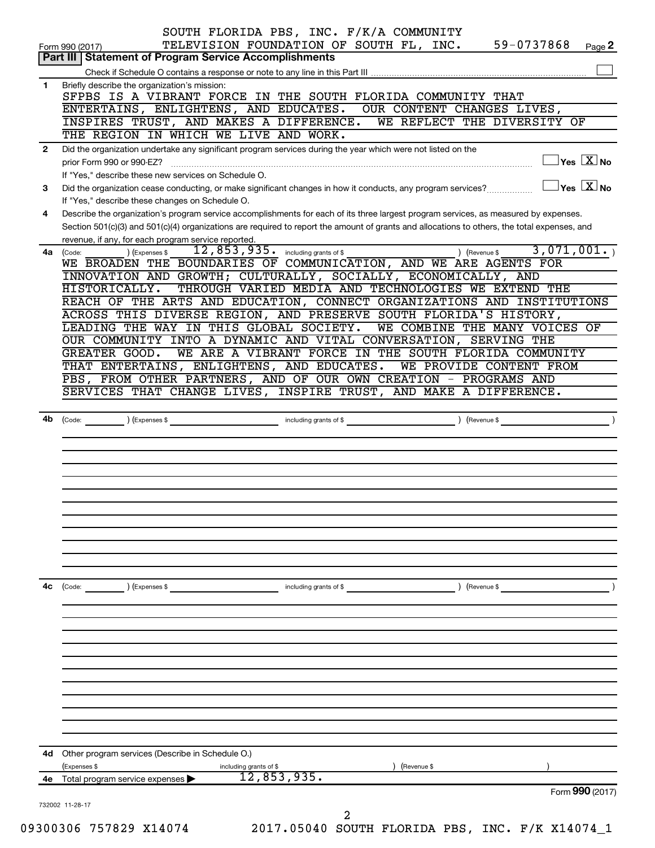|              | SOUTH FLORIDA PBS, INC. F/K/A COMMUNITY<br>59-0737868<br>TELEVISION FOUNDATION OF SOUTH FL, INC.<br>Page 2<br>Form 990 (2017)                                                                                                                                                        |
|--------------|--------------------------------------------------------------------------------------------------------------------------------------------------------------------------------------------------------------------------------------------------------------------------------------|
|              | <b>Part III   Statement of Program Service Accomplishments</b>                                                                                                                                                                                                                       |
| 1            | Briefly describe the organization's mission:                                                                                                                                                                                                                                         |
|              | SFPBS IS A VIBRANT FORCE IN THE SOUTH FLORIDA COMMUNITY THAT                                                                                                                                                                                                                         |
|              | ENTERTAINS, ENLIGHTENS, AND EDUCATES.<br>OUR CONTENT CHANGES LIVES,                                                                                                                                                                                                                  |
|              | WE REFLECT THE DIVERSITY OF<br>INSPIRES TRUST, AND MAKES A DIFFERENCE.                                                                                                                                                                                                               |
|              | THE REGION IN WHICH WE LIVE AND WORK.                                                                                                                                                                                                                                                |
| $\mathbf{2}$ | Did the organization undertake any significant program services during the year which were not listed on the<br>$\overline{\ }$ Yes $\overline{\rm X}$ No<br>prior Form 990 or 990-EZ?                                                                                               |
| 3            | If "Yes," describe these new services on Schedule O.<br>$\overline{\ }$ Yes $\overline{\phantom{a}X}$ No<br>Did the organization cease conducting, or make significant changes in how it conducts, any program services?                                                             |
|              | If "Yes," describe these changes on Schedule O.                                                                                                                                                                                                                                      |
| 4            | Describe the organization's program service accomplishments for each of its three largest program services, as measured by expenses.<br>Section 501(c)(3) and 501(c)(4) organizations are required to report the amount of grants and allocations to others, the total expenses, and |
|              | revenue, if any, for each program service reported.<br>3,071,001.<br>$\overline{12}$ , $\overline{853}$ , $\overline{935}$ . including grants of \$<br>) (Revenue \$<br>) (Expenses \$<br>4a (Code:                                                                                  |
|              | WE BROADEN THE BOUNDARIES OF COMMUNICATION, AND WE ARE AGENTS FOR                                                                                                                                                                                                                    |
|              | INNOVATION AND GROWTH; CULTURALLY, SOCIALLY, ECONOMICALLY, AND                                                                                                                                                                                                                       |
|              | THROUGH VARIED MEDIA AND TECHNOLOGIES WE EXTEND THE<br>HISTORICALLY.                                                                                                                                                                                                                 |
|              | REACH OF THE ARTS AND EDUCATION, CONNECT ORGANIZATIONS AND INSTITUTIONS                                                                                                                                                                                                              |
|              | ACROSS THIS DIVERSE REGION, AND PRESERVE SOUTH FLORIDA'S HISTORY,                                                                                                                                                                                                                    |
|              | LEADING THE WAY IN THIS GLOBAL SOCIETY.<br>WE COMBINE THE MANY VOICES OF                                                                                                                                                                                                             |
|              | OUR COMMUNITY INTO A DYNAMIC AND VITAL CONVERSATION, SERVING THE<br>WE ARE A VIBRANT FORCE IN THE SOUTH FLORIDA COMMUNITY<br>GREATER GOOD.                                                                                                                                           |
|              | THAT ENTERTAINS, ENLIGHTENS, AND EDUCATES.<br>WE PROVIDE CONTENT FROM                                                                                                                                                                                                                |
|              | PBS, FROM OTHER PARTNERS, AND OF OUR OWN CREATION - PROGRAMS AND                                                                                                                                                                                                                     |
|              | SERVICES THAT CHANGE LIVES, INSPIRE TRUST, AND MAKE A DIFFERENCE.                                                                                                                                                                                                                    |
|              |                                                                                                                                                                                                                                                                                      |
| 4b           | (Code: <u>Code:</u> etc. Code: etc. Code: etc. Code: etc. Code: etc. Code: etc. Code: etc. Code: etc. Code: etc. Code: etc. Code: etc. Code: etc. Code: etc. Code: etc. Code: etc. Code: etc. Code: etc. Code: etc. Code: etc. Code                                                  |
|              |                                                                                                                                                                                                                                                                                      |
|              |                                                                                                                                                                                                                                                                                      |
|              |                                                                                                                                                                                                                                                                                      |
|              |                                                                                                                                                                                                                                                                                      |
|              |                                                                                                                                                                                                                                                                                      |
|              |                                                                                                                                                                                                                                                                                      |
|              |                                                                                                                                                                                                                                                                                      |
|              |                                                                                                                                                                                                                                                                                      |
| 4с           | ) (Revenue \$<br>$\left(\text{Code:} \right)$ $\left(\text{Expenses $}\right)$<br>including grants of \$                                                                                                                                                                             |
|              |                                                                                                                                                                                                                                                                                      |
|              |                                                                                                                                                                                                                                                                                      |
|              |                                                                                                                                                                                                                                                                                      |
|              |                                                                                                                                                                                                                                                                                      |
|              |                                                                                                                                                                                                                                                                                      |
|              |                                                                                                                                                                                                                                                                                      |
|              |                                                                                                                                                                                                                                                                                      |
|              |                                                                                                                                                                                                                                                                                      |
|              | 4d Other program services (Describe in Schedule O.)<br>(Expenses \$<br>(Revenue \$<br>including grants of \$                                                                                                                                                                         |
|              |                                                                                                                                                                                                                                                                                      |
| 4е           | 12,853,935.<br>Total program service expenses<br>Form 990 (2017)                                                                                                                                                                                                                     |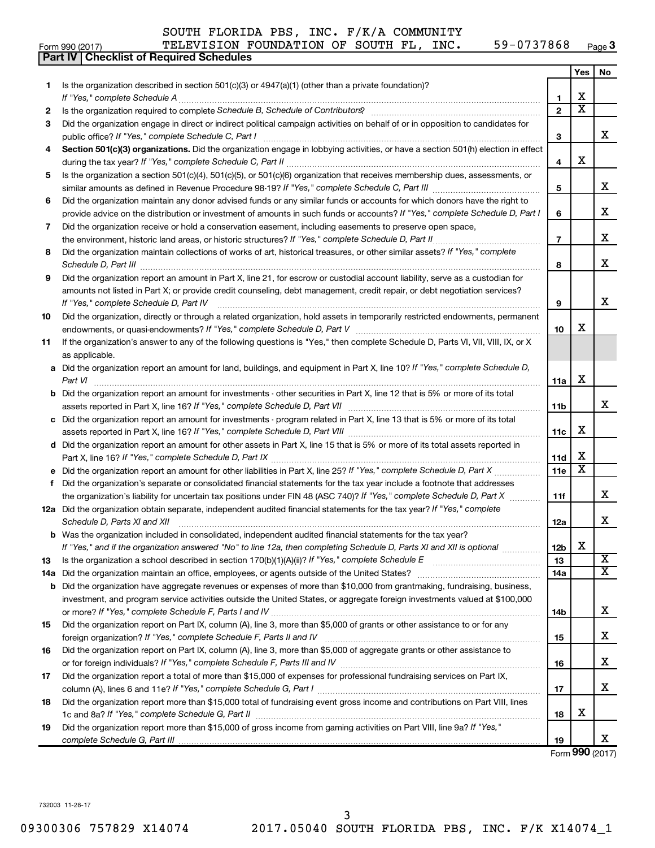**Part IV Checklist of Required Schedules**

#### Form 990 (2017) **PICH TELEVISION FOUNDATION OF SOUTH FL, INC.** 59-0737868  $P_{\text{age}}$ **3**

|     |                                                                                                                                          |                 | Yes                     | No                                  |
|-----|------------------------------------------------------------------------------------------------------------------------------------------|-----------------|-------------------------|-------------------------------------|
| 1   | Is the organization described in section $501(c)(3)$ or $4947(a)(1)$ (other than a private foundation)?                                  |                 |                         |                                     |
|     |                                                                                                                                          | 1               | х                       |                                     |
| 2   |                                                                                                                                          | $\mathbf{2}$    | $\overline{\text{x}}$   |                                     |
| 3   | Did the organization engage in direct or indirect political campaign activities on behalf of or in opposition to candidates for          | 3               |                         | x                                   |
| 4   | Section 501(c)(3) organizations. Did the organization engage in lobbying activities, or have a section 501(h) election in effect         | 4               | х                       |                                     |
| 5   | Is the organization a section 501(c)(4), 501(c)(5), or 501(c)(6) organization that receives membership dues, assessments, or             |                 |                         |                                     |
|     |                                                                                                                                          | 5               |                         | x                                   |
| 6   | Did the organization maintain any donor advised funds or any similar funds or accounts for which donors have the right to                |                 |                         |                                     |
|     | provide advice on the distribution or investment of amounts in such funds or accounts? If "Yes," complete Schedule D, Part I             | 6               |                         | x                                   |
| 7   | Did the organization receive or hold a conservation easement, including easements to preserve open space,                                |                 |                         |                                     |
|     |                                                                                                                                          | $\overline{7}$  |                         | x                                   |
| 8   | Did the organization maintain collections of works of art, historical treasures, or other similar assets? If "Yes," complete             | 8               |                         | x                                   |
| 9   | Did the organization report an amount in Part X, line 21, for escrow or custodial account liability, serve as a custodian for            |                 |                         |                                     |
|     | amounts not listed in Part X; or provide credit counseling, debt management, credit repair, or debt negotiation services?                |                 |                         |                                     |
|     |                                                                                                                                          | 9               |                         | x                                   |
| 10  | Did the organization, directly or through a related organization, hold assets in temporarily restricted endowments, permanent            | 10              | x                       |                                     |
| 11  | If the organization's answer to any of the following questions is "Yes," then complete Schedule D, Parts VI, VII, VIII, IX, or X         |                 |                         |                                     |
|     | as applicable.                                                                                                                           |                 |                         |                                     |
|     | a Did the organization report an amount for land, buildings, and equipment in Part X, line 10? If "Yes," complete Schedule D,<br>Part VI | 11a             | X                       |                                     |
|     | <b>b</b> Did the organization report an amount for investments - other securities in Part X, line 12 that is 5% or more of its total     |                 |                         |                                     |
|     |                                                                                                                                          | 11b             |                         | x                                   |
|     | c Did the organization report an amount for investments - program related in Part X, line 13 that is 5% or more of its total             |                 |                         |                                     |
|     |                                                                                                                                          | 11c             | х                       |                                     |
|     | d Did the organization report an amount for other assets in Part X, line 15 that is 5% or more of its total assets reported in           |                 | х                       |                                     |
|     |                                                                                                                                          | 11d             | $\overline{\textbf{x}}$ |                                     |
| f   | Did the organization's separate or consolidated financial statements for the tax year include a footnote that addresses                  | 11 <sub>e</sub> |                         |                                     |
|     | the organization's liability for uncertain tax positions under FIN 48 (ASC 740)? If "Yes," complete Schedule D, Part X                   | 11f             |                         | x                                   |
|     | 12a Did the organization obtain separate, independent audited financial statements for the tax year? If "Yes," complete                  |                 |                         |                                     |
|     | Schedule D, Parts XI and XII                                                                                                             | 12a             |                         | x                                   |
|     | <b>b</b> Was the organization included in consolidated, independent audited financial statements for the tax year?                       |                 |                         |                                     |
|     | If "Yes," and if the organization answered "No" to line 12a, then completing Schedule D, Parts XI and XII is optional                    | 12b             | X                       |                                     |
| 13  | Is the organization a school described in section $170(b)(1)(A)(ii)?$ If "Yes," complete Schedule E                                      | 13              |                         | $\overline{\text{X}}$               |
| 14a | Did the organization maintain an office, employees, or agents outside of the United States?                                              | 14a             |                         | $\overline{\mathtt{x}}$             |
| b   | Did the organization have aggregate revenues or expenses of more than \$10,000 from grantmaking, fundraising, business,                  |                 |                         |                                     |
|     | investment, and program service activities outside the United States, or aggregate foreign investments valued at \$100,000               | 14b             |                         | x.                                  |
| 15  | Did the organization report on Part IX, column (A), line 3, more than \$5,000 of grants or other assistance to or for any                |                 |                         |                                     |
|     |                                                                                                                                          | 15              |                         | x                                   |
| 16  | Did the organization report on Part IX, column (A), line 3, more than \$5,000 of aggregate grants or other assistance to                 | 16              |                         | x                                   |
| 17  | Did the organization report a total of more than \$15,000 of expenses for professional fundraising services on Part IX,                  |                 |                         |                                     |
|     |                                                                                                                                          | 17              |                         | x                                   |
| 18  | Did the organization report more than \$15,000 total of fundraising event gross income and contributions on Part VIII, lines             | 18              | х                       |                                     |
| 19  | Did the organization report more than \$15,000 of gross income from gaming activities on Part VIII, line 9a? If "Yes,"                   | 19              |                         | x.                                  |
|     |                                                                                                                                          |                 |                         | $F_{\text{arm}}$ QQ $\Omega$ (2017) |

Form (2017) **990**

732003 11-28-17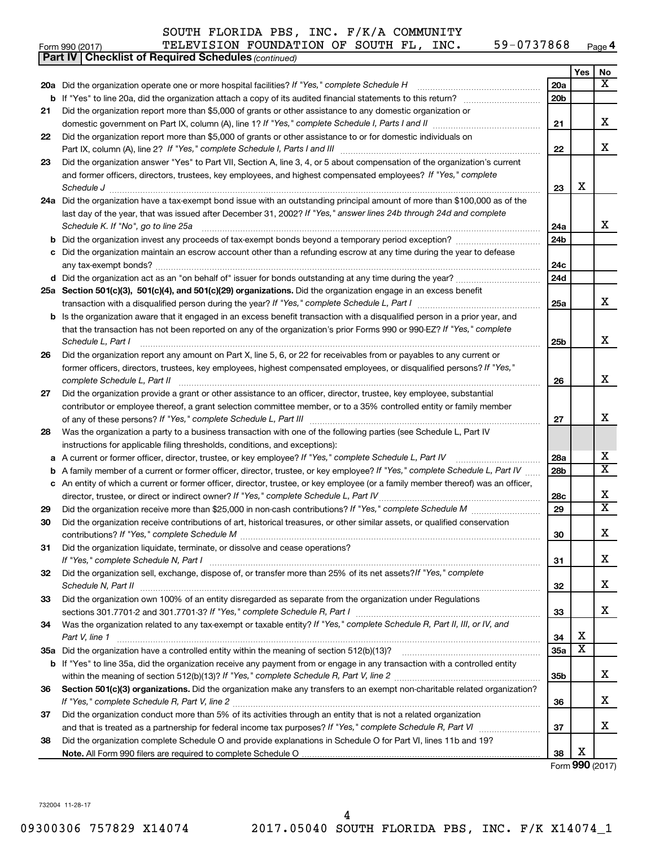|     | SOUTH FLORIDA PBS, INC. F/K/A COMMUNITY                                                                                    |                 |     |                         |
|-----|----------------------------------------------------------------------------------------------------------------------------|-----------------|-----|-------------------------|
|     | 59-0737868<br>TELEVISION FOUNDATION OF SOUTH FL, INC.<br>Form 990 (2017)                                                   |                 |     | Page 4                  |
|     | <b>Part IV   Checklist of Required Schedules (continued)</b>                                                               |                 |     |                         |
|     |                                                                                                                            |                 | Yes | <b>No</b>               |
|     | <b>20a</b> Did the organization operate one or more hospital facilities? If "Yes," complete Schedule H                     | 20a             |     | $\overline{\textbf{x}}$ |
|     | <b>b</b> If "Yes" to line 20a, did the organization attach a copy of its audited financial statements to this return?      | 20 <sub>b</sub> |     |                         |
| 21  | Did the organization report more than \$5,000 of grants or other assistance to any domestic organization or                |                 |     |                         |
|     |                                                                                                                            | 21              |     | x                       |
| 22  | Did the organization report more than \$5,000 of grants or other assistance to or for domestic individuals on              |                 |     |                         |
|     | Part IX, column (A), line 2? If "Yes," complete Schedule I, Parts I and III [11]] [11]] [11] [11] [11] [11] [1             | 22              |     | x                       |
| 23  | Did the organization answer "Yes" to Part VII, Section A, line 3, 4, or 5 about compensation of the organization's current |                 |     |                         |
|     | and former officers, directors, trustees, key employees, and highest compensated employees? If "Yes," complete             |                 |     |                         |
|     | Schedule J                                                                                                                 | 23              | x   |                         |
| 24a | Did the organization have a tax-exempt bond issue with an outstanding principal amount of more than \$100,000 as of the    |                 |     |                         |
|     | last day of the year, that was issued after December 31, 2002? If "Yes," answer lines 24b through 24d and complete         |                 |     |                         |
|     | Schedule K. If "No", go to line 25a                                                                                        | 24a             |     | x                       |
| b   | Did the organization invest any proceeds of tax-exempt bonds beyond a temporary period exception?                          | 24 <sub>b</sub> |     |                         |
| c   | Did the organization maintain an escrow account other than a refunding escrow at any time during the year to defease       |                 |     |                         |
|     | any tax-exempt bonds?                                                                                                      | 24 <sub>c</sub> |     |                         |
|     |                                                                                                                            | 24d             |     |                         |
|     | 25a Section 501(c)(3), 501(c)(4), and 501(c)(29) organizations. Did the organization engage in an excess benefit           |                 |     |                         |
|     |                                                                                                                            | 25a             |     | x                       |
| b   | Is the organization aware that it engaged in an excess benefit transaction with a disqualified person in a prior year, and |                 |     |                         |
|     | that the transaction has not been reported on any of the organization's prior Forms 990 or 990-EZ? If "Yes," complete      |                 |     |                         |
|     | Schedule L. Part I                                                                                                         | 25 <sub>b</sub> |     | x                       |
| 26  | Did the organization report any amount on Part X, line 5, 6, or 22 for receivables from or payables to any current or      |                 |     |                         |
|     | former officers, directors, trustees, key employees, highest compensated employees, or disqualified persons? If "Yes,"     |                 |     |                         |
|     | complete Schedule L, Part II                                                                                               | 26              |     | х                       |

| Did the organization provide a grant or other assistance to an officer, director, trustee, key employee, substantial |
|----------------------------------------------------------------------------------------------------------------------|
| contributor or employee thereof, a grant selection committee member, or to a 35% controlled entity or family member  |
| of any of these persons? If "Yes," complete Schedule L, Part III                                                     |

| 28 | Was the organization a party to a business transaction with one of the following parties (see Schedule L, Part IV |
|----|-------------------------------------------------------------------------------------------------------------------|
|    | instructions for applicable filing thresholds, conditions, and exceptions):                                       |

| a A current or former officer, director, trustee, or key employee? If "Yes," complete Schedule L, Part IV                         |
|-----------------------------------------------------------------------------------------------------------------------------------|
| b A family member of a current or former officer, director, trustee, or key employee? If "Yes," complete Schedule L, Part IV      |
| c An entity of which a current or former officer, director, trustee, or key employee (or a family member thereof) was an officer, |
| director, trustee, or direct or indirect owner? If "Yes," complete Schedule L, Part IV                                            |

| -29 | Did the organization receive more than \$25,000 in non-cash contributions? If "Yes," complete Schedule M                                                                                                                       |
|-----|--------------------------------------------------------------------------------------------------------------------------------------------------------------------------------------------------------------------------------|
| 30  | Did the organization receive contributions of art, historical treasures, or other similar assets, or qualified conservation                                                                                                    |
|     |                                                                                                                                                                                                                                |
| -31 | Did the organization liquidate, terminate, or dissolve and cease operations?                                                                                                                                                   |
|     | If "Yes." complete Schedule N, Part I                                                                                                                                                                                          |
| 32  | Did the organization sell, exchange, dispose of, or transfer more than 25% of its net assets? If "Yes," complete                                                                                                               |
|     | Schedule N, Part II and the state of the state of the state of the state of the state of the state of the state of the state of the state of the state of the state of the state of the state of the state of the state of the |
| 33  | Did the organization own 100% of an entity disregarded as separate from the organization under Regulations                                                                                                                     |
|     | sections 301.7701-2 and 301.7701-3? If "Yes," complete Schedule R, Part I [1] [1] [1] [1] [1] [1] sections 301.7701-2 and 301.7701-3? If "Yes," complete Schedule R, Part I                                                    |
| -34 | Was the organization related to any tax-exempt or taxable entity? If "Yes," complete Schedule R, Part II, III, or IV, and                                                                                                      |
|     |                                                                                                                                                                                                                                |

|    | Part V. line 1                                                                                                                     | 34  |
|----|------------------------------------------------------------------------------------------------------------------------------------|-----|
|    | 35a Did the organization have a controlled entity within the meaning of section 512(b)(13)?                                        | 35а |
|    | <b>b</b> If "Yes" to line 35a, did the organization receive any payment from or engage in any transaction with a controlled entity |     |
|    | within the meaning of section 512(b)(13)? If "Yes," complete Schedule R, Part V, line 2                                            | 35b |
| 36 | Section 501(c)(3) organizations. Did the organization make any transfers to an exempt non-charitable related organization?         |     |
|    | If "Yes," complete Schedule R, Part V, line 2                                                                                      | 36  |

| If "Yes," complete Schedule R, Part V, line 2                                                                       |  |  |
|---------------------------------------------------------------------------------------------------------------------|--|--|
| 37 Did the organization conduct more than 5% of its activities through an entity that is not a related organization |  |  |

| and that is treated as a partnership for federal income tax purposes? If "Yes," complete Schedule R, Part VI      |
|-------------------------------------------------------------------------------------------------------------------|
| 38 Did the organization complete Schedule O and provide explanations in Schedule O for Part VI, lines 11b and 19? |

**Note.**  All Form 990 filers are required to complete Schedule O

**38** Form (2017) **990** X

**27**

X

X  $\overline{\text{x}}$ 

X X

X

X

X

X

X

X

X

**28a 28b**

**28c 29**

**30**

**31**

**32**

**33**

X X

**37**

732004 11-28-17

**21**

**22**

**23**

**26**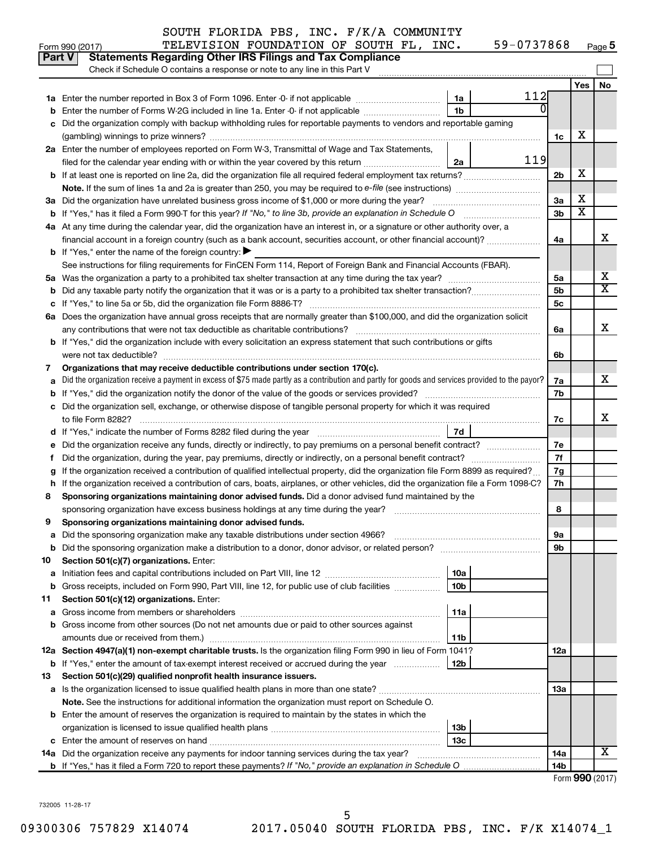| <b>Part V</b> | TELEVISION FOUNDATION OF SOUTH FL, INC.<br>Form 990 (2017)<br><b>Statements Regarding Other IRS Filings and Tax Compliance</b>                                                                                                                   | 59-0737868      |                      |                         | Page 5 |
|---------------|--------------------------------------------------------------------------------------------------------------------------------------------------------------------------------------------------------------------------------------------------|-----------------|----------------------|-------------------------|--------|
|               | Check if Schedule O contains a response or note to any line in this Part V                                                                                                                                                                       |                 |                      |                         |        |
|               |                                                                                                                                                                                                                                                  |                 |                      | <b>Yes</b>              | No     |
|               |                                                                                                                                                                                                                                                  | 112<br>1a       |                      |                         |        |
| b             | Enter the number of Forms W-2G included in line 1a. Enter -0- if not applicable                                                                                                                                                                  | 1b              |                      |                         |        |
|               | c Did the organization comply with backup withholding rules for reportable payments to vendors and reportable gaming                                                                                                                             |                 |                      |                         |        |
|               |                                                                                                                                                                                                                                                  |                 | 1c                   | х                       |        |
|               | 2a Enter the number of employees reported on Form W-3, Transmittal of Wage and Tax Statements,                                                                                                                                                   | 119             |                      |                         |        |
|               | filed for the calendar year ending with or within the year covered by this return <i>manumumumum</i>                                                                                                                                             | 2a              |                      | X                       |        |
|               |                                                                                                                                                                                                                                                  |                 | 2 <sub>b</sub>       |                         |        |
|               |                                                                                                                                                                                                                                                  |                 |                      | X                       |        |
|               | 3a Did the organization have unrelated business gross income of \$1,000 or more during the year?                                                                                                                                                 |                 | 3a<br>3 <sub>b</sub> | $\overline{\texttt{x}}$ |        |
|               |                                                                                                                                                                                                                                                  |                 |                      |                         |        |
|               | 4a At any time during the calendar year, did the organization have an interest in, or a signature or other authority over, a<br>financial account in a foreign country (such as a bank account, securities account, or other financial account)? |                 | 4a                   |                         | X      |
|               | <b>b</b> If "Yes," enter the name of the foreign country: $\blacktriangleright$                                                                                                                                                                  |                 |                      |                         |        |
|               | See instructions for filing requirements for FinCEN Form 114, Report of Foreign Bank and Financial Accounts (FBAR).                                                                                                                              |                 |                      |                         |        |
|               |                                                                                                                                                                                                                                                  |                 | 5a                   |                         | X      |
|               |                                                                                                                                                                                                                                                  |                 | 5 <sub>b</sub>       |                         | X      |
|               |                                                                                                                                                                                                                                                  |                 | 5c                   |                         |        |
|               | 6a Does the organization have annual gross receipts that are normally greater than \$100,000, and did the organization solicit                                                                                                                   |                 |                      |                         |        |
|               | any contributions that were not tax deductible as charitable contributions?                                                                                                                                                                      |                 | 6a                   |                         | X      |
|               | <b>b</b> If "Yes," did the organization include with every solicitation an express statement that such contributions or gifts                                                                                                                    |                 |                      |                         |        |
|               | were not tax deductible?                                                                                                                                                                                                                         |                 | 6b                   |                         |        |
| 7             | Organizations that may receive deductible contributions under section 170(c).                                                                                                                                                                    |                 |                      |                         |        |
|               | a Did the organization receive a payment in excess of \$75 made partly as a contribution and partly for goods and services provided to the payor?                                                                                                |                 | 7a                   |                         | x      |
|               |                                                                                                                                                                                                                                                  |                 | 7b                   |                         |        |
|               | c Did the organization sell, exchange, or otherwise dispose of tangible personal property for which it was required                                                                                                                              |                 |                      |                         |        |
|               | to file Form 8282?                                                                                                                                                                                                                               |                 | 7c                   |                         | x      |
|               | d If "Yes," indicate the number of Forms 8282 filed during the year [11] [11] The Sear [11] The Sear [11] The Sear [11] The Sear [11] The Sear [11] The Sear [11] The Sear [11] The Sear [11] The Sear [11] The Sear [11] The                    | 7d              |                      |                         |        |
|               | e Did the organization receive any funds, directly or indirectly, to pay premiums on a personal benefit contract?                                                                                                                                |                 | 7e                   |                         |        |
| f.            | Did the organization, during the year, pay premiums, directly or indirectly, on a personal benefit contract?                                                                                                                                     |                 | 7f                   |                         |        |
| g             | If the organization received a contribution of qualified intellectual property, did the organization file Form 8899 as required?                                                                                                                 |                 | 7g                   |                         |        |
|               | h If the organization received a contribution of cars, boats, airplanes, or other vehicles, did the organization file a Form 1098-C?                                                                                                             |                 | 7h                   |                         |        |
| 8             | Sponsoring organizations maintaining donor advised funds. Did a donor advised fund maintained by the                                                                                                                                             |                 |                      |                         |        |
|               | sponsoring organization have excess business holdings at any time during the year?                                                                                                                                                               |                 | 8                    |                         |        |
| 9             | Sponsoring organizations maintaining donor advised funds.                                                                                                                                                                                        |                 |                      |                         |        |
| а             | Did the sponsoring organization make any taxable distributions under section 4966?                                                                                                                                                               |                 | 9a                   |                         |        |
| b             | Did the sponsoring organization make a distribution to a donor, donor advisor, or related person?                                                                                                                                                |                 | 9b                   |                         |        |
| 10            | Section 501(c)(7) organizations. Enter:                                                                                                                                                                                                          |                 |                      |                         |        |
| а             |                                                                                                                                                                                                                                                  | 10a             |                      |                         |        |
| b             | Gross receipts, included on Form 990, Part VIII, line 12, for public use of club facilities                                                                                                                                                      | 10 <sub>b</sub> |                      |                         |        |
| 11            | Section 501(c)(12) organizations. Enter:                                                                                                                                                                                                         |                 |                      |                         |        |
| а             |                                                                                                                                                                                                                                                  | 11a             |                      |                         |        |
| b             | Gross income from other sources (Do not net amounts due or paid to other sources against                                                                                                                                                         |                 |                      |                         |        |
|               |                                                                                                                                                                                                                                                  | 11b             |                      |                         |        |
|               | 12a Section 4947(a)(1) non-exempt charitable trusts. Is the organization filing Form 990 in lieu of Form 1041?                                                                                                                                   |                 | 12a                  |                         |        |
|               | <b>b</b> If "Yes," enter the amount of tax-exempt interest received or accrued during the year                                                                                                                                                   | 12b             |                      |                         |        |
| 13            | Section 501(c)(29) qualified nonprofit health insurance issuers.                                                                                                                                                                                 |                 |                      |                         |        |
|               |                                                                                                                                                                                                                                                  |                 | 13a                  |                         |        |
|               | Note. See the instructions for additional information the organization must report on Schedule O.                                                                                                                                                |                 |                      |                         |        |
|               | <b>b</b> Enter the amount of reserves the organization is required to maintain by the states in which the                                                                                                                                        |                 |                      |                         |        |
|               |                                                                                                                                                                                                                                                  | 13b             |                      |                         |        |
|               |                                                                                                                                                                                                                                                  | 13c             |                      |                         |        |
|               | 14a Did the organization receive any payments for indoor tanning services during the tax year?                                                                                                                                                   |                 | 14a                  |                         | x      |
|               |                                                                                                                                                                                                                                                  |                 | 14b                  |                         |        |

|  |  | Form 990 (2017) |
|--|--|-----------------|
|--|--|-----------------|

732005 11-28-17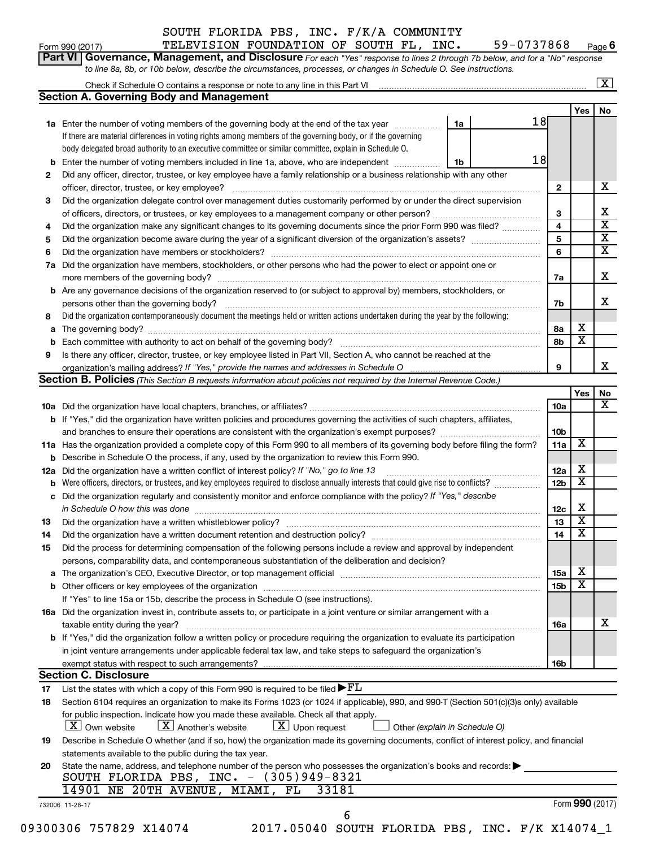|                                                                                                                           | SOUTH FLORIDA PBS, INC. F/K/A COMMUNITY                                                                                                                                                                                       |                 |            |                         |  |  |  |  |  |  |  |
|---------------------------------------------------------------------------------------------------------------------------|-------------------------------------------------------------------------------------------------------------------------------------------------------------------------------------------------------------------------------|-----------------|------------|-------------------------|--|--|--|--|--|--|--|
|                                                                                                                           | TELEVISION FOUNDATION OF SOUTH FL, INC.<br>59-0737868<br>Form 990 (2017)                                                                                                                                                      |                 |            | Page 6                  |  |  |  |  |  |  |  |
|                                                                                                                           | Part VI Governance, Management, and Disclosure For each "Yes" response to lines 2 through 7b below, and for a "No" response                                                                                                   |                 |            |                         |  |  |  |  |  |  |  |
|                                                                                                                           | to line 8a, 8b, or 10b below, describe the circumstances, processes, or changes in Schedule O. See instructions.                                                                                                              |                 |            |                         |  |  |  |  |  |  |  |
|                                                                                                                           | $\overline{\mathbf{x}}$                                                                                                                                                                                                       |                 |            |                         |  |  |  |  |  |  |  |
|                                                                                                                           | Section A. Governing Body and Management                                                                                                                                                                                      |                 |            |                         |  |  |  |  |  |  |  |
|                                                                                                                           |                                                                                                                                                                                                                               |                 | Yes        | No                      |  |  |  |  |  |  |  |
|                                                                                                                           | 18<br>1a Enter the number of voting members of the governing body at the end of the tax year<br>1a                                                                                                                            |                 |            |                         |  |  |  |  |  |  |  |
|                                                                                                                           | If there are material differences in voting rights among members of the governing body, or if the governing                                                                                                                   |                 |            |                         |  |  |  |  |  |  |  |
|                                                                                                                           | body delegated broad authority to an executive committee or similar committee, explain in Schedule O.                                                                                                                         |                 |            |                         |  |  |  |  |  |  |  |
|                                                                                                                           | 18<br><b>b</b> Enter the number of voting members included in line 1a, above, who are independent <i>manumum</i><br>1b                                                                                                        |                 |            |                         |  |  |  |  |  |  |  |
| 2                                                                                                                         | Did any officer, director, trustee, or key employee have a family relationship or a business relationship with any other                                                                                                      |                 |            |                         |  |  |  |  |  |  |  |
|                                                                                                                           | officer, director, trustee, or key employee?                                                                                                                                                                                  | $\mathbf{2}$    |            | х                       |  |  |  |  |  |  |  |
| 3                                                                                                                         | Did the organization delegate control over management duties customarily performed by or under the direct supervision                                                                                                         |                 |            |                         |  |  |  |  |  |  |  |
|                                                                                                                           | of officers, directors, or trustees, or key employees to a management company or other person?                                                                                                                                | 3               |            | х                       |  |  |  |  |  |  |  |
| 4                                                                                                                         | Did the organization make any significant changes to its governing documents since the prior Form 990 was filed?                                                                                                              | 4               |            | $\overline{\textbf{x}}$ |  |  |  |  |  |  |  |
| 5                                                                                                                         |                                                                                                                                                                                                                               | 5               |            | $\overline{\mathbf{x}}$ |  |  |  |  |  |  |  |
| 6                                                                                                                         |                                                                                                                                                                                                                               | 6               |            | $\overline{\mathtt{x}}$ |  |  |  |  |  |  |  |
|                                                                                                                           | 7a Did the organization have members, stockholders, or other persons who had the power to elect or appoint one or                                                                                                             |                 |            |                         |  |  |  |  |  |  |  |
|                                                                                                                           |                                                                                                                                                                                                                               | 7a              |            | х                       |  |  |  |  |  |  |  |
|                                                                                                                           | <b>b</b> Are any governance decisions of the organization reserved to (or subject to approval by) members, stockholders, or                                                                                                   |                 |            |                         |  |  |  |  |  |  |  |
|                                                                                                                           | persons other than the governing body?                                                                                                                                                                                        |                 |            |                         |  |  |  |  |  |  |  |
| 8                                                                                                                         | Did the organization contemporaneously document the meetings held or written actions undertaken during the year by the following:                                                                                             |                 | х          |                         |  |  |  |  |  |  |  |
|                                                                                                                           |                                                                                                                                                                                                                               |                 |            |                         |  |  |  |  |  |  |  |
|                                                                                                                           |                                                                                                                                                                                                                               |                 |            |                         |  |  |  |  |  |  |  |
| 9<br>Is there any officer, director, trustee, or key employee listed in Part VII, Section A, who cannot be reached at the |                                                                                                                                                                                                                               |                 |            |                         |  |  |  |  |  |  |  |
|                                                                                                                           |                                                                                                                                                                                                                               |                 |            |                         |  |  |  |  |  |  |  |
|                                                                                                                           |                                                                                                                                                                                                                               | 9               |            | x                       |  |  |  |  |  |  |  |
|                                                                                                                           | <b>Section B. Policies</b> (This Section B requests information about policies not required by the Internal Revenue Code.)                                                                                                    |                 |            |                         |  |  |  |  |  |  |  |
|                                                                                                                           |                                                                                                                                                                                                                               |                 | <b>Yes</b> | No                      |  |  |  |  |  |  |  |
|                                                                                                                           |                                                                                                                                                                                                                               | 10a             |            | x                       |  |  |  |  |  |  |  |
|                                                                                                                           | b If "Yes," did the organization have written policies and procedures governing the activities of such chapters, affiliates,                                                                                                  |                 |            |                         |  |  |  |  |  |  |  |
|                                                                                                                           |                                                                                                                                                                                                                               | 10 <sub>b</sub> |            |                         |  |  |  |  |  |  |  |
|                                                                                                                           | 11a Has the organization provided a complete copy of this Form 990 to all members of its governing body before filing the form?                                                                                               | 11a             | х          |                         |  |  |  |  |  |  |  |
|                                                                                                                           | <b>b</b> Describe in Schedule O the process, if any, used by the organization to review this Form 990.                                                                                                                        |                 |            |                         |  |  |  |  |  |  |  |
|                                                                                                                           | 12a Did the organization have a written conflict of interest policy? If "No," go to line 13                                                                                                                                   | 12a             | х          |                         |  |  |  |  |  |  |  |
|                                                                                                                           | <b>b</b> Were officers, directors, or trustees, and key employees required to disclose annually interests that could give rise to conflicts?                                                                                  | 12 <sub>b</sub> | х          |                         |  |  |  |  |  |  |  |
|                                                                                                                           | c Did the organization regularly and consistently monitor and enforce compliance with the policy? If "Yes," describe                                                                                                          |                 |            |                         |  |  |  |  |  |  |  |
|                                                                                                                           | in Schedule O how this was done                                                                                                                                                                                               | 12c             | X.         |                         |  |  |  |  |  |  |  |
| 13                                                                                                                        |                                                                                                                                                                                                                               | 13              | х          |                         |  |  |  |  |  |  |  |
| 14                                                                                                                        | Did the organization have a written document retention and destruction policy? [11] manufaction manufaction in                                                                                                                | 14              | х          |                         |  |  |  |  |  |  |  |
| 15                                                                                                                        | Did the process for determining compensation of the following persons include a review and approval by independent                                                                                                            |                 |            |                         |  |  |  |  |  |  |  |
|                                                                                                                           | persons, comparability data, and contemporaneous substantiation of the deliberation and decision?                                                                                                                             |                 |            |                         |  |  |  |  |  |  |  |
|                                                                                                                           | a The organization's CEO, Executive Director, or top management official manufactured content of the organization's CEO, Executive Director, or top management official manufactured content of the state of the state of the | <b>15a</b>      | х          |                         |  |  |  |  |  |  |  |
|                                                                                                                           |                                                                                                                                                                                                                               | 15b             | х          |                         |  |  |  |  |  |  |  |
|                                                                                                                           | If "Yes" to line 15a or 15b, describe the process in Schedule O (see instructions).                                                                                                                                           |                 |            |                         |  |  |  |  |  |  |  |
|                                                                                                                           | 16a Did the organization invest in, contribute assets to, or participate in a joint venture or similar arrangement with a                                                                                                     |                 |            |                         |  |  |  |  |  |  |  |
|                                                                                                                           | taxable entity during the year?                                                                                                                                                                                               | 16a             |            | х                       |  |  |  |  |  |  |  |
|                                                                                                                           | b If "Yes," did the organization follow a written policy or procedure requiring the organization to evaluate its participation                                                                                                |                 |            |                         |  |  |  |  |  |  |  |
|                                                                                                                           | in joint venture arrangements under applicable federal tax law, and take steps to safeguard the organization's                                                                                                                |                 |            |                         |  |  |  |  |  |  |  |
|                                                                                                                           | <b>Section C. Disclosure</b>                                                                                                                                                                                                  | 16b             |            |                         |  |  |  |  |  |  |  |

**17** List the states with which a copy of this Form 990 is required to be filed  $\blacktriangleright$ FL

| 17 L | List the states with which a copy of this Form 990 is required to be filed $\blacktriangleright$ P $\sqcup$                                       |
|------|---------------------------------------------------------------------------------------------------------------------------------------------------|
| 18   | Section 6104 requires an organization to make its Forms 1023 (or 1024 if applicable), 990, and 990-T (Section 501(c)(3)s only) available          |
|      | for public inspection. Indicate how you made these available. Check all that apply.                                                               |
|      | $\boxed{\textbf{X}}$ Own website $\boxed{\textbf{X}}$ Another's website $\boxed{\textbf{X}}$ Upon request<br>$\Box$ Other (explain in Schedule O) |
| 19   | Describe in Schedule O whether (and if so, how) the organization made its governing documents, conflict of interest policy, and financial         |
|      | statements available to the public during the tax year.                                                                                           |
| 20   | State the name, address, and telephone number of the person who possesses the organization's books and records:                                   |
|      | SOUTH FLORIDA PBS, INC. $-$ (305)949-8321                                                                                                         |

6

|                 |  | 14901 NE 20TH AVENUE, MIAMI, FL 33181 |  |  |
|-----------------|--|---------------------------------------|--|--|
| 732006 11-28-17 |  |                                       |  |  |

Form (2017) **990**

09300306 757829 X14074 2017.05040 SOUTH FLORIDA PBS, INC. F/K X14074\_1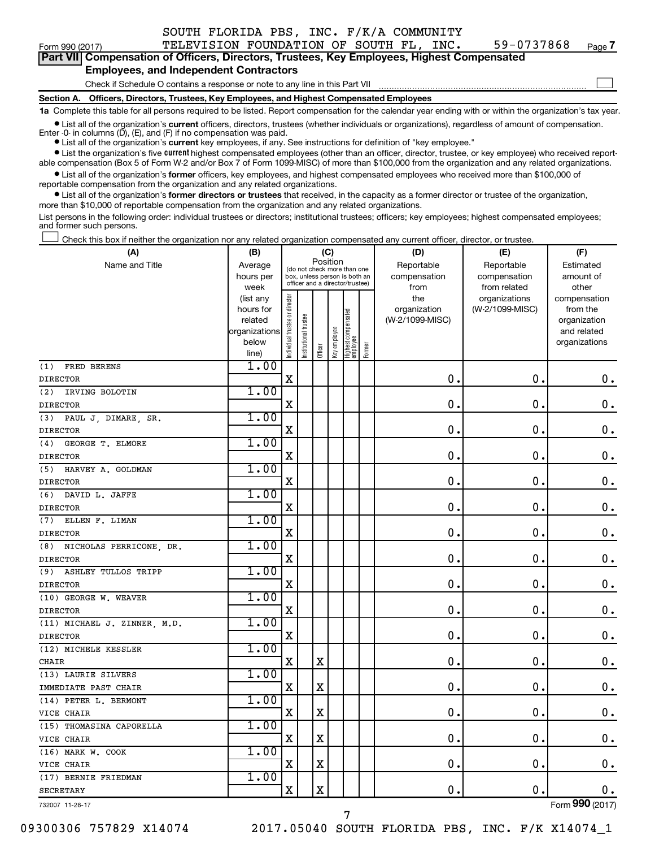|                                                                                                                                                            |                                                                                                                                                 | SOUTH FLORIDA PBS, INC. F/K/A COMMUNITY |  |  |            |        |  |  |  |  |
|------------------------------------------------------------------------------------------------------------------------------------------------------------|-------------------------------------------------------------------------------------------------------------------------------------------------|-----------------------------------------|--|--|------------|--------|--|--|--|--|
| Form 990 (2017)                                                                                                                                            |                                                                                                                                                 | TELEVISION FOUNDATION OF SOUTH FL, INC. |  |  | 59-0737868 | Page 7 |  |  |  |  |
| Part VII Compensation of Officers, Directors, Trustees, Key Employees, Highest Compensated                                                                 |                                                                                                                                                 |                                         |  |  |            |        |  |  |  |  |
| <b>Employees, and Independent Contractors</b>                                                                                                              |                                                                                                                                                 |                                         |  |  |            |        |  |  |  |  |
|                                                                                                                                                            | Check if Schedule O contains a response or note to any line in this Part VII                                                                    |                                         |  |  |            |        |  |  |  |  |
|                                                                                                                                                            | Section A. Officers, Directors, Trustees, Key Employees, and Highest Compensated Employees                                                      |                                         |  |  |            |        |  |  |  |  |
| 1a Complete this table for all persons required to be listed. Report compensation for the calendar year ending with or within the organization's tax year. |                                                                                                                                                 |                                         |  |  |            |        |  |  |  |  |
|                                                                                                                                                            | All all alleg conceitable coment efficies alleghed to otres fulleders legislation en conceitable of carenteers of conceitable and conceitable a |                                         |  |  |            |        |  |  |  |  |

● List all of the organization's **current** officers, directors, trustees (whether individuals or organizations), regardless of amount of compensation.<br>Enter -0- in columns (D), (E), and (F) if no compensation was paid.

**•** List all of the organization's **current** key employees, if any. See instructions for definition of "key employee."

**•** List the organization's five current highest compensated employees (other than an officer, director, trustee, or key employee) who received reportable compensation (Box 5 of Form W-2 and/or Box 7 of Form 1099-MISC) of more than \$100,000 from the organization and any related organizations.

**•** List all of the organization's former officers, key employees, and highest compensated employees who received more than \$100,000 of reportable compensation from the organization and any related organizations.

**•** List all of the organization's former directors or trustees that received, in the capacity as a former director or trustee of the organization, more than \$10,000 of reportable compensation from the organization and any related organizations.

List persons in the following order: individual trustees or directors; institutional trustees; officers; key employees; highest compensated employees; and former such persons.

Check this box if neither the organization nor any related organization compensated any current officer, director, or trustee.  $\Box$ 

| (A)                               | (B)                    |                                |                                                                  | (C)         |              |                                 |        | (D)             | (E)                              | (F)                      |
|-----------------------------------|------------------------|--------------------------------|------------------------------------------------------------------|-------------|--------------|---------------------------------|--------|-----------------|----------------------------------|--------------------------|
| Name and Title                    | Average                |                                | (do not check more than one                                      | Position    |              |                                 |        | Reportable      | Reportable                       | Estimated                |
|                                   | hours per              |                                | box, unless person is both an<br>officer and a director/trustee) |             |              |                                 |        | compensation    | compensation                     | amount of                |
|                                   | week                   |                                |                                                                  |             |              |                                 |        | from<br>the     | from related                     | other                    |
|                                   | (list any<br>hours for |                                |                                                                  |             |              |                                 |        | organization    | organizations<br>(W-2/1099-MISC) | compensation<br>from the |
|                                   | related                |                                |                                                                  |             |              |                                 |        | (W-2/1099-MISC) |                                  | organization             |
|                                   | organizations          |                                |                                                                  |             |              |                                 |        |                 |                                  | and related              |
|                                   | below                  | Individual trustee or director | Institutional trustee                                            |             | Key employee | Highest compensated<br>employee |        |                 |                                  | organizations            |
|                                   | line)                  |                                |                                                                  | Officer     |              |                                 | Former |                 |                                  |                          |
| (1)<br>FRED BERENS                | 1.00                   |                                |                                                                  |             |              |                                 |        |                 |                                  |                          |
| <b>DIRECTOR</b>                   |                        | $\mathbf X$                    |                                                                  |             |              |                                 |        | 0.              | $\mathbf 0$ .                    | $\mathbf 0$ .            |
| (2)<br>IRVING BOLOTIN             | 1.00                   |                                |                                                                  |             |              |                                 |        |                 |                                  |                          |
| <b>DIRECTOR</b>                   |                        | $\mathbf X$                    |                                                                  |             |              |                                 |        | $\mathbf 0$ .   | $\mathbf 0$ .                    | $\mathbf 0$ .            |
| (3)<br>PAUL J, DIMARE, SR.        | 1.00                   |                                |                                                                  |             |              |                                 |        |                 |                                  |                          |
| <b>DIRECTOR</b>                   |                        | X                              |                                                                  |             |              |                                 |        | $\mathbf 0$ .   | $\mathbf 0$ .                    | $\boldsymbol{0}$ .       |
| GEORGE T. ELMORE<br>(4)           | 1.00                   |                                |                                                                  |             |              |                                 |        |                 |                                  |                          |
| <b>DIRECTOR</b>                   |                        | $\mathbf X$                    |                                                                  |             |              |                                 |        | $\mathbf 0$ .   | $\mathbf 0$ .                    | $\mathbf 0$ .            |
| (5) HARVEY A. GOLDMAN             | 1.00                   |                                |                                                                  |             |              |                                 |        |                 |                                  |                          |
| <b>DIRECTOR</b>                   |                        | X                              |                                                                  |             |              |                                 |        | $\mathbf 0$     | $\mathbf 0$ .                    | $\boldsymbol{0}$ .       |
| (6) DAVID L. JAFFE                | 1.00                   |                                |                                                                  |             |              |                                 |        |                 |                                  |                          |
| <b>DIRECTOR</b>                   |                        | X                              |                                                                  |             |              |                                 |        | $\mathbf 0$     | $\mathbf 0$ .                    | $\mathbf 0$ .            |
| ELLEN F. LIMAN<br>(7)             | 1.00                   |                                |                                                                  |             |              |                                 |        |                 |                                  |                          |
| <b>DIRECTOR</b>                   |                        | X                              |                                                                  |             |              |                                 |        | $\mathbf 0$     | $\mathbf 0$ .                    | $\mathbf 0$ .            |
| (8) NICHOLAS PERRICONE, DR.       | 1.00                   |                                |                                                                  |             |              |                                 |        |                 |                                  |                          |
| <b>DIRECTOR</b>                   |                        | $\mathbf X$                    |                                                                  |             |              |                                 |        | $\mathbf 0$     | $\mathbf 0$ .                    | $\mathbf 0$ .            |
| (9)<br><b>ASHLEY TULLOS TRIPP</b> | 1.00                   |                                |                                                                  |             |              |                                 |        |                 |                                  |                          |
| <b>DIRECTOR</b>                   |                        | $\mathbf X$                    |                                                                  |             |              |                                 |        | 0               | $\mathbf 0$ .                    | $\mathbf 0$ .            |
| (10) GEORGE W. WEAVER             | 1.00                   |                                |                                                                  |             |              |                                 |        |                 |                                  |                          |
| <b>DIRECTOR</b>                   |                        | X                              |                                                                  |             |              |                                 |        | $\mathbf 0$     | $\mathbf 0$ .                    | $\mathbf 0$ .            |
| (11) MICHAEL J. ZINNER, M.D.      | 1.00                   |                                |                                                                  |             |              |                                 |        |                 |                                  |                          |
| <b>DIRECTOR</b>                   |                        | X                              |                                                                  |             |              |                                 |        | $\mathbf 0$     | 0.                               | $\mathbf 0$ .            |
| (12) MICHELE KESSLER              | 1.00                   |                                |                                                                  |             |              |                                 |        |                 |                                  |                          |
| CHAIR                             |                        | $\mathbf X$                    |                                                                  | $\mathbf X$ |              |                                 |        | $\mathbf 0$ .   | $\mathbf 0$ .                    | $\mathbf 0$ .            |
| (13) LAURIE SILVERS               | 1.00                   |                                |                                                                  |             |              |                                 |        |                 |                                  |                          |
| IMMEDIATE PAST CHAIR              |                        | $\mathbf X$                    |                                                                  | $\mathbf X$ |              |                                 |        | $\mathbf 0$     | $\mathbf 0$ .                    | $\mathbf 0$ .            |
| (14) PETER L. BERMONT             | 1.00                   |                                |                                                                  |             |              |                                 |        |                 |                                  |                          |
| VICE CHAIR                        |                        | $\mathbf X$                    |                                                                  | $\mathbf X$ |              |                                 |        | $\mathbf 0$ .   | $\mathbf 0$ .                    | 0.                       |
| (15) THOMASINA CAPORELLA          | 1.00                   |                                |                                                                  |             |              |                                 |        |                 |                                  |                          |
| VICE CHAIR                        |                        | $\mathbf X$                    |                                                                  | $\rm X$     |              |                                 |        | $\mathbf 0$ .   | $\mathbf 0$ .                    | $\mathbf 0$ .            |
| (16) MARK W. COOK                 | 1.00                   |                                |                                                                  |             |              |                                 |        |                 |                                  |                          |
| VICE CHAIR                        |                        | $\mathbf X$                    |                                                                  | $\rm X$     |              |                                 |        | 0.              | $\mathbf 0$ .                    | 0.                       |
| (17) BERNIE FRIEDMAN              | 1.00                   |                                |                                                                  |             |              |                                 |        |                 |                                  |                          |
| <b>SECRETARY</b>                  |                        | X                              |                                                                  | $\mathbf X$ |              |                                 |        | $\mathbf 0$ .   | $\mathbf 0$ .                    | 0.                       |

732007 11-28-17

09300306 757829 X14074 2017.05040 SOUTH FLORIDA PBS, INC. F/K X14074\_1

7

Form (2017) **990**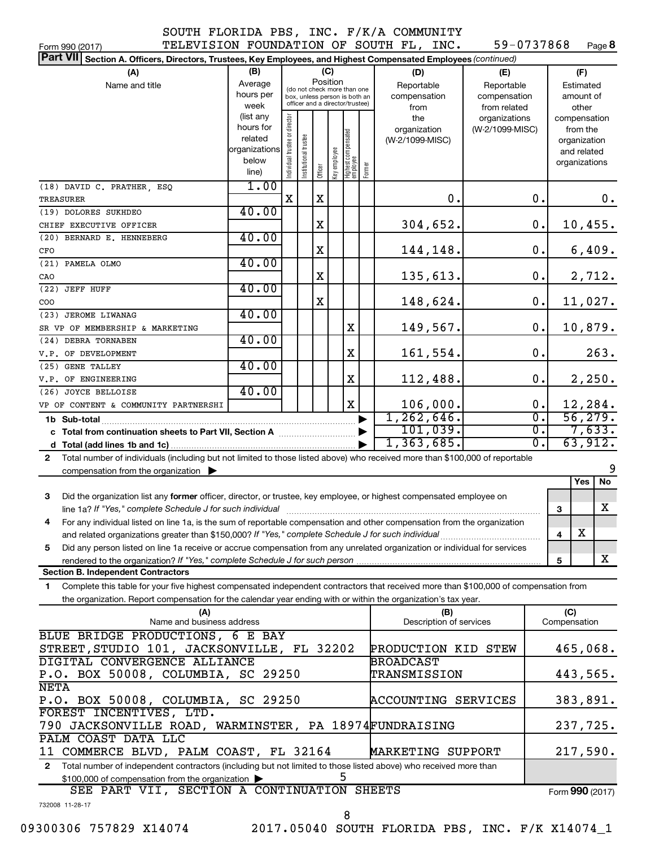| Form 990 (2017)                                                                                                                              |               |                                |                                                              |         |              |                                 |        | TELEVISION FOUNDATION OF SOUTH FL, INC. | 59-0737868      |                  |              | Page 8          |
|----------------------------------------------------------------------------------------------------------------------------------------------|---------------|--------------------------------|--------------------------------------------------------------|---------|--------------|---------------------------------|--------|-----------------------------------------|-----------------|------------------|--------------|-----------------|
| <b>Part VII</b><br>Section A. Officers, Directors, Trustees, Key Employees, and Highest Compensated Employees (continued)                    |               |                                |                                                              |         |              |                                 |        |                                         |                 |                  |              |                 |
| (A)                                                                                                                                          | (B)           |                                |                                                              | (C)     |              |                                 |        | (D)                                     | (E)             |                  | (F)          |                 |
| Name and title                                                                                                                               | Average       |                                |                                                              |         | Position     |                                 |        | Reportable                              | Reportable      | Estimated        |              |                 |
|                                                                                                                                              | hours per     |                                | (do not check more than one<br>box, unless person is both an |         |              |                                 |        | compensation                            | compensation    |                  |              | amount of       |
|                                                                                                                                              | week          |                                | officer and a director/trustee)                              |         |              |                                 |        | from                                    | from related    |                  |              | other           |
|                                                                                                                                              | (list any     |                                |                                                              |         |              |                                 |        | the                                     | organizations   |                  |              | compensation    |
|                                                                                                                                              | hours for     |                                |                                                              |         |              |                                 |        | organization                            | (W-2/1099-MISC) |                  | from the     |                 |
|                                                                                                                                              | related       |                                |                                                              |         |              |                                 |        | (W-2/1099-MISC)                         |                 |                  |              | organization    |
|                                                                                                                                              | organizations |                                |                                                              |         |              |                                 |        |                                         |                 |                  | and related  |                 |
|                                                                                                                                              | below         |                                |                                                              |         |              |                                 |        |                                         |                 |                  |              | organizations   |
|                                                                                                                                              | line)         | Individual trustee or director | Institutional trustee                                        | Officer | Key employee | Highest compensated<br>employee | Former |                                         |                 |                  |              |                 |
| (18) DAVID C. PRATHER, ESQ                                                                                                                   | 1.00          |                                |                                                              |         |              |                                 |        |                                         |                 |                  |              |                 |
| TREASURER                                                                                                                                    |               | X                              |                                                              | X       |              |                                 |        | 0.                                      |                 | 0.               |              | 0.              |
| (19) DOLORES SUKHDEO                                                                                                                         | 40.00         |                                |                                                              |         |              |                                 |        |                                         |                 |                  |              |                 |
| CHIEF EXECUTIVE OFFICER                                                                                                                      |               |                                |                                                              | Χ       |              |                                 |        | 304,652.                                |                 | $\mathbf 0$ .    |              | 10,455.         |
|                                                                                                                                              | 40.00         |                                |                                                              |         |              |                                 |        |                                         |                 |                  |              |                 |
| (20) BERNARD E. HENNEBERG                                                                                                                    |               |                                |                                                              |         |              |                                 |        |                                         |                 |                  |              |                 |
| CFO                                                                                                                                          |               |                                |                                                              | Χ       |              |                                 |        | 144,148.                                |                 | 0.               |              | 6,409.          |
| (21) PAMELA OLMO                                                                                                                             | 40.00         |                                |                                                              |         |              |                                 |        |                                         |                 |                  |              |                 |
| CAO                                                                                                                                          |               |                                |                                                              | X       |              |                                 |        | 135,613.                                |                 | 0.               |              | 2,712.          |
| (22) JEFF HUFF                                                                                                                               | 40.00         |                                |                                                              |         |              |                                 |        |                                         |                 |                  |              |                 |
| COO                                                                                                                                          |               |                                |                                                              | Χ       |              |                                 |        | 148,624.                                |                 | 0.               |              | 11,027.         |
| (23) JEROME LIWANAG                                                                                                                          | 40.00         |                                |                                                              |         |              |                                 |        |                                         |                 |                  |              |                 |
| SR VP OF MEMBERSHIP & MARKETING                                                                                                              |               |                                |                                                              |         |              | X                               |        | 149,567.                                |                 | 0.               |              | 10,879.         |
| (24) DEBRA TORNABEN                                                                                                                          | 40.00         |                                |                                                              |         |              |                                 |        |                                         |                 |                  |              |                 |
| V.P. OF DEVELOPMENT                                                                                                                          |               |                                |                                                              |         |              | X                               |        | 161,554.                                |                 | 0.               |              | 263.            |
| (25) GENE TALLEY                                                                                                                             | 40.00         |                                |                                                              |         |              |                                 |        |                                         |                 |                  |              |                 |
|                                                                                                                                              |               |                                |                                                              |         |              | X                               |        | 112,488.                                |                 | 0.               |              | 2,250.          |
| V.P. OF ENGINEERING                                                                                                                          | 40.00         |                                |                                                              |         |              |                                 |        |                                         |                 |                  |              |                 |
| (26) JOYCE BELLOISE                                                                                                                          |               |                                |                                                              |         |              |                                 |        |                                         |                 |                  |              |                 |
| VP OF CONTENT & COMMUNITY PARTNERSHI                                                                                                         |               |                                |                                                              |         |              | X                               |        | 106,000.                                |                 | 0.               |              | 12,284.         |
| 1b Sub-total                                                                                                                                 |               |                                |                                                              |         |              |                                 |        | 1, 262, 646.                            |                 | $\overline{0}$ . |              | 56, 279.        |
| c Total from continuation sheets to Part VII, Section A manufactured by                                                                      |               |                                |                                                              |         |              |                                 |        | 101,039.                                |                 | $\overline{0}$ . |              | 7,633.          |
|                                                                                                                                              |               |                                |                                                              |         |              |                                 |        | 1,363,685.                              |                 | $\overline{0}$ . |              | 63,912.         |
| Total number of individuals (including but not limited to those listed above) who received more than \$100,000 of reportable<br>$\mathbf{2}$ |               |                                |                                                              |         |              |                                 |        |                                         |                 |                  |              |                 |
| compensation from the organization $\blacktriangleright$                                                                                     |               |                                |                                                              |         |              |                                 |        |                                         |                 |                  |              | 9               |
|                                                                                                                                              |               |                                |                                                              |         |              |                                 |        |                                         |                 |                  |              | No<br>Yes       |
| 3<br>Did the organization list any former officer, director, or trustee, key employee, or highest compensated employee on                    |               |                                |                                                              |         |              |                                 |        |                                         |                 |                  |              |                 |
|                                                                                                                                              |               |                                |                                                              |         |              |                                 |        |                                         |                 |                  | 3            | X               |
| For any individual listed on line 1a, is the sum of reportable compensation and other compensation from the organization                     |               |                                |                                                              |         |              |                                 |        |                                         |                 |                  |              |                 |
| and related organizations greater than \$150,000? If "Yes," complete Schedule J for such individual                                          |               |                                |                                                              |         |              |                                 |        |                                         |                 |                  | 4            | х               |
|                                                                                                                                              |               |                                |                                                              |         |              |                                 |        |                                         |                 |                  |              |                 |
| Did any person listed on line 1a receive or accrue compensation from any unrelated organization or individual for services<br>5              |               |                                |                                                              |         |              |                                 |        |                                         |                 |                  |              | X               |
|                                                                                                                                              |               |                                |                                                              |         |              |                                 |        |                                         |                 |                  | 5            |                 |
| <b>Section B. Independent Contractors</b>                                                                                                    |               |                                |                                                              |         |              |                                 |        |                                         |                 |                  |              |                 |
| Complete this table for your five highest compensated independent contractors that received more than \$100,000 of compensation from<br>1.   |               |                                |                                                              |         |              |                                 |        |                                         |                 |                  |              |                 |
| the organization. Report compensation for the calendar year ending with or within the organization's tax year.                               |               |                                |                                                              |         |              |                                 |        |                                         |                 |                  |              |                 |
| (A)                                                                                                                                          |               |                                |                                                              |         |              |                                 |        | (B)                                     |                 |                  | (C)          |                 |
| Name and business address                                                                                                                    |               |                                |                                                              |         |              |                                 |        | Description of services                 |                 |                  | Compensation |                 |
| BLUE BRIDGE PRODUCTIONS, 6 E BAY                                                                                                             |               |                                |                                                              |         |              |                                 |        |                                         |                 |                  |              |                 |
| STREET, STUDIO 101, JACKSONVILLE, FL 32202                                                                                                   |               |                                |                                                              |         |              |                                 |        | PRODUCTION KID STEW                     |                 |                  |              | 465,068.        |
| DIGITAL CONVERGENCE ALLIANCE                                                                                                                 |               |                                |                                                              |         |              |                                 |        | BROADCAST                               |                 |                  |              |                 |
| P.O. BOX 50008, COLUMBIA, SC 29250                                                                                                           |               |                                |                                                              |         |              |                                 |        | TRANSMISSION                            |                 |                  |              | 443,565.        |
| <b>NETA</b>                                                                                                                                  |               |                                |                                                              |         |              |                                 |        |                                         |                 |                  |              |                 |
|                                                                                                                                              |               |                                |                                                              |         |              |                                 |        |                                         |                 |                  |              | 383,891.        |
| P.O. BOX 50008, COLUMBIA, SC 29250<br>ACCOUNTING SERVICES<br>FOREST INCENTIVES, LTD.                                                         |               |                                |                                                              |         |              |                                 |        |                                         |                 |                  |              |                 |
|                                                                                                                                              |               |                                |                                                              |         |              |                                 |        |                                         |                 |                  |              |                 |
| 790 JACKSONVILLE ROAD, WARMINSTER, PA 18974FUNDRAISING<br>237,725.                                                                           |               |                                |                                                              |         |              |                                 |        |                                         |                 |                  |              |                 |
| PALM COAST DATA LLC                                                                                                                          |               |                                |                                                              |         |              |                                 |        |                                         |                 |                  |              |                 |
| 11 COMMERCE BLVD, PALM COAST, FL 32164                                                                                                       |               |                                |                                                              |         |              |                                 |        | MARKETING SUPPORT                       |                 |                  |              | 217,590.        |
| Total number of independent contractors (including but not limited to those listed above) who received more than<br>$\mathbf{2}$             |               |                                |                                                              |         |              |                                 |        |                                         |                 |                  |              |                 |
| \$100,000 of compensation from the organization                                                                                              |               |                                |                                                              |         |              | 5                               |        |                                         |                 |                  |              |                 |
| SEE PART VII, SECTION A CONTINUATION SHEETS                                                                                                  |               |                                |                                                              |         |              |                                 |        |                                         |                 |                  |              | Form 990 (2017) |

732008 11-28-17

09300306 757829 X14074 2017.05040 SOUTH FLORIDA PBS, INC. F/K X14074\_1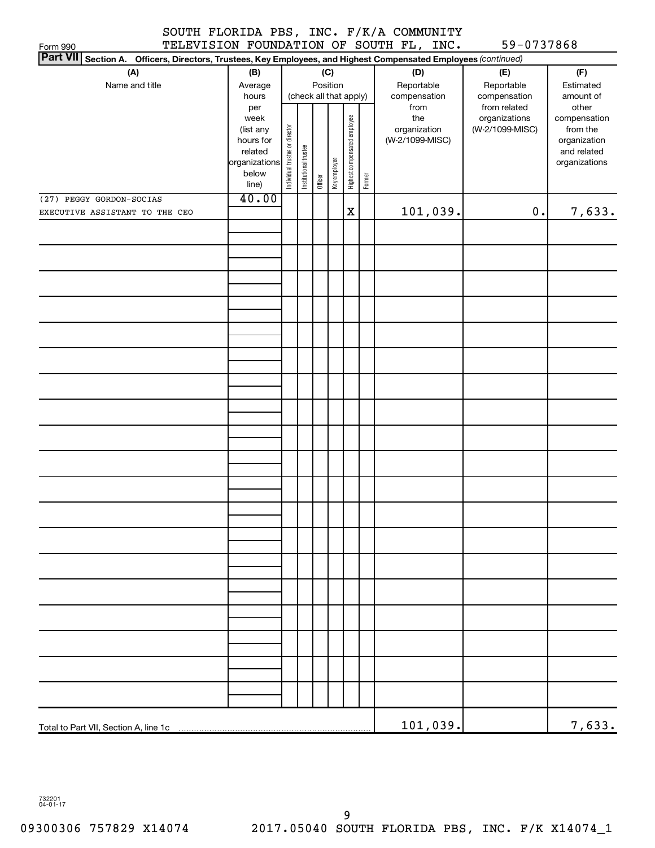| Form 990                                                                                                                  |                |                                |                        |         |              |                              |        | TELEVISION FOUNDATION OF SOUTH FL, INC. | 59-0737868                    |                       |
|---------------------------------------------------------------------------------------------------------------------------|----------------|--------------------------------|------------------------|---------|--------------|------------------------------|--------|-----------------------------------------|-------------------------------|-----------------------|
| <b>Part VII</b><br>Section A. Officers, Directors, Trustees, Key Employees, and Highest Compensated Employees (continued) |                |                                |                        |         |              |                              |        |                                         |                               |                       |
| (A)                                                                                                                       | (B)            |                                |                        |         | (C)          |                              |        | (D)                                     | (E)                           | (F)                   |
| Name and title                                                                                                            | Average        |                                |                        |         | Position     |                              |        | Reportable                              | Reportable                    | Estimated             |
|                                                                                                                           | hours          |                                | (check all that apply) |         |              |                              |        | compensation                            | compensation                  | amount of             |
|                                                                                                                           | per<br>week    |                                |                        |         |              |                              |        | from<br>the                             | from related<br>organizations | other<br>compensation |
|                                                                                                                           | (list any      |                                |                        |         |              |                              |        | organization                            | (W-2/1099-MISC)               | from the              |
|                                                                                                                           | hours for      |                                |                        |         |              |                              |        | (W-2/1099-MISC)                         |                               | organization          |
|                                                                                                                           | related        |                                |                        |         |              |                              |        |                                         |                               | and related           |
|                                                                                                                           | organizations  |                                |                        |         |              |                              |        |                                         |                               | organizations         |
|                                                                                                                           | below<br>line) | Individual trustee or director | Institutional trustee  | Officer | Key employee | Highest compensated employee | Former |                                         |                               |                       |
| (27) PEGGY GORDON-SOCIAS                                                                                                  | 40.00          |                                |                        |         |              |                              |        |                                         |                               |                       |
| EXECUTIVE ASSISTANT TO THE CEO                                                                                            |                |                                |                        |         |              | X                            |        | 101,039.                                | $\mathbf 0$ .                 | 7,633.                |
|                                                                                                                           |                |                                |                        |         |              |                              |        |                                         |                               |                       |
|                                                                                                                           |                |                                |                        |         |              |                              |        |                                         |                               |                       |
|                                                                                                                           |                |                                |                        |         |              |                              |        |                                         |                               |                       |
|                                                                                                                           |                |                                |                        |         |              |                              |        |                                         |                               |                       |
|                                                                                                                           |                |                                |                        |         |              |                              |        |                                         |                               |                       |
|                                                                                                                           |                |                                |                        |         |              |                              |        |                                         |                               |                       |
|                                                                                                                           |                |                                |                        |         |              |                              |        |                                         |                               |                       |
|                                                                                                                           |                |                                |                        |         |              |                              |        |                                         |                               |                       |
|                                                                                                                           |                |                                |                        |         |              |                              |        |                                         |                               |                       |
|                                                                                                                           |                |                                |                        |         |              |                              |        |                                         |                               |                       |
|                                                                                                                           |                |                                |                        |         |              |                              |        |                                         |                               |                       |
|                                                                                                                           |                |                                |                        |         |              |                              |        |                                         |                               |                       |
|                                                                                                                           |                |                                |                        |         |              |                              |        |                                         |                               |                       |
|                                                                                                                           |                |                                |                        |         |              |                              |        |                                         |                               |                       |
|                                                                                                                           |                |                                |                        |         |              |                              |        |                                         |                               |                       |
|                                                                                                                           |                |                                |                        |         |              |                              |        |                                         |                               |                       |
|                                                                                                                           |                |                                |                        |         |              |                              |        |                                         |                               |                       |
|                                                                                                                           |                |                                |                        |         |              |                              |        |                                         |                               |                       |
|                                                                                                                           |                |                                |                        |         |              |                              |        |                                         |                               |                       |
|                                                                                                                           |                |                                |                        |         |              |                              |        |                                         |                               |                       |
|                                                                                                                           |                |                                |                        |         |              |                              |        |                                         |                               |                       |
|                                                                                                                           |                |                                |                        |         |              |                              |        |                                         |                               |                       |
|                                                                                                                           |                |                                |                        |         |              |                              |        |                                         |                               |                       |
|                                                                                                                           |                |                                |                        |         |              |                              |        |                                         |                               |                       |
|                                                                                                                           |                |                                |                        |         |              |                              |        |                                         |                               |                       |
|                                                                                                                           |                |                                |                        |         |              |                              |        |                                         |                               |                       |
|                                                                                                                           |                |                                |                        |         |              |                              |        |                                         |                               |                       |
|                                                                                                                           |                |                                |                        |         |              |                              |        |                                         |                               |                       |
|                                                                                                                           |                |                                |                        |         |              |                              |        |                                         |                               |                       |
|                                                                                                                           |                |                                |                        |         |              |                              |        |                                         |                               |                       |
|                                                                                                                           |                |                                |                        |         |              |                              |        |                                         |                               |                       |
|                                                                                                                           |                |                                |                        |         |              |                              |        |                                         |                               |                       |
|                                                                                                                           |                |                                |                        |         |              |                              |        |                                         |                               |                       |
|                                                                                                                           |                |                                |                        |         |              |                              |        |                                         |                               |                       |
|                                                                                                                           |                |                                |                        |         |              |                              |        |                                         |                               |                       |
| Total to Part VII, Section A, line 1c                                                                                     |                |                                |                        |         |              |                              |        | 101,039.                                |                               | 7,633.                |

732201 04-01-17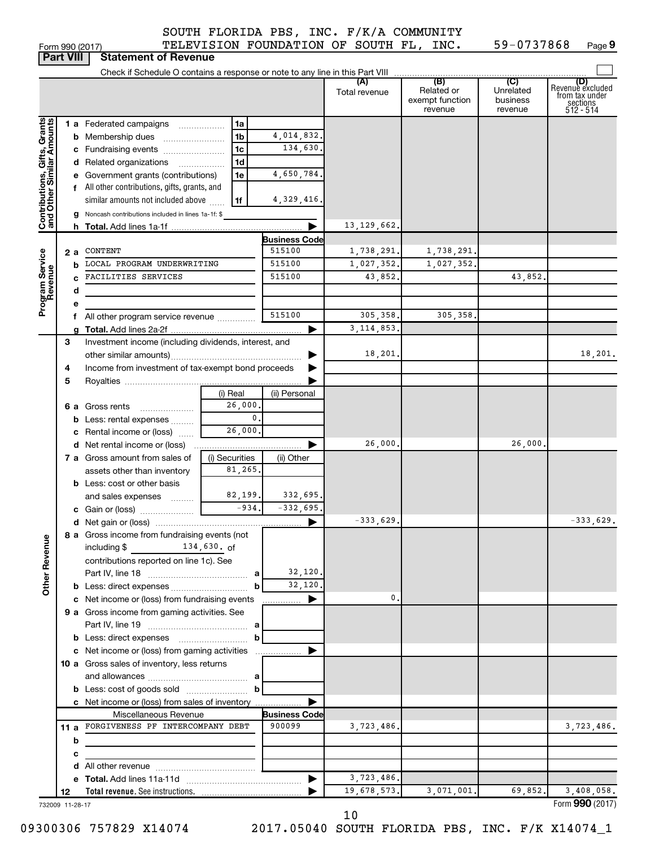|  |  | SOUTH FLORIDA PBS, INC. F/K/A COMMUNITY |
|--|--|-----------------------------------------|
|  |  |                                         |

Form 990 (2017) Page **9** TELEVISION FOUNDATION OF SOUTH FL, INC. 59-0737868

|                                                           | <b>Part VIII</b> | <b>Statement of Revenue</b>                                                |                     |                      |               |                                          |                                  |                                                                    |
|-----------------------------------------------------------|------------------|----------------------------------------------------------------------------|---------------------|----------------------|---------------|------------------------------------------|----------------------------------|--------------------------------------------------------------------|
|                                                           |                  |                                                                            |                     |                      |               |                                          |                                  |                                                                    |
|                                                           |                  |                                                                            |                     |                      | Total revenue | Related or<br>exempt function<br>revenue | Unrelated<br>business<br>revenue | (D)<br>Revenuè excluded<br>from tax under<br>sections<br>512 - 514 |
|                                                           |                  | 1 a Federated campaigns                                                    | 1a                  |                      |               |                                          |                                  |                                                                    |
|                                                           |                  | <b>b</b> Membership dues                                                   | 1 <sub>b</sub>      | 4,014,832.           |               |                                          |                                  |                                                                    |
|                                                           |                  | c Fundraising events                                                       | 1 <sub>c</sub>      | 134,630.             |               |                                          |                                  |                                                                    |
|                                                           |                  | d Related organizations                                                    | 1 <sub>d</sub><br>. |                      |               |                                          |                                  |                                                                    |
|                                                           |                  | e Government grants (contributions)                                        | 1e                  | 4,650,784.           |               |                                          |                                  |                                                                    |
|                                                           |                  | f All other contributions, gifts, grants, and                              |                     |                      |               |                                          |                                  |                                                                    |
|                                                           |                  | similar amounts not included above                                         | 1f                  | 4,329,416.           |               |                                          |                                  |                                                                    |
|                                                           |                  | g Noncash contributions included in lines 1a-1f: \$                        |                     |                      |               |                                          |                                  |                                                                    |
| Contributions, Gifts, Grants<br>and Other Similar Amounts |                  |                                                                            |                     |                      | 13, 129, 662. |                                          |                                  |                                                                    |
|                                                           |                  |                                                                            |                     | Business Code        |               |                                          |                                  |                                                                    |
|                                                           | 2а               | CONTENT                                                                    |                     | 515100               | 1,738,291.    | 1,738,291.                               |                                  |                                                                    |
| Program Service<br>Revenue                                | b                | LOCAL PROGRAM UNDERWRITING                                                 |                     | 515100               | 1,027,352.    | 1,027,352.                               |                                  |                                                                    |
|                                                           |                  | FACILITIES SERVICES                                                        |                     | 515100               | 43,852.       |                                          | 43,852.                          |                                                                    |
|                                                           | d                |                                                                            |                     |                      |               |                                          |                                  |                                                                    |
|                                                           |                  |                                                                            |                     |                      |               |                                          |                                  |                                                                    |
|                                                           |                  | f All other program service revenue                                        |                     | 515100               | 305, 358.     | 305,358,                                 |                                  |                                                                    |
|                                                           |                  |                                                                            |                     |                      | 3, 114, 853.  |                                          |                                  |                                                                    |
|                                                           | З                | Investment income (including dividends, interest, and                      |                     |                      |               |                                          |                                  |                                                                    |
|                                                           |                  |                                                                            |                     |                      | 18,201.       |                                          |                                  | 18,201.                                                            |
|                                                           | 4                | Income from investment of tax-exempt bond proceeds                         |                     |                      |               |                                          |                                  |                                                                    |
|                                                           | 5                |                                                                            |                     |                      |               |                                          |                                  |                                                                    |
|                                                           |                  |                                                                            | (i) Real            | (ii) Personal        |               |                                          |                                  |                                                                    |
|                                                           |                  | <b>6 a</b> Gross rents                                                     | 26,000.             |                      |               |                                          |                                  |                                                                    |
|                                                           |                  | <b>b</b> Less: rental expenses                                             | $\mathbf{0}$ .      |                      |               |                                          |                                  |                                                                    |
|                                                           |                  | c Rental income or (loss)                                                  | 26,000.             |                      |               |                                          |                                  |                                                                    |
|                                                           |                  | <b>d</b> Net rental income or (loss)                                       |                     |                      | 26,000.       |                                          | 26,000.                          |                                                                    |
|                                                           |                  | 7 a Gross amount from sales of                                             | (i) Securities      | (ii) Other           |               |                                          |                                  |                                                                    |
|                                                           |                  | assets other than inventory                                                | 81,265.             |                      |               |                                          |                                  |                                                                    |
|                                                           |                  | <b>b</b> Less: cost or other basis                                         |                     |                      |               |                                          |                                  |                                                                    |
|                                                           |                  | and sales expenses                                                         | 82,199.             | 332,695.             |               |                                          |                                  |                                                                    |
|                                                           |                  |                                                                            | $-934.$             | $-332,695.$          |               |                                          |                                  |                                                                    |
|                                                           |                  |                                                                            |                     | ▶                    | $-333,629.$   |                                          |                                  | $-333,629.$                                                        |
|                                                           |                  | 8 a Gross income from fundraising events (not                              |                     |                      |               |                                          |                                  |                                                                    |
|                                                           |                  | $134,630.$ of<br>including \$                                              |                     |                      |               |                                          |                                  |                                                                    |
|                                                           |                  | contributions reported on line 1c). See                                    |                     | 32,120.              |               |                                          |                                  |                                                                    |
| <b>Other Revenue</b>                                      |                  |                                                                            | b                   | 32,120.              |               |                                          |                                  |                                                                    |
|                                                           |                  | c Net income or (loss) from fundraising events                             |                     | ▶                    | 0.            |                                          |                                  |                                                                    |
|                                                           |                  | 9 a Gross income from gaming activities. See                               |                     |                      |               |                                          |                                  |                                                                    |
|                                                           |                  |                                                                            |                     |                      |               |                                          |                                  |                                                                    |
|                                                           |                  |                                                                            | b                   |                      |               |                                          |                                  |                                                                    |
|                                                           |                  | c Net income or (loss) from gaming activities                              |                     | ▶                    |               |                                          |                                  |                                                                    |
|                                                           |                  | 10 a Gross sales of inventory, less returns                                |                     |                      |               |                                          |                                  |                                                                    |
|                                                           |                  |                                                                            |                     |                      |               |                                          |                                  |                                                                    |
|                                                           |                  |                                                                            | b                   |                      |               |                                          |                                  |                                                                    |
|                                                           |                  | c Net income or (loss) from sales of inventory                             |                     |                      |               |                                          |                                  |                                                                    |
|                                                           |                  | Miscellaneous Revenue                                                      |                     | <b>Business Code</b> |               |                                          |                                  |                                                                    |
|                                                           |                  | 11 a FORGIVENESS PF INTERCOMPANY DEBT                                      |                     | 900099               | 3,723,486.    |                                          |                                  | 3,723,486.                                                         |
|                                                           | b                | the control of the control of the control of the control of the control of |                     |                      |               |                                          |                                  |                                                                    |
|                                                           | с                |                                                                            |                     |                      |               |                                          |                                  |                                                                    |
|                                                           |                  |                                                                            |                     |                      |               |                                          |                                  |                                                                    |
|                                                           |                  |                                                                            |                     | ▶                    | 3,723,486.    |                                          |                                  |                                                                    |
|                                                           | 12               |                                                                            |                     |                      | 19,678,573.   | 3,071,001.                               | 69,852.                          | 3,408,058.                                                         |
|                                                           | 732009 11-28-17  |                                                                            |                     |                      |               |                                          |                                  | Form 990 (2017)                                                    |

10

09300306 757829 X14074 2017.05040 SOUTH FLORIDA PBS, INC. F/K X14074\_1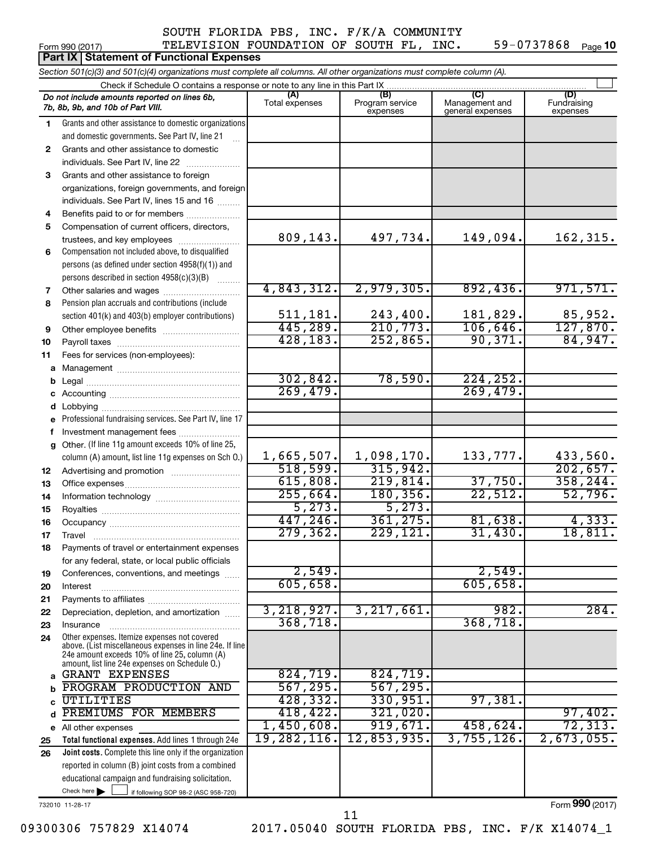#### Form 990 (2017) TELEVISION FOUNDATION OF SOUTH FL, INC.  $59 - 0737868$  Page TELEVISION FOUNDATION OF SOUTH FL, INC. 59-0737868

59-0737868 Page 10

|          | Part IX Statement of Functional Expenses                                                                                   |                       |                                    |                                    |                                |  |  |  |  |  |
|----------|----------------------------------------------------------------------------------------------------------------------------|-----------------------|------------------------------------|------------------------------------|--------------------------------|--|--|--|--|--|
|          | Section 501(c)(3) and 501(c)(4) organizations must complete all columns. All other organizations must complete column (A). |                       |                                    |                                    |                                |  |  |  |  |  |
|          | Check if Schedule O contains a response or note to any line in this Part IX                                                |                       |                                    |                                    |                                |  |  |  |  |  |
|          | Do not include amounts reported on lines 6b,<br>7b, 8b, 9b, and 10b of Part VIII.                                          | (A)<br>Total expenses | (B)<br>Program service<br>expenses | Management and<br>general expenses | (D)<br>Fundraising<br>expenses |  |  |  |  |  |
| 1        | Grants and other assistance to domestic organizations                                                                      |                       |                                    |                                    |                                |  |  |  |  |  |
|          | and domestic governments. See Part IV, line 21                                                                             |                       |                                    |                                    |                                |  |  |  |  |  |
| 2        | Grants and other assistance to domestic                                                                                    |                       |                                    |                                    |                                |  |  |  |  |  |
|          | individuals. See Part IV, line 22                                                                                          |                       |                                    |                                    |                                |  |  |  |  |  |
| 3        | Grants and other assistance to foreign                                                                                     |                       |                                    |                                    |                                |  |  |  |  |  |
|          | organizations, foreign governments, and foreign                                                                            |                       |                                    |                                    |                                |  |  |  |  |  |
|          | individuals. See Part IV, lines 15 and 16                                                                                  |                       |                                    |                                    |                                |  |  |  |  |  |
| 4        | Benefits paid to or for members                                                                                            |                       |                                    |                                    |                                |  |  |  |  |  |
| 5        | Compensation of current officers, directors,                                                                               |                       |                                    |                                    |                                |  |  |  |  |  |
|          | trustees, and key employees                                                                                                | 809,143.              | 497,734.                           | 149,094.                           | 162, 315.                      |  |  |  |  |  |
| 6        | Compensation not included above, to disqualified                                                                           |                       |                                    |                                    |                                |  |  |  |  |  |
|          | persons (as defined under section 4958(f)(1)) and                                                                          |                       |                                    |                                    |                                |  |  |  |  |  |
|          | persons described in section 4958(c)(3)(B)                                                                                 | 4,843,312.            | 2,979,305.                         | 892,436.                           | 971,571.                       |  |  |  |  |  |
| 7<br>8   | Other salaries and wages<br>Pension plan accruals and contributions (include                                               |                       |                                    |                                    |                                |  |  |  |  |  |
|          | section 401(k) and 403(b) employer contributions)                                                                          | 511,181.              | 243,400.                           | 181,829.                           |                                |  |  |  |  |  |
| 9        | Other employee benefits                                                                                                    | 445,289.              | 210,773.                           | 106,646.                           | $\frac{85,952}{127,870}$       |  |  |  |  |  |
| 10       |                                                                                                                            | 428, 183.             | 252,865.                           | 90, 371.                           | 84,947.                        |  |  |  |  |  |
| 11       | Fees for services (non-employees):                                                                                         |                       |                                    |                                    |                                |  |  |  |  |  |
| a        |                                                                                                                            |                       |                                    |                                    |                                |  |  |  |  |  |
| b        |                                                                                                                            | 302,842.              | 78,590.                            | 224, 252.                          |                                |  |  |  |  |  |
| С        |                                                                                                                            | 269,479.              |                                    | 269,479.                           |                                |  |  |  |  |  |
|          |                                                                                                                            |                       |                                    |                                    |                                |  |  |  |  |  |
| е        | Professional fundraising services. See Part IV, line 17                                                                    |                       |                                    |                                    |                                |  |  |  |  |  |
| f.       | Investment management fees                                                                                                 |                       |                                    |                                    |                                |  |  |  |  |  |
| g        | Other. (If line 11g amount exceeds 10% of line 25,                                                                         |                       |                                    |                                    |                                |  |  |  |  |  |
|          | column (A) amount, list line 11g expenses on Sch O.)                                                                       | 1,665,507.            | 1,098,170.                         | 133,777.                           | 433,560.                       |  |  |  |  |  |
| 12       |                                                                                                                            | 518,599.              | 315,942.                           |                                    | 202,657.                       |  |  |  |  |  |
| 13       |                                                                                                                            | 615,808.              | 219,814.                           | 37,750.                            | 358, 244.                      |  |  |  |  |  |
| 14       |                                                                                                                            | 255,664.              | 180, 356.                          | 22,512.                            | 52,796.                        |  |  |  |  |  |
| 15       |                                                                                                                            | 5,273.                | 5, 273.                            |                                    |                                |  |  |  |  |  |
| 16       |                                                                                                                            | 447, 246.             | 361,275.                           | 81,638.                            | 4,333.                         |  |  |  |  |  |
| 17       | Travel                                                                                                                     | 279, 362.             | 229,121.                           | 31,430.                            | 18,811.                        |  |  |  |  |  |
| 18       | Payments of travel or entertainment expenses                                                                               |                       |                                    |                                    |                                |  |  |  |  |  |
|          | for any federal, state, or local public officials                                                                          | 2,549.                |                                    | 2,549.                             |                                |  |  |  |  |  |
| 19       | Conferences, conventions, and meetings                                                                                     | 605,658.              |                                    | 605,658.                           |                                |  |  |  |  |  |
| 20<br>21 | Interest                                                                                                                   |                       |                                    |                                    |                                |  |  |  |  |  |
| 22       | Depreciation, depletion, and amortization                                                                                  | 3,218,927.            | 3, 217, 661.                       | 982.                               | 284.                           |  |  |  |  |  |
| 23       | Insurance                                                                                                                  | 368,718.              |                                    | 368, 718.                          |                                |  |  |  |  |  |
| 24       | Other expenses. Itemize expenses not covered                                                                               |                       |                                    |                                    |                                |  |  |  |  |  |
|          | above. (List miscellaneous expenses in line 24e. If line                                                                   |                       |                                    |                                    |                                |  |  |  |  |  |
|          | 24e amount exceeds 10% of line 25, column (A)<br>amount, list line 24e expenses on Schedule O.)                            |                       |                                    |                                    |                                |  |  |  |  |  |
| a        | <b>GRANT EXPENSES</b>                                                                                                      | 824,719.              | 824,719.                           |                                    |                                |  |  |  |  |  |
| b        | PROGRAM PRODUCTION AND                                                                                                     | 567, 295.             | 567, 295.                          |                                    |                                |  |  |  |  |  |
| C        | UTILITIES                                                                                                                  | 428, 332.             | 330,951.                           | 97,381.                            |                                |  |  |  |  |  |
| d        | PREMIUMS FOR MEMBERS                                                                                                       | 418, 422.             | 321,020.                           |                                    | 97,402.                        |  |  |  |  |  |
|          | e All other expenses                                                                                                       | 1,450,608.            | 919,671.                           | 458,624.                           | 72, 313.                       |  |  |  |  |  |
| 25       | Total functional expenses. Add lines 1 through 24e                                                                         | 19,282,116.           | 12,853,935.                        | 3,755,126.                         | 2,673,055.                     |  |  |  |  |  |
| 26       | Joint costs. Complete this line only if the organization                                                                   |                       |                                    |                                    |                                |  |  |  |  |  |
|          | reported in column (B) joint costs from a combined                                                                         |                       |                                    |                                    |                                |  |  |  |  |  |
|          | educational campaign and fundraising solicitation.                                                                         |                       |                                    |                                    |                                |  |  |  |  |  |
|          | Check here $\blacktriangleright$<br>if following SOP 98-2 (ASC 958-720)                                                    |                       |                                    |                                    |                                |  |  |  |  |  |

732010 11-28-17

Form (2017) **990**

11

09300306 757829 X14074 2017.05040 SOUTH FLORIDA PBS, INC. F/K X14074\_1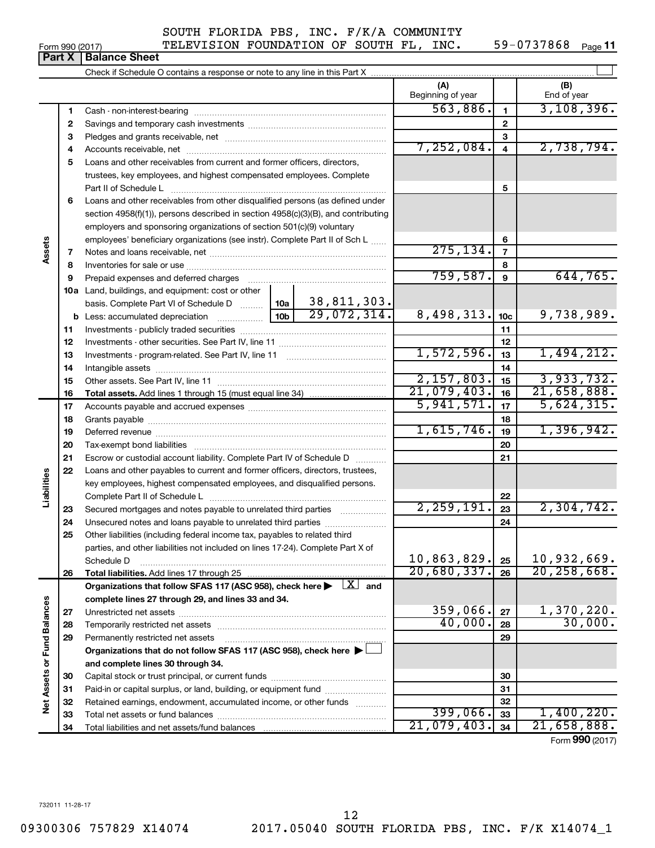Form 990 (2017) TELEVISION FOUNDATION OF SOUTH FL, INC.  $59-0737868$  Page

59-0737868 Page 11

|                             | . u. . x | טטווט טוויט                                                                                                                                              |                                         |                 |                            |
|-----------------------------|----------|----------------------------------------------------------------------------------------------------------------------------------------------------------|-----------------------------------------|-----------------|----------------------------|
|                             |          |                                                                                                                                                          |                                         |                 |                            |
|                             |          |                                                                                                                                                          | (A)<br>Beginning of year                |                 | (B)<br>End of year         |
|                             | 1        |                                                                                                                                                          | 563,886.                                | $\mathbf{1}$    | 3,108,396.                 |
|                             | 2        |                                                                                                                                                          |                                         | $\overline{2}$  |                            |
|                             | з        |                                                                                                                                                          |                                         | 3               |                            |
|                             | 4        |                                                                                                                                                          | 7,252,084.                              | $\overline{4}$  | 2,738,794.                 |
|                             | 5        | Loans and other receivables from current and former officers, directors,                                                                                 |                                         |                 |                            |
|                             |          | trustees, key employees, and highest compensated employees. Complete                                                                                     |                                         |                 |                            |
|                             |          | Part II of Schedule L                                                                                                                                    |                                         | 5               |                            |
|                             | 6        | Loans and other receivables from other disqualified persons (as defined under                                                                            |                                         |                 |                            |
|                             |          | section 4958(f)(1)), persons described in section 4958(c)(3)(B), and contributing                                                                        |                                         |                 |                            |
|                             |          | employers and sponsoring organizations of section 501(c)(9) voluntary                                                                                    |                                         |                 |                            |
|                             |          | employees' beneficiary organizations (see instr). Complete Part II of Sch L                                                                              |                                         | 6               |                            |
| Assets                      | 7        |                                                                                                                                                          | 275, 134.                               | $\overline{7}$  |                            |
|                             | 8        |                                                                                                                                                          |                                         | 8               |                            |
|                             | 9        | Prepaid expenses and deferred charges                                                                                                                    | 759,587.                                | 9               | 644,765.                   |
|                             |          | 10a Land, buildings, and equipment: cost or other                                                                                                        |                                         |                 |                            |
|                             |          | 38,811,303.<br>29,072,314.<br>basis. Complete Part VI of Schedule D  10a                                                                                 |                                         |                 |                            |
|                             |          |                                                                                                                                                          | 8,498,313.                              | 10 <sub>c</sub> | 9,738,989.                 |
|                             | 11       |                                                                                                                                                          |                                         | 11              |                            |
|                             | 12       |                                                                                                                                                          |                                         | 12              |                            |
|                             | 13       |                                                                                                                                                          | 1,572,596.                              | 13              | 1,494,212.                 |
|                             | 14       |                                                                                                                                                          |                                         | 14              |                            |
|                             | 15       |                                                                                                                                                          | 2,157,803.<br>$\overline{21,079,403}$ . | 15              | 3,933,732.                 |
|                             | 16       |                                                                                                                                                          | 5,941,571.                              | 16              | 21,658,888.<br>5,624,315.  |
|                             | 17       |                                                                                                                                                          |                                         | 17              |                            |
|                             | 18       |                                                                                                                                                          | 1,615,746.                              | 18              | 1,396,942.                 |
|                             | 19       |                                                                                                                                                          |                                         | 19              |                            |
|                             | 20<br>21 | Tax-exempt bond liabilities                                                                                                                              |                                         | 20<br>21        |                            |
|                             | 22       | Escrow or custodial account liability. Complete Part IV of Schedule D<br>.                                                                               |                                         |                 |                            |
| abilities                   |          | Loans and other payables to current and former officers, directors, trustees,<br>key employees, highest compensated employees, and disqualified persons. |                                         |                 |                            |
|                             |          |                                                                                                                                                          |                                         | 22              |                            |
|                             | 23       | Secured mortgages and notes payable to unrelated third parties                                                                                           | 2, 259, 191.                            | 23              | 2,304,742.                 |
|                             | 24       |                                                                                                                                                          |                                         | 24              |                            |
|                             | 25       | Other liabilities (including federal income tax, payables to related third                                                                               |                                         |                 |                            |
|                             |          | parties, and other liabilities not included on lines 17-24). Complete Part X of                                                                          |                                         |                 |                            |
|                             |          | Schedule D                                                                                                                                               | 10,863,829.                             | 25              | 10,932,669.                |
|                             | 26       | Total liabilities. Add lines 17 through 25                                                                                                               | 20,680,337.                             | 26              | 20, 258, 668.              |
|                             |          | Organizations that follow SFAS 117 (ASC 958), check here $\blacktriangleright \begin{array}{c} \boxed{X} \\ \end{array}$ and                             |                                         |                 |                            |
|                             |          | complete lines 27 through 29, and lines 33 and 34.                                                                                                       |                                         |                 |                            |
|                             | 27       |                                                                                                                                                          | 359,066.                                | 27              | $\frac{1,370,220}{30,000}$ |
|                             | 28       |                                                                                                                                                          | 40,000.                                 | 28              |                            |
|                             | 29       | Permanently restricted net assets                                                                                                                        |                                         | 29              |                            |
|                             |          | Organizations that do not follow SFAS 117 (ASC 958), check here ▶                                                                                        |                                         |                 |                            |
|                             |          | and complete lines 30 through 34.                                                                                                                        |                                         |                 |                            |
|                             | 30       |                                                                                                                                                          |                                         | 30              |                            |
|                             | 31       | Paid-in or capital surplus, or land, building, or equipment fund                                                                                         |                                         | 31              |                            |
| Net Assets or Fund Balances | 32       | Retained earnings, endowment, accumulated income, or other funds                                                                                         |                                         | 32              |                            |
|                             | 33       |                                                                                                                                                          | 399,066.                                | 33              | 1,400,220.                 |
|                             | 34       |                                                                                                                                                          | 21,079,403.                             | 34              | 21,658,888.                |
|                             |          |                                                                                                                                                          |                                         |                 | Form 990 (2017)            |

| orm 990 (2017) |                               |  |
|----------------|-------------------------------|--|
|                | <b>Part X   Balance Sheet</b> |  |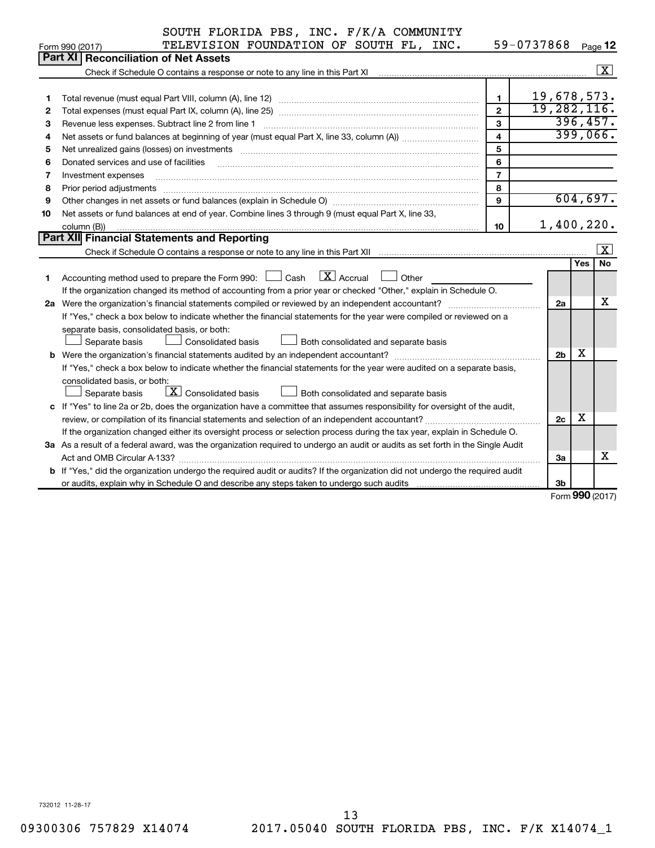|    | SOUTH FLORIDA PBS, INC. F/K/A COMMUNITY                                                                                                                                                                                        |                |                |            |                      |  |
|----|--------------------------------------------------------------------------------------------------------------------------------------------------------------------------------------------------------------------------------|----------------|----------------|------------|----------------------|--|
|    | TELEVISION FOUNDATION OF SOUTH FL, INC.<br>Form 990 (2017)                                                                                                                                                                     |                | 59-0737868     |            | Page 12              |  |
|    | Part XI<br><b>Reconciliation of Net Assets</b>                                                                                                                                                                                 |                |                |            |                      |  |
|    | Check if Schedule O contains a response or note to any line in this Part XI [11] manufacture in the schedule O contains a response or note to any line in this Part XI                                                         |                |                |            | $\boxed{\text{X}}$   |  |
|    |                                                                                                                                                                                                                                |                |                |            |                      |  |
| 1  |                                                                                                                                                                                                                                | $\mathbf{1}$   | 19,678,573.    |            |                      |  |
| 2  |                                                                                                                                                                                                                                | $\mathfrak{p}$ | 19, 282, 116.  |            |                      |  |
| З  | Revenue less expenses. Subtract line 2 from line 1                                                                                                                                                                             | 3              |                |            | 396,457.<br>399,066. |  |
| 4  | $\overline{\mathbf{4}}$                                                                                                                                                                                                        |                |                |            |                      |  |
| 5  | Net unrealized gains (losses) on investments [11] matter contracts and the state of the state of the state of the state of the state of the state of the state of the state of the state of the state of the state of the stat | 5              |                |            |                      |  |
| 6  | Donated services and use of facilities                                                                                                                                                                                         | 6              |                |            |                      |  |
| 7  | Investment expenses                                                                                                                                                                                                            | $\overline{7}$ |                |            |                      |  |
| 8  | Prior period adjustments                                                                                                                                                                                                       | 8              |                |            |                      |  |
| 9  |                                                                                                                                                                                                                                | $\mathbf{Q}$   |                |            | 604,697.             |  |
| 10 | Net assets or fund balances at end of year. Combine lines 3 through 9 (must equal Part X, line 33,                                                                                                                             |                |                |            |                      |  |
|    | column (B))                                                                                                                                                                                                                    | 10             | 1,400,220.     |            |                      |  |
|    | Part XII Financial Statements and Reporting                                                                                                                                                                                    |                |                |            |                      |  |
|    |                                                                                                                                                                                                                                |                |                |            | $\mathbf{X}$         |  |
|    |                                                                                                                                                                                                                                |                |                | <b>Yes</b> | <b>No</b>            |  |
| 1  | $X$ Accrual<br>Accounting method used to prepare the Form 990: $\Box$ Cash<br>Other                                                                                                                                            |                |                |            |                      |  |
|    | If the organization changed its method of accounting from a prior year or checked "Other," explain in Schedule O.                                                                                                              |                |                |            |                      |  |
|    |                                                                                                                                                                                                                                |                | 2a             |            | X                    |  |
|    | If "Yes," check a box below to indicate whether the financial statements for the year were compiled or reviewed on a                                                                                                           |                |                |            |                      |  |
|    | separate basis, consolidated basis, or both:                                                                                                                                                                                   |                |                |            |                      |  |
|    | Separate basis<br><b>Consolidated basis</b><br>Both consolidated and separate basis                                                                                                                                            |                |                |            |                      |  |
|    |                                                                                                                                                                                                                                |                | 2 <sub>b</sub> | х          |                      |  |
|    | If "Yes," check a box below to indicate whether the financial statements for the year were audited on a separate basis,                                                                                                        |                |                |            |                      |  |
|    | consolidated basis, or both:                                                                                                                                                                                                   |                |                |            |                      |  |
|    | $\boxed{\textbf{X}}$ Consolidated basis<br>Separate basis<br>Both consolidated and separate basis                                                                                                                              |                |                |            |                      |  |
|    | c If "Yes" to line 2a or 2b, does the organization have a committee that assumes responsibility for oversight of the audit,                                                                                                    |                |                |            |                      |  |
|    |                                                                                                                                                                                                                                |                | 2c             | х          |                      |  |
|    | If the organization changed either its oversight process or selection process during the tax year, explain in Schedule O.                                                                                                      |                |                |            |                      |  |
|    | 3a As a result of a federal award, was the organization required to undergo an audit or audits as set forth in the Single Audit                                                                                                |                |                |            |                      |  |
|    |                                                                                                                                                                                                                                |                | За             |            | х                    |  |
|    | b If "Yes," did the organization undergo the required audit or audits? If the organization did not undergo the required audit                                                                                                  |                |                |            |                      |  |
|    | or audits, explain why in Schedule O and describe any steps taken to undergo such audits matures and the matur                                                                                                                 |                | 3b             |            |                      |  |

Form (2017) **990**

732012 11-28-17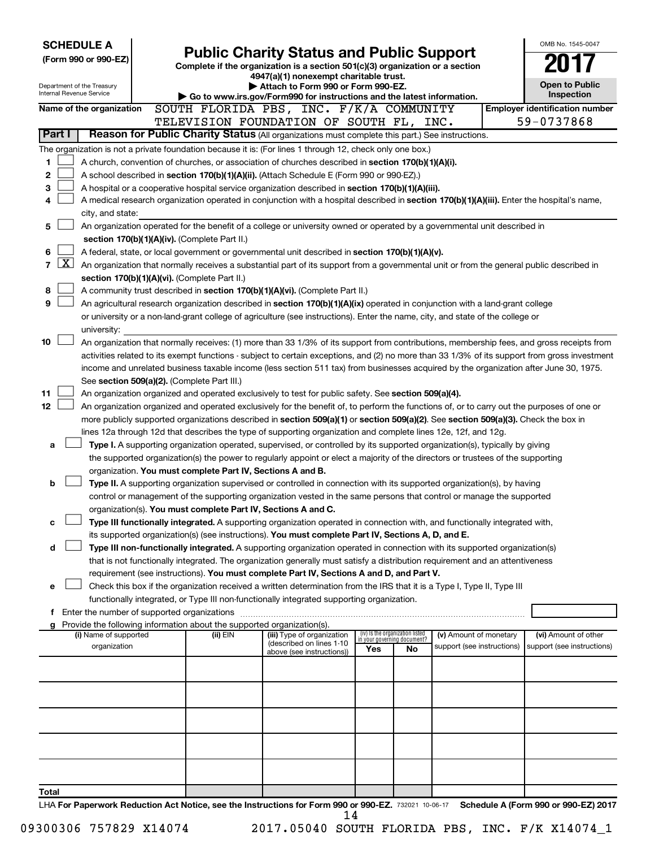| <b>SCHEDULE A</b><br><b>Public Charity Status and Public Support</b>                                                                                                             |                                                                                                                                                                                                                                                                                        |                                                                                                              |     |                                                                |                            |  |                                       |
|----------------------------------------------------------------------------------------------------------------------------------------------------------------------------------|----------------------------------------------------------------------------------------------------------------------------------------------------------------------------------------------------------------------------------------------------------------------------------------|--------------------------------------------------------------------------------------------------------------|-----|----------------------------------------------------------------|----------------------------|--|---------------------------------------|
| (Form 990 or 990-EZ)                                                                                                                                                             |                                                                                                                                                                                                                                                                                        | Complete if the organization is a section 501(c)(3) organization or a section                                |     |                                                                |                            |  |                                       |
|                                                                                                                                                                                  |                                                                                                                                                                                                                                                                                        | 4947(a)(1) nonexempt charitable trust.                                                                       |     |                                                                |                            |  |                                       |
| Department of the Treasury<br>Internal Revenue Service                                                                                                                           |                                                                                                                                                                                                                                                                                        | Attach to Form 990 or Form 990-EZ.<br>Go to www.irs.gov/Form990 for instructions and the latest information. |     |                                                                |                            |  | <b>Open to Public</b><br>Inspection   |
| Name of the organization                                                                                                                                                         | SOUTH FLORIDA PBS, INC. F/K/A COMMUNITY                                                                                                                                                                                                                                                |                                                                                                              |     |                                                                |                            |  | <b>Employer identification number</b> |
|                                                                                                                                                                                  | TELEVISION FOUNDATION OF SOUTH FL, INC.                                                                                                                                                                                                                                                |                                                                                                              |     |                                                                |                            |  | 59-0737868                            |
| Part I                                                                                                                                                                           | Reason for Public Charity Status (All organizations must complete this part.) See instructions.                                                                                                                                                                                        |                                                                                                              |     |                                                                |                            |  |                                       |
| The organization is not a private foundation because it is: (For lines 1 through 12, check only one box.)                                                                        |                                                                                                                                                                                                                                                                                        |                                                                                                              |     |                                                                |                            |  |                                       |
| 1                                                                                                                                                                                | A church, convention of churches, or association of churches described in section 170(b)(1)(A)(i).                                                                                                                                                                                     |                                                                                                              |     |                                                                |                            |  |                                       |
| 2                                                                                                                                                                                | A school described in section 170(b)(1)(A)(ii). (Attach Schedule E (Form 990 or 990-EZ).)                                                                                                                                                                                              |                                                                                                              |     |                                                                |                            |  |                                       |
| 3                                                                                                                                                                                | A hospital or a cooperative hospital service organization described in section 170(b)(1)(A)(iii).                                                                                                                                                                                      |                                                                                                              |     |                                                                |                            |  |                                       |
| 4                                                                                                                                                                                | A medical research organization operated in conjunction with a hospital described in section 170(b)(1)(A)(iii). Enter the hospital's name,                                                                                                                                             |                                                                                                              |     |                                                                |                            |  |                                       |
| city, and state:<br>5                                                                                                                                                            | An organization operated for the benefit of a college or university owned or operated by a governmental unit described in                                                                                                                                                              |                                                                                                              |     |                                                                |                            |  |                                       |
| section 170(b)(1)(A)(iv). (Complete Part II.)                                                                                                                                    |                                                                                                                                                                                                                                                                                        |                                                                                                              |     |                                                                |                            |  |                                       |
| 6                                                                                                                                                                                | A federal, state, or local government or governmental unit described in section 170(b)(1)(A)(v).                                                                                                                                                                                       |                                                                                                              |     |                                                                |                            |  |                                       |
| $\boxed{\text{X}}$<br>7                                                                                                                                                          | An organization that normally receives a substantial part of its support from a governmental unit or from the general public described in                                                                                                                                              |                                                                                                              |     |                                                                |                            |  |                                       |
| section 170(b)(1)(A)(vi). (Complete Part II.)                                                                                                                                    |                                                                                                                                                                                                                                                                                        |                                                                                                              |     |                                                                |                            |  |                                       |
| 8                                                                                                                                                                                | A community trust described in section 170(b)(1)(A)(vi). (Complete Part II.)                                                                                                                                                                                                           |                                                                                                              |     |                                                                |                            |  |                                       |
| 9                                                                                                                                                                                | An agricultural research organization described in section 170(b)(1)(A)(ix) operated in conjunction with a land-grant college                                                                                                                                                          |                                                                                                              |     |                                                                |                            |  |                                       |
|                                                                                                                                                                                  | or university or a non-land-grant college of agriculture (see instructions). Enter the name, city, and state of the college or                                                                                                                                                         |                                                                                                              |     |                                                                |                            |  |                                       |
| university:                                                                                                                                                                      |                                                                                                                                                                                                                                                                                        |                                                                                                              |     |                                                                |                            |  |                                       |
| 10                                                                                                                                                                               | An organization that normally receives: (1) more than 33 1/3% of its support from contributions, membership fees, and gross receipts from                                                                                                                                              |                                                                                                              |     |                                                                |                            |  |                                       |
|                                                                                                                                                                                  | activities related to its exempt functions - subject to certain exceptions, and (2) no more than 33 1/3% of its support from gross investment<br>income and unrelated business taxable income (less section 511 tax) from businesses acquired by the organization after June 30, 1975. |                                                                                                              |     |                                                                |                            |  |                                       |
| See section 509(a)(2). (Complete Part III.)                                                                                                                                      |                                                                                                                                                                                                                                                                                        |                                                                                                              |     |                                                                |                            |  |                                       |
| 11                                                                                                                                                                               | An organization organized and operated exclusively to test for public safety. See section 509(a)(4).                                                                                                                                                                                   |                                                                                                              |     |                                                                |                            |  |                                       |
| 12                                                                                                                                                                               | An organization organized and operated exclusively for the benefit of, to perform the functions of, or to carry out the purposes of one or                                                                                                                                             |                                                                                                              |     |                                                                |                            |  |                                       |
|                                                                                                                                                                                  | more publicly supported organizations described in section 509(a)(1) or section 509(a)(2). See section 509(a)(3). Check the box in                                                                                                                                                     |                                                                                                              |     |                                                                |                            |  |                                       |
|                                                                                                                                                                                  | lines 12a through 12d that describes the type of supporting organization and complete lines 12e, 12f, and 12g.                                                                                                                                                                         |                                                                                                              |     |                                                                |                            |  |                                       |
| a                                                                                                                                                                                | Type I. A supporting organization operated, supervised, or controlled by its supported organization(s), typically by giving                                                                                                                                                            |                                                                                                              |     |                                                                |                            |  |                                       |
|                                                                                                                                                                                  | the supported organization(s) the power to regularly appoint or elect a majority of the directors or trustees of the supporting                                                                                                                                                        |                                                                                                              |     |                                                                |                            |  |                                       |
| b                                                                                                                                                                                | organization. You must complete Part IV, Sections A and B.                                                                                                                                                                                                                             |                                                                                                              |     |                                                                |                            |  |                                       |
|                                                                                                                                                                                  | Type II. A supporting organization supervised or controlled in connection with its supported organization(s), by having<br>control or management of the supporting organization vested in the same persons that control or manage the supported                                        |                                                                                                              |     |                                                                |                            |  |                                       |
|                                                                                                                                                                                  | organization(s). You must complete Part IV, Sections A and C.                                                                                                                                                                                                                          |                                                                                                              |     |                                                                |                            |  |                                       |
| с                                                                                                                                                                                | Type III functionally integrated. A supporting organization operated in connection with, and functionally integrated with,                                                                                                                                                             |                                                                                                              |     |                                                                |                            |  |                                       |
|                                                                                                                                                                                  | its supported organization(s) (see instructions). You must complete Part IV, Sections A, D, and E.                                                                                                                                                                                     |                                                                                                              |     |                                                                |                            |  |                                       |
| d                                                                                                                                                                                | Type III non-functionally integrated. A supporting organization operated in connection with its supported organization(s)                                                                                                                                                              |                                                                                                              |     |                                                                |                            |  |                                       |
|                                                                                                                                                                                  | that is not functionally integrated. The organization generally must satisfy a distribution requirement and an attentiveness                                                                                                                                                           |                                                                                                              |     |                                                                |                            |  |                                       |
|                                                                                                                                                                                  | requirement (see instructions). You must complete Part IV, Sections A and D, and Part V.                                                                                                                                                                                               |                                                                                                              |     |                                                                |                            |  |                                       |
| е                                                                                                                                                                                | Check this box if the organization received a written determination from the IRS that it is a Type I, Type II, Type III                                                                                                                                                                |                                                                                                              |     |                                                                |                            |  |                                       |
|                                                                                                                                                                                  | functionally integrated, or Type III non-functionally integrated supporting organization.                                                                                                                                                                                              |                                                                                                              |     |                                                                |                            |  |                                       |
| f Enter the number of supported organizations<br>Provide the following information about the supported organization(s).<br>g                                                     |                                                                                                                                                                                                                                                                                        |                                                                                                              |     |                                                                |                            |  |                                       |
| (i) Name of supported                                                                                                                                                            | (ii) EIN                                                                                                                                                                                                                                                                               | (iii) Type of organization                                                                                   |     | (iv) Is the organization listed<br>in your governing document? | (v) Amount of monetary     |  | (vi) Amount of other                  |
| organization                                                                                                                                                                     |                                                                                                                                                                                                                                                                                        | (described on lines 1-10<br>above (see instructions))                                                        | Yes | No.                                                            | support (see instructions) |  | support (see instructions)            |
|                                                                                                                                                                                  |                                                                                                                                                                                                                                                                                        |                                                                                                              |     |                                                                |                            |  |                                       |
|                                                                                                                                                                                  |                                                                                                                                                                                                                                                                                        |                                                                                                              |     |                                                                |                            |  |                                       |
|                                                                                                                                                                                  |                                                                                                                                                                                                                                                                                        |                                                                                                              |     |                                                                |                            |  |                                       |
|                                                                                                                                                                                  |                                                                                                                                                                                                                                                                                        |                                                                                                              |     |                                                                |                            |  |                                       |
|                                                                                                                                                                                  |                                                                                                                                                                                                                                                                                        |                                                                                                              |     |                                                                |                            |  |                                       |
|                                                                                                                                                                                  |                                                                                                                                                                                                                                                                                        |                                                                                                              |     |                                                                |                            |  |                                       |
|                                                                                                                                                                                  |                                                                                                                                                                                                                                                                                        |                                                                                                              |     |                                                                |                            |  |                                       |
|                                                                                                                                                                                  |                                                                                                                                                                                                                                                                                        |                                                                                                              |     |                                                                |                            |  |                                       |
|                                                                                                                                                                                  |                                                                                                                                                                                                                                                                                        |                                                                                                              |     |                                                                |                            |  |                                       |
| Total                                                                                                                                                                            |                                                                                                                                                                                                                                                                                        |                                                                                                              |     |                                                                |                            |  |                                       |
| $1\mu\Lambda$ For Danerwork Reduction Act Notice, see the Instructions for Form 000 or 000-F7 $\frac{720021}{10000}$ to 08.17 $\frac{1}{2}$ Schedule A (Form 000 or 000-F7) 2017 |                                                                                                                                                                                                                                                                                        |                                                                                                              |     |                                                                |                            |  |                                       |

021 10-06-17 **For Paperwork Reduction Act Notice, see the Instructions for Form 990 or 990-EZ. Schedule A (Form 990 or 990-EZ) 2017** LHA FOIL 14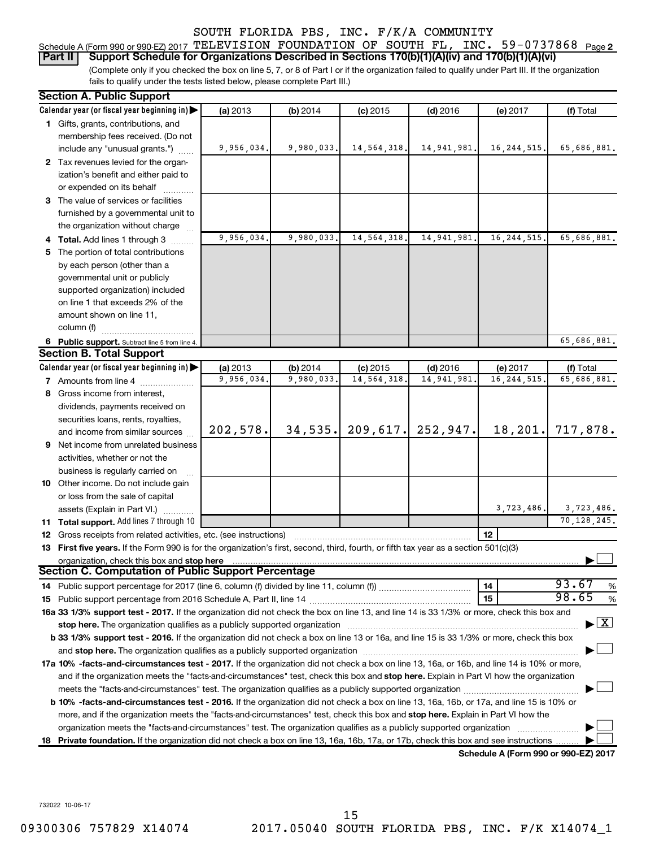| Schedule A (Form 990 or 990-EZ) 2017 TELEVISION FOUNDATION OF SOUTH FL, INC. $59-0737868$ Page 2       |  |  |  |  |
|--------------------------------------------------------------------------------------------------------|--|--|--|--|
| Part II Support Schedule for Organizations Described in Sections 170(b)(1)(A)(iv) and 170(b)(1)(A)(vi) |  |  |  |  |

(Complete only if you checked the box on line 5, 7, or 8 of Part I or if the organization failed to qualify under Part III. If the organization fails to qualify under the tests listed below, please complete Part III.)

|    | <b>Section A. Public Support</b>                                                                                                                                                                                               |            |            |               |             |                                      |                                    |  |
|----|--------------------------------------------------------------------------------------------------------------------------------------------------------------------------------------------------------------------------------|------------|------------|---------------|-------------|--------------------------------------|------------------------------------|--|
|    | Calendar year (or fiscal year beginning in)                                                                                                                                                                                    | (a) 2013   | (b) 2014   | $(c)$ 2015    | $(d)$ 2016  | (e) 2017                             | (f) Total                          |  |
|    | 1 Gifts, grants, contributions, and                                                                                                                                                                                            |            |            |               |             |                                      |                                    |  |
|    | membership fees received. (Do not                                                                                                                                                                                              |            |            |               |             |                                      |                                    |  |
|    | include any "unusual grants.")                                                                                                                                                                                                 | 9,956,034. | 9,980,033. | 14, 564, 318. | 14,941,981. | 16, 244, 515.                        | 65,686,881.                        |  |
|    | 2 Tax revenues levied for the organ-                                                                                                                                                                                           |            |            |               |             |                                      |                                    |  |
|    | ization's benefit and either paid to                                                                                                                                                                                           |            |            |               |             |                                      |                                    |  |
|    | or expended on its behalf                                                                                                                                                                                                      |            |            |               |             |                                      |                                    |  |
|    | 3 The value of services or facilities                                                                                                                                                                                          |            |            |               |             |                                      |                                    |  |
|    | furnished by a governmental unit to                                                                                                                                                                                            |            |            |               |             |                                      |                                    |  |
|    | the organization without charge                                                                                                                                                                                                |            |            |               |             |                                      |                                    |  |
|    | 4 Total. Add lines 1 through 3                                                                                                                                                                                                 | 9,956,034. | 9,980,033. | 14,564,318    | 14,941,981. | 16, 244, 515.                        | 65,686,881.                        |  |
|    | 5 The portion of total contributions                                                                                                                                                                                           |            |            |               |             |                                      |                                    |  |
|    | by each person (other than a                                                                                                                                                                                                   |            |            |               |             |                                      |                                    |  |
|    | governmental unit or publicly                                                                                                                                                                                                  |            |            |               |             |                                      |                                    |  |
|    | supported organization) included                                                                                                                                                                                               |            |            |               |             |                                      |                                    |  |
|    | on line 1 that exceeds 2% of the                                                                                                                                                                                               |            |            |               |             |                                      |                                    |  |
|    | amount shown on line 11,                                                                                                                                                                                                       |            |            |               |             |                                      |                                    |  |
|    | column (f)                                                                                                                                                                                                                     |            |            |               |             |                                      |                                    |  |
|    | 6 Public support. Subtract line 5 from line 4.                                                                                                                                                                                 |            |            |               |             |                                      | 65,686,881.                        |  |
|    | <b>Section B. Total Support</b>                                                                                                                                                                                                |            |            |               |             |                                      |                                    |  |
|    | Calendar year (or fiscal year beginning in)                                                                                                                                                                                    | (a) 2013   | (b) 2014   | $(c)$ 2015    | $(d)$ 2016  | (e) 2017                             | (f) Total                          |  |
|    | <b>7</b> Amounts from line 4                                                                                                                                                                                                   | 9,956,034  | 9,980,033. | 14, 564, 318  | 14,941,981  | 16, 244, 515                         | 65,686,881.                        |  |
|    | 8 Gross income from interest,                                                                                                                                                                                                  |            |            |               |             |                                      |                                    |  |
|    | dividends, payments received on                                                                                                                                                                                                |            |            |               |             |                                      |                                    |  |
|    | securities loans, rents, royalties,                                                                                                                                                                                            |            |            |               |             |                                      |                                    |  |
|    | and income from similar sources                                                                                                                                                                                                | 202,578.   | 34, 535.   | 209,617.      | 252,947.    | 18,201.                              | 717,878.                           |  |
|    | <b>9</b> Net income from unrelated business                                                                                                                                                                                    |            |            |               |             |                                      |                                    |  |
|    | activities, whether or not the                                                                                                                                                                                                 |            |            |               |             |                                      |                                    |  |
|    | business is regularly carried on                                                                                                                                                                                               |            |            |               |             |                                      |                                    |  |
|    | 10 Other income. Do not include gain                                                                                                                                                                                           |            |            |               |             |                                      |                                    |  |
|    | or loss from the sale of capital                                                                                                                                                                                               |            |            |               |             |                                      |                                    |  |
|    | assets (Explain in Part VI.)                                                                                                                                                                                                   |            |            |               |             | 3,723,486.                           | 3,723,486.                         |  |
|    | 11 Total support. Add lines 7 through 10                                                                                                                                                                                       |            |            |               |             |                                      | 70, 128, 245.                      |  |
|    | <b>12</b> Gross receipts from related activities, etc. (see instructions)                                                                                                                                                      |            |            |               |             | 12                                   |                                    |  |
|    | 13 First five years. If the Form 990 is for the organization's first, second, third, fourth, or fifth tax year as a section 501(c)(3)                                                                                          |            |            |               |             |                                      |                                    |  |
|    | organization, check this box and stop here                                                                                                                                                                                     |            |            |               |             |                                      |                                    |  |
|    | <b>Section C. Computation of Public Support Percentage</b>                                                                                                                                                                     |            |            |               |             |                                      |                                    |  |
|    |                                                                                                                                                                                                                                |            |            |               |             | 14                                   | 93.67<br>%                         |  |
|    |                                                                                                                                                                                                                                |            |            |               |             | 15                                   | 98.65<br>%                         |  |
|    | 16a 33 1/3% support test - 2017. If the organization did not check the box on line 13, and line 14 is 33 1/3% or more, check this box and                                                                                      |            |            |               |             |                                      |                                    |  |
|    | stop here. The organization qualifies as a publicly supported organization manufaction manufacture or the organization manufacture or the organization manufacture or the organization manufacture or the state of the state o |            |            |               |             |                                      | $\blacktriangleright$ $\mathbf{X}$ |  |
|    | b 33 1/3% support test - 2016. If the organization did not check a box on line 13 or 16a, and line 15 is 33 1/3% or more, check this box                                                                                       |            |            |               |             |                                      |                                    |  |
|    | and stop here. The organization qualifies as a publicly supported organization [11] manuscription manuscription manuscription manuscription manuscription manuscription and starting and starting and starting and starting an |            |            |               |             |                                      |                                    |  |
|    | 17a 10% -facts-and-circumstances test - 2017. If the organization did not check a box on line 13, 16a, or 16b, and line 14 is 10% or more,                                                                                     |            |            |               |             |                                      |                                    |  |
|    | and if the organization meets the "facts-and-circumstances" test, check this box and stop here. Explain in Part VI how the organization                                                                                        |            |            |               |             |                                      |                                    |  |
|    |                                                                                                                                                                                                                                |            |            |               |             |                                      |                                    |  |
|    | <b>b 10%</b> -facts-and-circumstances test - 2016. If the organization did not check a box on line 13, 16a, 16b, or 17a, and line 15 is 10% or                                                                                 |            |            |               |             |                                      |                                    |  |
|    | more, and if the organization meets the "facts-and-circumstances" test, check this box and stop here. Explain in Part VI how the                                                                                               |            |            |               |             |                                      |                                    |  |
|    | organization meets the "facts-and-circumstances" test. The organization qualifies as a publicly supported organization                                                                                                         |            |            |               |             |                                      |                                    |  |
| 18 | Private foundation. If the organization did not check a box on line 13, 16a, 16b, 17a, or 17b, check this box and see instructions                                                                                             |            |            |               |             |                                      |                                    |  |
|    |                                                                                                                                                                                                                                |            |            |               |             | Schedule A (Form 990 or 990-EZ) 2017 |                                    |  |

732022 10-06-17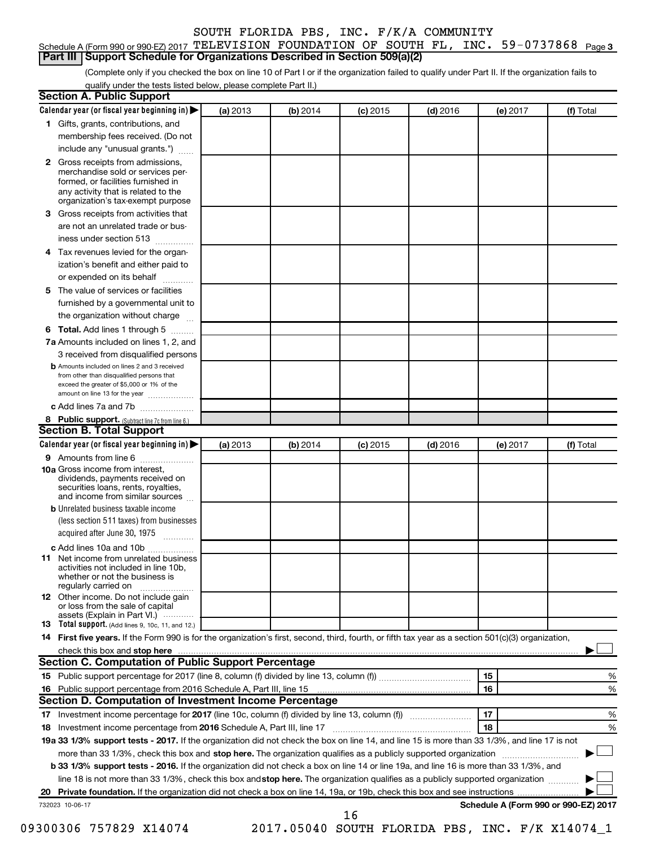| Schedule A (Form 990 or 990-EZ) 2017 TELEVISION FOUNDATION OF SOUTH FL, INC. $59-0737868$ Page 3 |  |  |  |  |
|--------------------------------------------------------------------------------------------------|--|--|--|--|
| <b>Part III   Support Schedule for Organizations Described in Section 509(a)(2)</b>              |  |  |  |  |

(Complete only if you checked the box on line 10 of Part I or if the organization failed to qualify under Part II. If the organization fails to qualify under the tests listed below, please complete Part II.)

|              |                                                                                                                                                                                                                                                                          | (a) 2013 | (b) 2014 | $(c)$ 2015 | $(d)$ 2016 |    | (e) 2017 | (f) Total |
|--------------|--------------------------------------------------------------------------------------------------------------------------------------------------------------------------------------------------------------------------------------------------------------------------|----------|----------|------------|------------|----|----------|-----------|
|              | 1 Gifts, grants, contributions, and                                                                                                                                                                                                                                      |          |          |            |            |    |          |           |
|              | membership fees received. (Do not                                                                                                                                                                                                                                        |          |          |            |            |    |          |           |
|              | include any "unusual grants.")                                                                                                                                                                                                                                           |          |          |            |            |    |          |           |
| $\mathbf{2}$ | Gross receipts from admissions,<br>merchandise sold or services per-<br>formed, or facilities furnished in<br>any activity that is related to the<br>organization's tax-exempt purpose                                                                                   |          |          |            |            |    |          |           |
| 3.           | Gross receipts from activities that                                                                                                                                                                                                                                      |          |          |            |            |    |          |           |
|              | are not an unrelated trade or bus-                                                                                                                                                                                                                                       |          |          |            |            |    |          |           |
|              | iness under section 513                                                                                                                                                                                                                                                  |          |          |            |            |    |          |           |
| 4            | Tax revenues levied for the organ-                                                                                                                                                                                                                                       |          |          |            |            |    |          |           |
|              | ization's benefit and either paid to<br>or expended on its behalf<br>.                                                                                                                                                                                                   |          |          |            |            |    |          |           |
| 5            | The value of services or facilities                                                                                                                                                                                                                                      |          |          |            |            |    |          |           |
|              | furnished by a governmental unit to<br>the organization without charge                                                                                                                                                                                                   |          |          |            |            |    |          |           |
| 6            | Total. Add lines 1 through 5                                                                                                                                                                                                                                             |          |          |            |            |    |          |           |
|              | 7a Amounts included on lines 1, 2, and                                                                                                                                                                                                                                   |          |          |            |            |    |          |           |
|              | 3 received from disqualified persons                                                                                                                                                                                                                                     |          |          |            |            |    |          |           |
|              | <b>b</b> Amounts included on lines 2 and 3 received                                                                                                                                                                                                                      |          |          |            |            |    |          |           |
|              | from other than disqualified persons that<br>exceed the greater of \$5,000 or 1% of the<br>amount on line 13 for the year                                                                                                                                                |          |          |            |            |    |          |           |
|              | c Add lines 7a and 7b                                                                                                                                                                                                                                                    |          |          |            |            |    |          |           |
|              | 8 Public support. (Subtract line 7c from line 6.)                                                                                                                                                                                                                        |          |          |            |            |    |          |           |
|              | <b>Section B. Total Support</b>                                                                                                                                                                                                                                          |          |          |            |            |    |          |           |
|              | Calendar year (or fiscal year beginning in)                                                                                                                                                                                                                              | (a) 2013 | (b) 2014 | $(c)$ 2015 | $(d)$ 2016 |    | (e) 2017 | (f) Total |
|              | 9 Amounts from line 6                                                                                                                                                                                                                                                    |          |          |            |            |    |          |           |
|              | <b>10a</b> Gross income from interest,<br>dividends, payments received on<br>securities loans, rents, royalties,<br>and income from similar sources                                                                                                                      |          |          |            |            |    |          |           |
|              | <b>b</b> Unrelated business taxable income                                                                                                                                                                                                                               |          |          |            |            |    |          |           |
|              | (less section 511 taxes) from businesses<br>acquired after June 30, 1975                                                                                                                                                                                                 |          |          |            |            |    |          |           |
|              | c Add lines 10a and 10b                                                                                                                                                                                                                                                  |          |          |            |            |    |          |           |
| 11           | Net income from unrelated business<br>activities not included in line 10b.<br>whether or not the business is<br>regularly carried on                                                                                                                                     |          |          |            |            |    |          |           |
|              | <b>12</b> Other income. Do not include gain<br>or loss from the sale of capital<br>assets (Explain in Part VI.)                                                                                                                                                          |          |          |            |            |    |          |           |
|              | <b>13</b> Total support. (Add lines 9, 10c, 11, and 12.)                                                                                                                                                                                                                 |          |          |            |            |    |          |           |
|              | 14 First five years. If the Form 990 is for the organization's first, second, third, fourth, or fifth tax year as a section 501(c)(3) organization,                                                                                                                      |          |          |            |            |    |          |           |
|              |                                                                                                                                                                                                                                                                          |          |          |            |            |    |          |           |
|              | Section C. Computation of Public Support Percentage                                                                                                                                                                                                                      |          |          |            |            |    |          |           |
|              |                                                                                                                                                                                                                                                                          |          |          |            |            | 15 |          | %         |
|              |                                                                                                                                                                                                                                                                          |          |          |            |            | 16 |          | %         |
|              | Section D. Computation of Investment Income Percentage                                                                                                                                                                                                                   |          |          |            |            |    |          |           |
|              |                                                                                                                                                                                                                                                                          |          |          |            |            | 17 |          | %         |
|              |                                                                                                                                                                                                                                                                          |          |          |            |            | 18 |          | %         |
|              | 19a 33 1/3% support tests - 2017. If the organization did not check the box on line 14, and line 15 is more than 33 1/3%, and line 17 is not                                                                                                                             |          |          |            |            |    |          |           |
|              | more than 33 1/3%, check this box and stop here. The organization qualifies as a publicly supported organization                                                                                                                                                         |          |          |            |            |    |          |           |
|              | b 33 1/3% support tests - 2016. If the organization did not check a box on line 14 or line 19a, and line 16 is more than 33 1/3%, and<br>line 18 is not more than 33 1/3%, check this box and stop here. The organization qualifies as a publicly supported organization |          |          |            |            |    |          |           |
|              |                                                                                                                                                                                                                                                                          |          |          |            |            |    |          |           |
|              |                                                                                                                                                                                                                                                                          |          |          |            |            |    |          |           |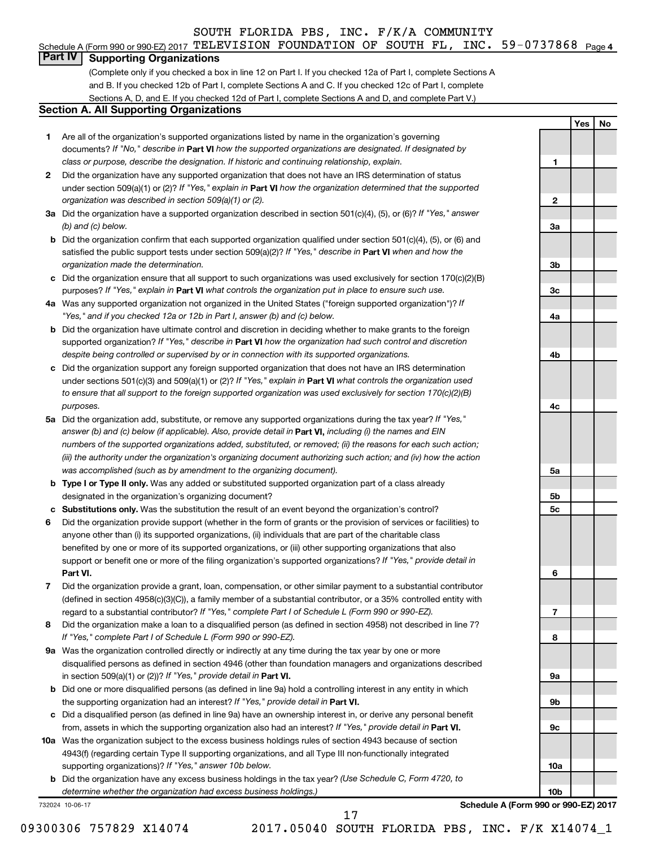#### Schedule A (Form 990 or 990-EZ) 2017 <code>TELEVISION FOUNDATION OF SOUTH FL, INC. 59-0737868</code> <code>Page 4</code>

#### **Part IV Supporting Organizations**

(Complete only if you checked a box in line 12 on Part I. If you checked 12a of Part I, complete Sections A and B. If you checked 12b of Part I, complete Sections A and C. If you checked 12c of Part I, complete Sections A, D, and E. If you checked 12d of Part I, complete Sections A and D, and complete Part V.)

#### **Section A. All Supporting Organizations**

- **1** Are all of the organization's supported organizations listed by name in the organization's governing documents? If "No," describe in Part VI how the supported organizations are designated. If designated by *class or purpose, describe the designation. If historic and continuing relationship, explain.*
- **2** Did the organization have any supported organization that does not have an IRS determination of status under section 509(a)(1) or (2)? If "Yes," explain in Part **VI** how the organization determined that the supported *organization was described in section 509(a)(1) or (2).*
- **3a** Did the organization have a supported organization described in section 501(c)(4), (5), or (6)? If "Yes," answer *(b) and (c) below.*
- **b** Did the organization confirm that each supported organization qualified under section 501(c)(4), (5), or (6) and satisfied the public support tests under section 509(a)(2)? If "Yes," describe in Part VI when and how the *organization made the determination.*
- **c** Did the organization ensure that all support to such organizations was used exclusively for section 170(c)(2)(B) purposes? If "Yes," explain in Part VI what controls the organization put in place to ensure such use.
- **4 a** *If* Was any supported organization not organized in the United States ("foreign supported organization")? *"Yes," and if you checked 12a or 12b in Part I, answer (b) and (c) below.*
- **b** Did the organization have ultimate control and discretion in deciding whether to make grants to the foreign supported organization? If "Yes," describe in Part VI how the organization had such control and discretion *despite being controlled or supervised by or in connection with its supported organizations.*
- **c** Did the organization support any foreign supported organization that does not have an IRS determination under sections 501(c)(3) and 509(a)(1) or (2)? If "Yes," explain in Part VI what controls the organization used *to ensure that all support to the foreign supported organization was used exclusively for section 170(c)(2)(B) purposes.*
- **5a** Did the organization add, substitute, or remove any supported organizations during the tax year? If "Yes," answer (b) and (c) below (if applicable). Also, provide detail in **Part VI,** including (i) the names and EIN *numbers of the supported organizations added, substituted, or removed; (ii) the reasons for each such action; (iii) the authority under the organization's organizing document authorizing such action; and (iv) how the action was accomplished (such as by amendment to the organizing document).*
- **b** Type I or Type II only. Was any added or substituted supported organization part of a class already designated in the organization's organizing document?
- **c Substitutions only.**  Was the substitution the result of an event beyond the organization's control?
- **6** Did the organization provide support (whether in the form of grants or the provision of services or facilities) to **Part VI.** support or benefit one or more of the filing organization's supported organizations? If "Yes," provide detail in anyone other than (i) its supported organizations, (ii) individuals that are part of the charitable class benefited by one or more of its supported organizations, or (iii) other supporting organizations that also
- **7** Did the organization provide a grant, loan, compensation, or other similar payment to a substantial contributor regard to a substantial contributor? If "Yes," complete Part I of Schedule L (Form 990 or 990-EZ). (defined in section 4958(c)(3)(C)), a family member of a substantial contributor, or a 35% controlled entity with
- **8** Did the organization make a loan to a disqualified person (as defined in section 4958) not described in line 7? *If "Yes," complete Part I of Schedule L (Form 990 or 990-EZ).*
- **9 a** Was the organization controlled directly or indirectly at any time during the tax year by one or more in section 509(a)(1) or (2))? If "Yes," provide detail in **Part VI.** disqualified persons as defined in section 4946 (other than foundation managers and organizations described
- **b** Did one or more disqualified persons (as defined in line 9a) hold a controlling interest in any entity in which the supporting organization had an interest? If "Yes," provide detail in Part VI.
- **c** Did a disqualified person (as defined in line 9a) have an ownership interest in, or derive any personal benefit from, assets in which the supporting organization also had an interest? If "Yes," provide detail in Part VI.
- **10 a** Was the organization subject to the excess business holdings rules of section 4943 because of section supporting organizations)? If "Yes," answer 10b below. 4943(f) (regarding certain Type II supporting organizations, and all Type III non-functionally integrated
	- **b** Did the organization have any excess business holdings in the tax year? (Use Schedule C, Form 4720, to *determine whether the organization had excess business holdings.)*

732024 10-06-17

**Schedule A (Form 990 or 990-EZ) 2017**

**Yes No**

**1**

**2**

**3a**

**3b**

**3c**

**4a**

**4b**

**4c**

**5a**

**5b 5c**

**6**

**7**

**8**

**9a**

**9b**

**9c**

**10a**

**10b**

09300306 757829 X14074 2017.05040 SOUTH FLORIDA PBS, INC. F/K X14074\_1

17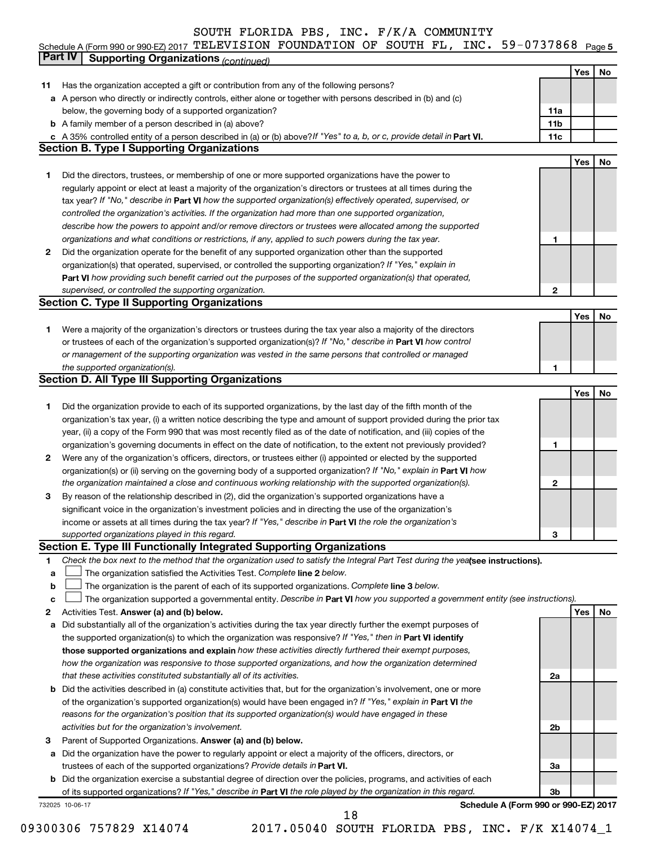#### Schedule A (Form 990 or 990-EZ) 2017 「L'ELEVISION FOUNDATION OF SOUTH FL, INC。 5Y-0737868 Page 5 TELEVISION FOUNDATION OF SOUTH FL, INC. 59-0737868

|              | Part IV<br><b>Supporting Organizations (continued)</b>                                                                                                                                                                           |                 |     |    |
|--------------|----------------------------------------------------------------------------------------------------------------------------------------------------------------------------------------------------------------------------------|-----------------|-----|----|
|              |                                                                                                                                                                                                                                  |                 | Yes | No |
| 11           | Has the organization accepted a gift or contribution from any of the following persons?                                                                                                                                          |                 |     |    |
|              | a A person who directly or indirectly controls, either alone or together with persons described in (b) and (c)                                                                                                                   |                 |     |    |
|              | below, the governing body of a supported organization?                                                                                                                                                                           | 11a             |     |    |
|              | <b>b</b> A family member of a person described in (a) above?                                                                                                                                                                     | 11 <sub>b</sub> |     |    |
|              | c A 35% controlled entity of a person described in (a) or (b) above? If "Yes" to a, b, or c, provide detail in Part VI.                                                                                                          | 11c             |     |    |
|              | <b>Section B. Type I Supporting Organizations</b>                                                                                                                                                                                |                 |     |    |
|              |                                                                                                                                                                                                                                  |                 | Yes | No |
| 1            | Did the directors, trustees, or membership of one or more supported organizations have the power to                                                                                                                              |                 |     |    |
|              | regularly appoint or elect at least a majority of the organization's directors or trustees at all times during the                                                                                                               |                 |     |    |
|              | tax year? If "No," describe in Part VI how the supported organization(s) effectively operated, supervised, or                                                                                                                    |                 |     |    |
|              | controlled the organization's activities. If the organization had more than one supported organization,                                                                                                                          |                 |     |    |
|              | describe how the powers to appoint and/or remove directors or trustees were allocated among the supported                                                                                                                        |                 |     |    |
|              | organizations and what conditions or restrictions, if any, applied to such powers during the tax year.                                                                                                                           | 1               |     |    |
| 2            | Did the organization operate for the benefit of any supported organization other than the supported                                                                                                                              |                 |     |    |
|              | organization(s) that operated, supervised, or controlled the supporting organization? If "Yes," explain in                                                                                                                       |                 |     |    |
|              | Part VI how providing such benefit carried out the purposes of the supported organization(s) that operated,                                                                                                                      |                 |     |    |
|              | supervised, or controlled the supporting organization.                                                                                                                                                                           | 2               |     |    |
|              | <b>Section C. Type II Supporting Organizations</b>                                                                                                                                                                               |                 |     |    |
|              |                                                                                                                                                                                                                                  |                 | Yes | No |
| 1.           | Were a majority of the organization's directors or trustees during the tax year also a majority of the directors                                                                                                                 |                 |     |    |
|              | or trustees of each of the organization's supported organization(s)? If "No," describe in Part VI how control                                                                                                                    |                 |     |    |
|              | or management of the supporting organization was vested in the same persons that controlled or managed                                                                                                                           |                 |     |    |
|              | the supported organization(s).                                                                                                                                                                                                   | 1               |     |    |
|              | <b>Section D. All Type III Supporting Organizations</b>                                                                                                                                                                          |                 |     |    |
|              |                                                                                                                                                                                                                                  |                 | Yes | No |
| 1            | Did the organization provide to each of its supported organizations, by the last day of the fifth month of the                                                                                                                   |                 |     |    |
|              | organization's tax year, (i) a written notice describing the type and amount of support provided during the prior tax                                                                                                            |                 |     |    |
|              | year, (ii) a copy of the Form 990 that was most recently filed as of the date of notification, and (iii) copies of the                                                                                                           |                 |     |    |
|              | organization's governing documents in effect on the date of notification, to the extent not previously provided?                                                                                                                 | 1               |     |    |
| $\mathbf{2}$ | Were any of the organization's officers, directors, or trustees either (i) appointed or elected by the supported                                                                                                                 |                 |     |    |
|              | organization(s) or (ii) serving on the governing body of a supported organization? If "No," explain in Part VI how                                                                                                               |                 |     |    |
|              | the organization maintained a close and continuous working relationship with the supported organization(s).                                                                                                                      | 2               |     |    |
| 3            | By reason of the relationship described in (2), did the organization's supported organizations have a                                                                                                                            |                 |     |    |
|              | significant voice in the organization's investment policies and in directing the use of the organization's                                                                                                                       |                 |     |    |
|              | income or assets at all times during the tax year? If "Yes," describe in Part VI the role the organization's                                                                                                                     |                 |     |    |
|              | supported organizations played in this regard.                                                                                                                                                                                   | з               |     |    |
|              | Section E. Type III Functionally Integrated Supporting Organizations                                                                                                                                                             |                 |     |    |
| 1            | Check the box next to the method that the organization used to satisfy the Integral Part Test during the yealsee instructions).                                                                                                  |                 |     |    |
| a            | The organization satisfied the Activities Test. Complete line 2 below.                                                                                                                                                           |                 |     |    |
| b            | The organization is the parent of each of its supported organizations. Complete line 3 below.                                                                                                                                    |                 |     |    |
| с            | The organization supported a governmental entity. Describe in Part VI how you supported a government entity (see instructions).                                                                                                  |                 |     |    |
| 2            | Activities Test. Answer (a) and (b) below.                                                                                                                                                                                       |                 | Yes | No |
| а            | Did substantially all of the organization's activities during the tax year directly further the exempt purposes of<br>the supported organization(s) to which the organization was responsive? If "Yes," then in Part VI identify |                 |     |    |
|              | those supported organizations and explain how these activities directly furthered their exempt purposes,                                                                                                                         |                 |     |    |
|              | how the organization was responsive to those supported organizations, and how the organization determined                                                                                                                        |                 |     |    |
|              | that these activities constituted substantially all of its activities.                                                                                                                                                           | 2a              |     |    |
| b            | Did the activities described in (a) constitute activities that, but for the organization's involvement, one or more                                                                                                              |                 |     |    |
|              | of the organization's supported organization(s) would have been engaged in? If "Yes," explain in Part VI the                                                                                                                     |                 |     |    |
|              | reasons for the organization's position that its supported organization(s) would have engaged in these                                                                                                                           |                 |     |    |
|              | activities but for the organization's involvement.                                                                                                                                                                               | 2b              |     |    |
| 3            | Parent of Supported Organizations. Answer (a) and (b) below.                                                                                                                                                                     |                 |     |    |
| а            | Did the organization have the power to regularly appoint or elect a majority of the officers, directors, or                                                                                                                      |                 |     |    |
|              | trustees of each of the supported organizations? Provide details in Part VI.                                                                                                                                                     | За              |     |    |
|              | <b>b</b> Did the organization exercise a substantial degree of direction over the policies, programs, and activities of each                                                                                                     |                 |     |    |
|              | of its supported organizations? If "Yes," describe in Part VI the role played by the organization in this regard.                                                                                                                | 3b              |     |    |
|              | Schedule A (Form 990 or 990-EZ) 2017<br>732025 10-06-17                                                                                                                                                                          |                 |     |    |
|              | 18                                                                                                                                                                                                                               |                 |     |    |

<sup>09300306 757829</sup> X14074 2017.05040 SOUTH FLORIDA PBS, INC. F/K X14074\_1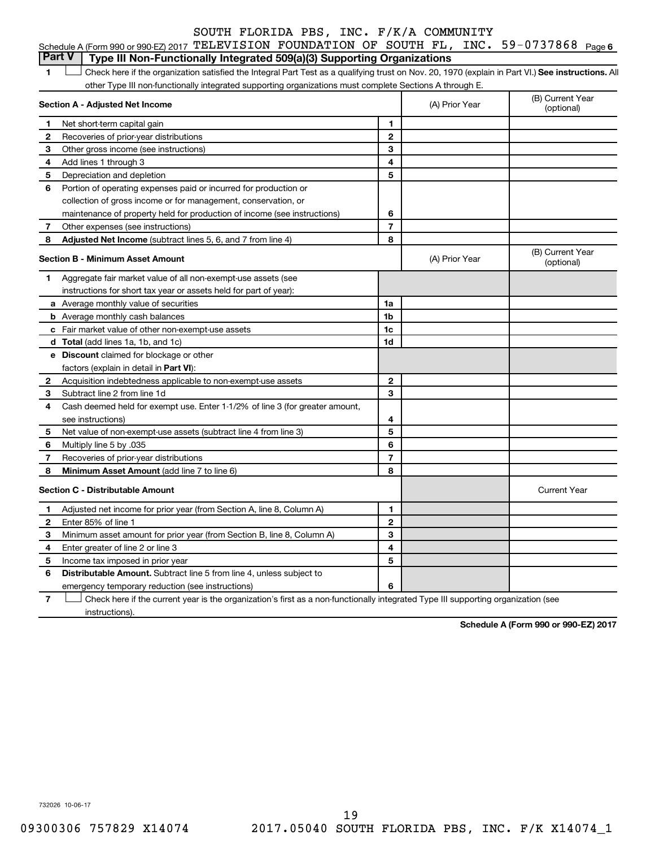| Part V   Type III Non-Functionally Integrated 509(a)(3) Supporting Organizations                                                                                                                   |  |  |  |  |
|----------------------------------------------------------------------------------------------------------------------------------------------------------------------------------------------------|--|--|--|--|
| Schedule A (Form 990 or 990-EZ) 2017 $\texttt{TELEXISION}$ $\texttt{FOUNDATION}$ $\texttt{OF}$ $\texttt{SOUTH}$ $\texttt{FL}$ , $\texttt{INC.}$ $\texttt{59-0737868}$ $\texttt{Page}\, \texttt{6}$ |  |  |  |  |
|                                                                                                                                                                                                    |  |  |  |  |

1 **Letter See instructions.** All Check here if the organization satisfied the Integral Part Test as a qualifying trust on Nov. 20, 1970 (explain in Part VI.) See instructions. All other Type III non-functionally integrated supporting organizations must complete Sections A through E.

|    | Section A - Adjusted Net Income                                              |                | (A) Prior Year | (B) Current Year<br>(optional) |
|----|------------------------------------------------------------------------------|----------------|----------------|--------------------------------|
| 1  | Net short-term capital gain                                                  | 1              |                |                                |
| 2  | Recoveries of prior-year distributions                                       | $\overline{2}$ |                |                                |
| З  | Other gross income (see instructions)                                        | 3              |                |                                |
| 4  | Add lines 1 through 3                                                        | 4              |                |                                |
| 5  | Depreciation and depletion                                                   | 5              |                |                                |
| 6  | Portion of operating expenses paid or incurred for production or             |                |                |                                |
|    | collection of gross income or for management, conservation, or               |                |                |                                |
|    | maintenance of property held for production of income (see instructions)     | 6              |                |                                |
| 7  | Other expenses (see instructions)                                            | $\overline{7}$ |                |                                |
| 8  | Adjusted Net Income (subtract lines 5, 6, and 7 from line 4)                 | 8              |                |                                |
|    | <b>Section B - Minimum Asset Amount</b>                                      |                | (A) Prior Year | (B) Current Year<br>(optional) |
| 1. | Aggregate fair market value of all non-exempt-use assets (see                |                |                |                                |
|    | instructions for short tax year or assets held for part of year):            |                |                |                                |
|    | a Average monthly value of securities                                        | 1a             |                |                                |
|    | <b>b</b> Average monthly cash balances                                       | 1b             |                |                                |
|    | c Fair market value of other non-exempt-use assets                           | 1c             |                |                                |
|    | d Total (add lines 1a, 1b, and 1c)                                           | 1 <sub>d</sub> |                |                                |
|    | <b>e</b> Discount claimed for blockage or other                              |                |                |                                |
|    | factors (explain in detail in Part VI):                                      |                |                |                                |
| 2  | Acquisition indebtedness applicable to non-exempt-use assets                 | $\mathbf{2}$   |                |                                |
| 3  | Subtract line 2 from line 1d                                                 | 3              |                |                                |
| 4  | Cash deemed held for exempt use. Enter 1-1/2% of line 3 (for greater amount, |                |                |                                |
|    | see instructions)                                                            | 4              |                |                                |
| 5  | Net value of non-exempt-use assets (subtract line 4 from line 3)             | 5              |                |                                |
| 6  | Multiply line 5 by .035                                                      | 6              |                |                                |
| 7  | Recoveries of prior-year distributions                                       | $\overline{7}$ |                |                                |
| 8  | Minimum Asset Amount (add line 7 to line 6)                                  | 8              |                |                                |
|    | <b>Section C - Distributable Amount</b>                                      |                |                | <b>Current Year</b>            |
| 1  | Adjusted net income for prior year (from Section A, line 8, Column A)        | 1              |                |                                |
| 2  | Enter 85% of line 1                                                          | $\mathbf{2}$   |                |                                |
| З  | Minimum asset amount for prior year (from Section B, line 8, Column A)       | 3              |                |                                |
| 4  | Enter greater of line 2 or line 3                                            | 4              |                |                                |
| 5  | Income tax imposed in prior year                                             | 5              |                |                                |
| 6  | <b>Distributable Amount.</b> Subtract line 5 from line 4, unless subject to  |                |                |                                |
|    | emergency temporary reduction (see instructions)                             | 6              |                |                                |
|    |                                                                              |                |                |                                |

**7** Check here if the current year is the organization's first as a non-functionally integrated Type III supporting organization (see † instructions).

**Schedule A (Form 990 or 990-EZ) 2017**

732026 10-06-17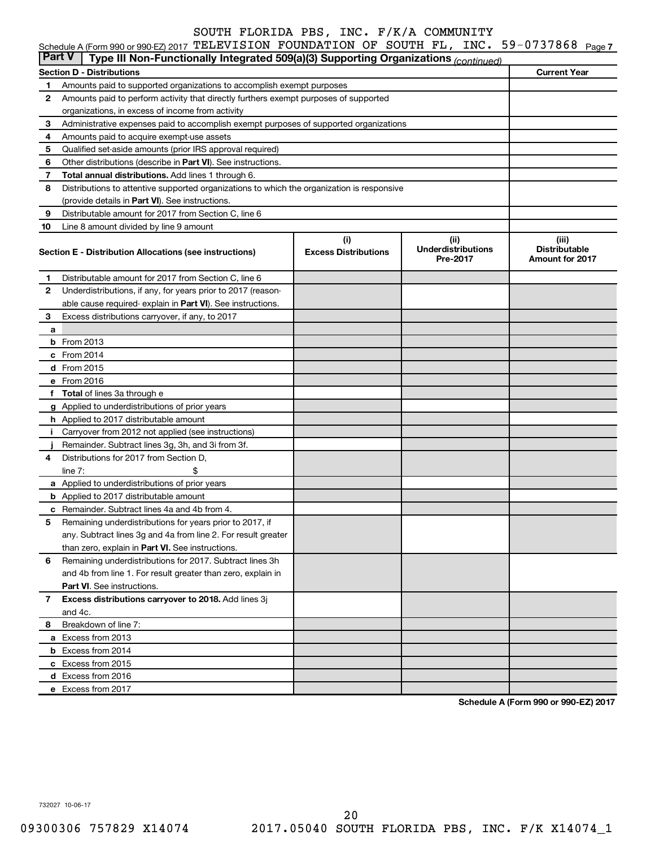| <b>Part V</b> | Schedule A (Form 990 or 990-EZ) 2017 TELEVISION FOUNDATION OF SOUTH FL, INC. $59-0737868$ Page 7                                         |                             |                                       |                                         |  |  |  |  |  |
|---------------|------------------------------------------------------------------------------------------------------------------------------------------|-----------------------------|---------------------------------------|-----------------------------------------|--|--|--|--|--|
|               | Type III Non-Functionally Integrated 509(a)(3) Supporting Organizations (continued)                                                      |                             |                                       |                                         |  |  |  |  |  |
|               | <b>Section D - Distributions</b>                                                                                                         |                             |                                       | <b>Current Year</b>                     |  |  |  |  |  |
| 1             | Amounts paid to supported organizations to accomplish exempt purposes                                                                    |                             |                                       |                                         |  |  |  |  |  |
| 2             | Amounts paid to perform activity that directly furthers exempt purposes of supported<br>organizations, in excess of income from activity |                             |                                       |                                         |  |  |  |  |  |
| 3             |                                                                                                                                          |                             |                                       |                                         |  |  |  |  |  |
| 4             | Administrative expenses paid to accomplish exempt purposes of supported organizations<br>Amounts paid to acquire exempt-use assets       |                             |                                       |                                         |  |  |  |  |  |
| 5             | Qualified set-aside amounts (prior IRS approval required)                                                                                |                             |                                       |                                         |  |  |  |  |  |
| 6             | Other distributions (describe in Part VI). See instructions.                                                                             |                             |                                       |                                         |  |  |  |  |  |
| 7             | Total annual distributions. Add lines 1 through 6.                                                                                       |                             |                                       |                                         |  |  |  |  |  |
| 8             | Distributions to attentive supported organizations to which the organization is responsive                                               |                             |                                       |                                         |  |  |  |  |  |
|               | (provide details in Part VI). See instructions.                                                                                          |                             |                                       |                                         |  |  |  |  |  |
| 9             | Distributable amount for 2017 from Section C, line 6                                                                                     |                             |                                       |                                         |  |  |  |  |  |
| 10            | Line 8 amount divided by line 9 amount                                                                                                   |                             |                                       |                                         |  |  |  |  |  |
|               |                                                                                                                                          | (i)                         | (iii)                                 | (iii)                                   |  |  |  |  |  |
|               | Section E - Distribution Allocations (see instructions)                                                                                  | <b>Excess Distributions</b> | <b>Underdistributions</b><br>Pre-2017 | <b>Distributable</b><br>Amount for 2017 |  |  |  |  |  |
| 1.            | Distributable amount for 2017 from Section C, line 6                                                                                     |                             |                                       |                                         |  |  |  |  |  |
| $\mathbf{2}$  | Underdistributions, if any, for years prior to 2017 (reason-                                                                             |                             |                                       |                                         |  |  |  |  |  |
|               | able cause required-explain in Part VI). See instructions.                                                                               |                             |                                       |                                         |  |  |  |  |  |
| 3             | Excess distributions carryover, if any, to 2017                                                                                          |                             |                                       |                                         |  |  |  |  |  |
| a             |                                                                                                                                          |                             |                                       |                                         |  |  |  |  |  |
|               | <b>b</b> From 2013                                                                                                                       |                             |                                       |                                         |  |  |  |  |  |
|               | $c$ From 2014                                                                                                                            |                             |                                       |                                         |  |  |  |  |  |
|               | d From 2015                                                                                                                              |                             |                                       |                                         |  |  |  |  |  |
|               | e From 2016                                                                                                                              |                             |                                       |                                         |  |  |  |  |  |
|               | f Total of lines 3a through e                                                                                                            |                             |                                       |                                         |  |  |  |  |  |
|               | g Applied to underdistributions of prior years                                                                                           |                             |                                       |                                         |  |  |  |  |  |
|               | h Applied to 2017 distributable amount                                                                                                   |                             |                                       |                                         |  |  |  |  |  |
|               | i Carryover from 2012 not applied (see instructions)                                                                                     |                             |                                       |                                         |  |  |  |  |  |
|               | Remainder. Subtract lines 3g, 3h, and 3i from 3f.                                                                                        |                             |                                       |                                         |  |  |  |  |  |
| 4             | Distributions for 2017 from Section D,                                                                                                   |                             |                                       |                                         |  |  |  |  |  |
|               | \$<br>line $7:$                                                                                                                          |                             |                                       |                                         |  |  |  |  |  |
|               | a Applied to underdistributions of prior years                                                                                           |                             |                                       |                                         |  |  |  |  |  |
|               | <b>b</b> Applied to 2017 distributable amount                                                                                            |                             |                                       |                                         |  |  |  |  |  |
|               | <b>c</b> Remainder. Subtract lines 4a and 4b from 4.                                                                                     |                             |                                       |                                         |  |  |  |  |  |
| 5             | Remaining underdistributions for years prior to 2017, if                                                                                 |                             |                                       |                                         |  |  |  |  |  |
|               | any. Subtract lines 3g and 4a from line 2. For result greater                                                                            |                             |                                       |                                         |  |  |  |  |  |
|               | than zero, explain in Part VI. See instructions.                                                                                         |                             |                                       |                                         |  |  |  |  |  |
| 6             | Remaining underdistributions for 2017. Subtract lines 3h                                                                                 |                             |                                       |                                         |  |  |  |  |  |
|               | and 4b from line 1. For result greater than zero, explain in                                                                             |                             |                                       |                                         |  |  |  |  |  |
|               | <b>Part VI.</b> See instructions.                                                                                                        |                             |                                       |                                         |  |  |  |  |  |
| 7             | Excess distributions carryover to 2018. Add lines 3j                                                                                     |                             |                                       |                                         |  |  |  |  |  |
|               | and 4c.                                                                                                                                  |                             |                                       |                                         |  |  |  |  |  |
| 8             | Breakdown of line 7:                                                                                                                     |                             |                                       |                                         |  |  |  |  |  |
|               | a Excess from 2013                                                                                                                       |                             |                                       |                                         |  |  |  |  |  |
|               | <b>b</b> Excess from 2014                                                                                                                |                             |                                       |                                         |  |  |  |  |  |
|               | c Excess from 2015                                                                                                                       |                             |                                       |                                         |  |  |  |  |  |

**Schedule A (Form 990 or 990-EZ) 2017**

732027 10-06-17

**d** Excess from 2016 **e** Excess from 2017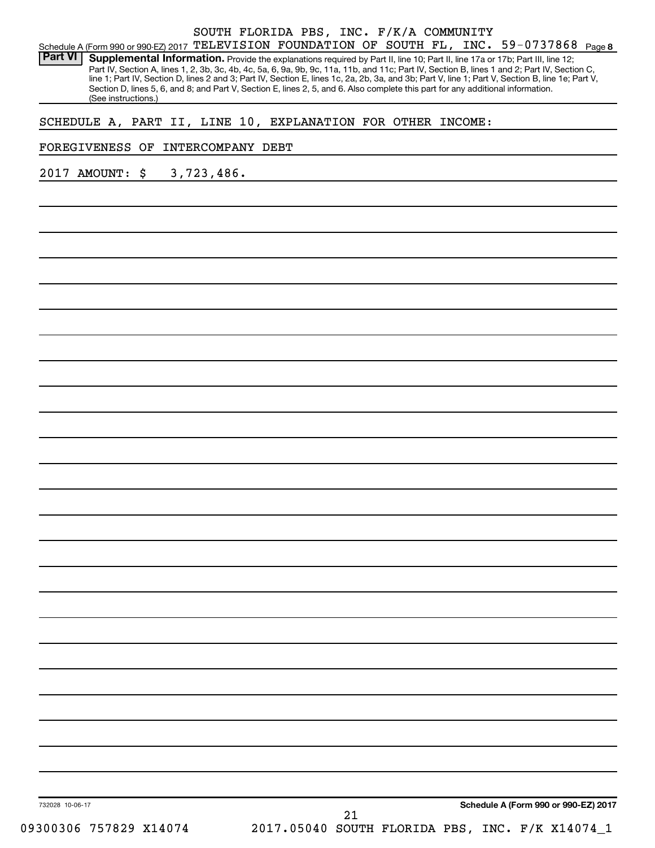|                |                                                             |    | SOUTH FLORIDA PBS, INC. F/K/A COMMUNITY |  |  |  |  |                                                                                                                                                                                                                                                                                                                                                                                                                                                                                                                                                                      |  |
|----------------|-------------------------------------------------------------|----|-----------------------------------------|--|--|--|--|----------------------------------------------------------------------------------------------------------------------------------------------------------------------------------------------------------------------------------------------------------------------------------------------------------------------------------------------------------------------------------------------------------------------------------------------------------------------------------------------------------------------------------------------------------------------|--|
|                |                                                             |    |                                         |  |  |  |  | Schedule A (Form 990 or 990-EZ) 2017 TELEVISION FOUNDATION OF SOUTH FL, INC. 59-0737868 Page 8                                                                                                                                                                                                                                                                                                                                                                                                                                                                       |  |
| <b>Part VI</b> | (See instructions.)                                         |    |                                         |  |  |  |  | Supplemental Information. Provide the explanations required by Part II, line 10; Part II, line 17a or 17b; Part III, line 12;<br>Part IV, Section A, lines 1, 2, 3b, 3c, 4b, 4c, 5a, 6, 9a, 9b, 9c, 11a, 11b, and 11c; Part IV, Section B, lines 1 and 2; Part IV, Section C,<br>line 1; Part IV, Section D, lines 2 and 3; Part IV, Section E, lines 1c, 2a, 2b, 3a, and 3b; Part V, line 1; Part V, Section B, line 1e; Part V,<br>Section D, lines 5, 6, and 8; and Part V, Section E, lines 2, 5, and 6. Also complete this part for any additional information. |  |
|                | SCHEDULE A, PART II, LINE 10, EXPLANATION FOR OTHER INCOME: |    |                                         |  |  |  |  |                                                                                                                                                                                                                                                                                                                                                                                                                                                                                                                                                                      |  |
|                | FOREGIVENESS OF                                             |    | <b>INTERCOMPANY DEBT</b>                |  |  |  |  |                                                                                                                                                                                                                                                                                                                                                                                                                                                                                                                                                                      |  |
|                | 2017 AMOUNT:                                                | \$ | 3,723,486.                              |  |  |  |  |                                                                                                                                                                                                                                                                                                                                                                                                                                                                                                                                                                      |  |
|                |                                                             |    |                                         |  |  |  |  |                                                                                                                                                                                                                                                                                                                                                                                                                                                                                                                                                                      |  |
|                |                                                             |    |                                         |  |  |  |  |                                                                                                                                                                                                                                                                                                                                                                                                                                                                                                                                                                      |  |
|                |                                                             |    |                                         |  |  |  |  |                                                                                                                                                                                                                                                                                                                                                                                                                                                                                                                                                                      |  |
|                |                                                             |    |                                         |  |  |  |  |                                                                                                                                                                                                                                                                                                                                                                                                                                                                                                                                                                      |  |
|                |                                                             |    |                                         |  |  |  |  |                                                                                                                                                                                                                                                                                                                                                                                                                                                                                                                                                                      |  |
|                |                                                             |    |                                         |  |  |  |  |                                                                                                                                                                                                                                                                                                                                                                                                                                                                                                                                                                      |  |
|                |                                                             |    |                                         |  |  |  |  |                                                                                                                                                                                                                                                                                                                                                                                                                                                                                                                                                                      |  |
|                |                                                             |    |                                         |  |  |  |  |                                                                                                                                                                                                                                                                                                                                                                                                                                                                                                                                                                      |  |
|                |                                                             |    |                                         |  |  |  |  |                                                                                                                                                                                                                                                                                                                                                                                                                                                                                                                                                                      |  |
|                |                                                             |    |                                         |  |  |  |  |                                                                                                                                                                                                                                                                                                                                                                                                                                                                                                                                                                      |  |
|                |                                                             |    |                                         |  |  |  |  |                                                                                                                                                                                                                                                                                                                                                                                                                                                                                                                                                                      |  |
|                |                                                             |    |                                         |  |  |  |  |                                                                                                                                                                                                                                                                                                                                                                                                                                                                                                                                                                      |  |
|                |                                                             |    |                                         |  |  |  |  |                                                                                                                                                                                                                                                                                                                                                                                                                                                                                                                                                                      |  |
|                |                                                             |    |                                         |  |  |  |  |                                                                                                                                                                                                                                                                                                                                                                                                                                                                                                                                                                      |  |
|                |                                                             |    |                                         |  |  |  |  |                                                                                                                                                                                                                                                                                                                                                                                                                                                                                                                                                                      |  |
|                |                                                             |    |                                         |  |  |  |  |                                                                                                                                                                                                                                                                                                                                                                                                                                                                                                                                                                      |  |
|                |                                                             |    |                                         |  |  |  |  |                                                                                                                                                                                                                                                                                                                                                                                                                                                                                                                                                                      |  |
|                |                                                             |    |                                         |  |  |  |  |                                                                                                                                                                                                                                                                                                                                                                                                                                                                                                                                                                      |  |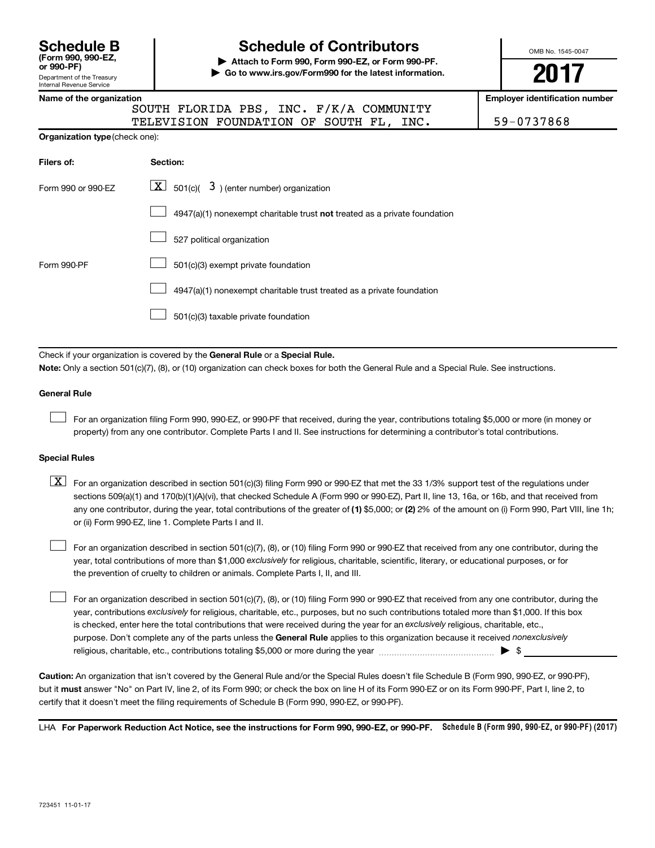| <b>Schedule B</b><br>(Form 990, 990-EZ.<br>or 990-PF)         |
|---------------------------------------------------------------|
| Department of the Treasury<br><b>Internal Revenue Service</b> |

# **Schedule of Contributors**

**or 990-PF) | Attach to Form 990, Form 990-EZ, or Form 990-PF. | Go to www.irs.gov/Form990 for the latest information.** OMB No. 1545-0047

**2017**

|  |  | Name of the organization |
|--|--|--------------------------|
|--|--|--------------------------|

| . |  |  |                                         |  |
|---|--|--|-----------------------------------------|--|
|   |  |  | SOUTH FLORIDA PBS, INC. F/K/A COMMUNITY |  |
|   |  |  | TELEVISION FOUNDATION OF SOUTH FL. INC. |  |

**Employer identification number** 

59-0737868

| <b>Organization type (check one):</b> |                                                                                    |  |  |  |  |  |  |  |
|---------------------------------------|------------------------------------------------------------------------------------|--|--|--|--|--|--|--|
| Filers of:                            | Section:                                                                           |  |  |  |  |  |  |  |
| Form 990 or 990-EZ                    | $\lfloor \underline{X} \rfloor$ 501(c)( 3) (enter number) organization             |  |  |  |  |  |  |  |
|                                       | $4947(a)(1)$ nonexempt charitable trust <b>not</b> treated as a private foundation |  |  |  |  |  |  |  |
|                                       | 527 political organization                                                         |  |  |  |  |  |  |  |
| Form 990-PF                           | 501(c)(3) exempt private foundation                                                |  |  |  |  |  |  |  |
|                                       | 4947(a)(1) nonexempt charitable trust treated as a private foundation              |  |  |  |  |  |  |  |
|                                       |                                                                                    |  |  |  |  |  |  |  |

 $\boxed{\phantom{0}}$  501(c)(3) taxable private foundation

Check if your organization is covered by the General Rule or a Special Rule.

**Note:**  Only a section 501(c)(7), (8), or (10) organization can check boxes for both the General Rule and a Special Rule. See instructions.

#### **General Rule**

 $\Box$ 

 $\Box$ 

For an organization filing Form 990, 990-EZ, or 990-PF that received, during the year, contributions totaling \$5,000 or more (in money or property) from any one contributor. Complete Parts I and II. See instructions for determining a contributor's total contributions.

#### **Special Rules**

any one contributor, during the year, total contributions of the greater of (1) \$5,000; or (2) 2% of the amount on (i) Form 990, Part VIII, line 1h;  $\boxed{\text{X}}$  For an organization described in section 501(c)(3) filing Form 990 or 990-EZ that met the 33 1/3% support test of the regulations under sections 509(a)(1) and 170(b)(1)(A)(vi), that checked Schedule A (Form 990 or 990-EZ), Part II, line 13, 16a, or 16b, and that received from or (ii) Form 990-EZ, line 1. Complete Parts I and II.

year, total contributions of more than \$1,000 *exclusively* for religious, charitable, scientific, literary, or educational purposes, or for For an organization described in section 501(c)(7), (8), or (10) filing Form 990 or 990-EZ that received from any one contributor, during the the prevention of cruelty to children or animals. Complete Parts I, II, and III.  $\Box$ 

purpose. Don't complete any of the parts unless the General Rule applies to this organization because it received nonexclusively year, contributions exclusively for religious, charitable, etc., purposes, but no such contributions totaled more than \$1,000. If this box is checked, enter here the total contributions that were received during the year for an exclusively religious, charitable, etc., For an organization described in section 501(c)(7), (8), or (10) filing Form 990 or 990-EZ that received from any one contributor, during the religious, charitable, etc., contributions totaling \$5,000 or more during the year  $\ldots$  $\ldots$  $\ldots$  $\ldots$  $\ldots$  $\ldots$ 

**Caution:**  An organization that isn't covered by the General Rule and/or the Special Rules doesn't file Schedule B (Form 990, 990-EZ, or 990-PF),  **must** but it answer "No" on Part IV, line 2, of its Form 990; or check the box on line H of its Form 990-EZ or on its Form 990-PF, Part I, line 2, to certify that it doesn't meet the filing requirements of Schedule B (Form 990, 990-EZ, or 990-PF).

LHA For Paperwork Reduction Act Notice, see the instructions for Form 990, 990-EZ, or 990-PF. Schedule B (Form 990, 990-EZ, or 990-PF) (2017)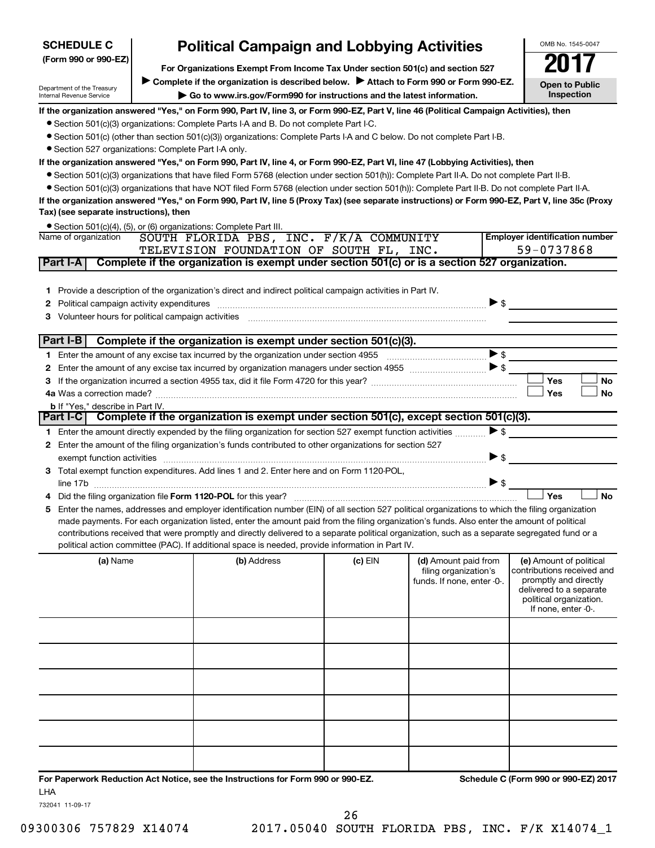| <b>SCHEDULE C</b>                                    | <b>Political Campaign and Lobbying Activities</b> |                                                                                                                                                                                                                                                                                                |           |                            |                          | OMB No. 1545-0047                                  |
|------------------------------------------------------|---------------------------------------------------|------------------------------------------------------------------------------------------------------------------------------------------------------------------------------------------------------------------------------------------------------------------------------------------------|-----------|----------------------------|--------------------------|----------------------------------------------------|
| (Form 990 or 990-EZ)                                 |                                                   |                                                                                                                                                                                                                                                                                                |           |                            |                          |                                                    |
|                                                      |                                                   | For Organizations Exempt From Income Tax Under section 501(c) and section 527                                                                                                                                                                                                                  |           |                            |                          |                                                    |
| Department of the Treasury                           |                                                   | Complete if the organization is described below.<br>Attach to Form 990 or Form 990-EZ.                                                                                                                                                                                                         |           |                            |                          | <b>Open to Public</b><br>Inspection                |
| Internal Revenue Service                             |                                                   | Go to www.irs.gov/Form990 for instructions and the latest information.                                                                                                                                                                                                                         |           |                            |                          |                                                    |
|                                                      |                                                   | If the organization answered "Yes," on Form 990, Part IV, line 3, or Form 990-EZ, Part V, line 46 (Political Campaign Activities), then                                                                                                                                                        |           |                            |                          |                                                    |
|                                                      |                                                   | • Section 501(c)(3) organizations: Complete Parts I-A and B. Do not complete Part I-C.                                                                                                                                                                                                         |           |                            |                          |                                                    |
|                                                      |                                                   | • Section 501(c) (other than section 501(c)(3)) organizations: Complete Parts I-A and C below. Do not complete Part I-B.                                                                                                                                                                       |           |                            |                          |                                                    |
| • Section 527 organizations: Complete Part I-A only. |                                                   |                                                                                                                                                                                                                                                                                                |           |                            |                          |                                                    |
|                                                      |                                                   | If the organization answered "Yes," on Form 990, Part IV, line 4, or Form 990-EZ, Part VI, line 47 (Lobbying Activities), then                                                                                                                                                                 |           |                            |                          |                                                    |
|                                                      |                                                   | • Section 501(c)(3) organizations that have filed Form 5768 (election under section 501(h)): Complete Part II-A. Do not complete Part II-B.<br>• Section 501(c)(3) organizations that have NOT filed Form 5768 (election under section 501(h)): Complete Part II-B. Do not complete Part II-A. |           |                            |                          |                                                    |
|                                                      |                                                   | If the organization answered "Yes," on Form 990, Part IV, line 5 (Proxy Tax) (see separate instructions) or Form 990-EZ, Part V, line 35c (Proxy                                                                                                                                               |           |                            |                          |                                                    |
| Tax) (see separate instructions), then               |                                                   |                                                                                                                                                                                                                                                                                                |           |                            |                          |                                                    |
|                                                      |                                                   | • Section 501(c)(4), (5), or (6) organizations: Complete Part III.                                                                                                                                                                                                                             |           |                            |                          |                                                    |
| Name of organization                                 |                                                   | SOUTH FLORIDA PBS, INC. F/K/A COMMUNITY                                                                                                                                                                                                                                                        |           |                            |                          | <b>Employer identification number</b>              |
|                                                      |                                                   | TELEVISION FOUNDATION OF SOUTH FL, INC.                                                                                                                                                                                                                                                        |           |                            |                          | 59-0737868                                         |
| Part I-A                                             |                                                   | Complete if the organization is exempt under section 501(c) or is a section 527 organization.                                                                                                                                                                                                  |           |                            |                          |                                                    |
|                                                      |                                                   |                                                                                                                                                                                                                                                                                                |           |                            |                          |                                                    |
|                                                      |                                                   | 1 Provide a description of the organization's direct and indirect political campaign activities in Part IV.                                                                                                                                                                                    |           |                            |                          |                                                    |
|                                                      |                                                   |                                                                                                                                                                                                                                                                                                |           |                            | $\triangleright$ \$      |                                                    |
|                                                      |                                                   | Volunteer hours for political campaign activities [111] www.marrore.com/marrore.com/marrore.com/marrore.com/ma                                                                                                                                                                                 |           |                            |                          |                                                    |
|                                                      |                                                   |                                                                                                                                                                                                                                                                                                |           |                            |                          |                                                    |
| Part I-B                                             |                                                   | Complete if the organization is exempt under section 501(c)(3).                                                                                                                                                                                                                                |           |                            |                          |                                                    |
|                                                      |                                                   |                                                                                                                                                                                                                                                                                                |           |                            | $\blacktriangleright$ \$ |                                                    |
|                                                      |                                                   |                                                                                                                                                                                                                                                                                                |           |                            | $\blacktriangleright$ \$ |                                                    |
|                                                      |                                                   |                                                                                                                                                                                                                                                                                                |           |                            |                          | Yes<br>No                                          |
|                                                      |                                                   |                                                                                                                                                                                                                                                                                                |           |                            |                          | Yes<br>No                                          |
| <b>b</b> If "Yes," describe in Part IV.              |                                                   |                                                                                                                                                                                                                                                                                                |           |                            |                          |                                                    |
|                                                      |                                                   | Part I-C   Complete if the organization is exempt under section 501(c), except section 501(c)(3).                                                                                                                                                                                              |           |                            |                          |                                                    |
|                                                      |                                                   | 1 Enter the amount directly expended by the filing organization for section 527 exempt function activities                                                                                                                                                                                     |           |                            | $\blacktriangleright$ \$ |                                                    |
|                                                      |                                                   | 2 Enter the amount of the filing organization's funds contributed to other organizations for section 527                                                                                                                                                                                       |           |                            |                          |                                                    |
|                                                      |                                                   | exempt function activities with an activities and activities are activities and activities are activities and activities and activities and activities are activities and activities and activities and activities and activit                                                                 |           |                            | $\blacktriangleright$ \$ |                                                    |
|                                                      |                                                   | 3 Total exempt function expenditures. Add lines 1 and 2. Enter here and on Form 1120-POL,                                                                                                                                                                                                      |           |                            |                          |                                                    |
| line 17b                                             |                                                   |                                                                                                                                                                                                                                                                                                |           |                            | $\blacktriangleright$ \$ |                                                    |
|                                                      |                                                   |                                                                                                                                                                                                                                                                                                |           |                            |                          | Yes<br><b>No</b>                                   |
|                                                      |                                                   | Enter the names, addresses and employer identification number (EIN) of all section 527 political organizations to which the filing organization                                                                                                                                                |           |                            |                          |                                                    |
|                                                      |                                                   | made payments. For each organization listed, enter the amount paid from the filing organization's funds. Also enter the amount of political<br>contributions received that were promptly and directly delivered to a separate political organization, such as a separate segregated fund or a  |           |                            |                          |                                                    |
|                                                      |                                                   | political action committee (PAC). If additional space is needed, provide information in Part IV.                                                                                                                                                                                               |           |                            |                          |                                                    |
| (a) Name                                             |                                                   | (b) Address                                                                                                                                                                                                                                                                                    | $(c)$ EIN | (d) Amount paid from       |                          | (e) Amount of political                            |
|                                                      |                                                   |                                                                                                                                                                                                                                                                                                |           | filing organization's      |                          | contributions received and                         |
|                                                      |                                                   |                                                                                                                                                                                                                                                                                                |           | funds. If none, enter -0-. |                          | promptly and directly                              |
|                                                      |                                                   |                                                                                                                                                                                                                                                                                                |           |                            |                          | delivered to a separate<br>political organization. |
|                                                      |                                                   |                                                                                                                                                                                                                                                                                                |           |                            |                          | If none, enter -0-.                                |
|                                                      |                                                   |                                                                                                                                                                                                                                                                                                |           |                            |                          |                                                    |
|                                                      |                                                   |                                                                                                                                                                                                                                                                                                |           |                            |                          |                                                    |
|                                                      |                                                   |                                                                                                                                                                                                                                                                                                |           |                            |                          |                                                    |
|                                                      |                                                   |                                                                                                                                                                                                                                                                                                |           |                            |                          |                                                    |
|                                                      |                                                   |                                                                                                                                                                                                                                                                                                |           |                            |                          |                                                    |
|                                                      |                                                   |                                                                                                                                                                                                                                                                                                |           |                            |                          |                                                    |
|                                                      |                                                   |                                                                                                                                                                                                                                                                                                |           |                            |                          |                                                    |
|                                                      |                                                   |                                                                                                                                                                                                                                                                                                |           |                            |                          |                                                    |
|                                                      |                                                   |                                                                                                                                                                                                                                                                                                |           |                            |                          |                                                    |
|                                                      |                                                   |                                                                                                                                                                                                                                                                                                |           |                            |                          |                                                    |

**For Paperwork Reduction Act Notice, see the Instructions for Form 990 or 990-EZ. Schedule C (Form 990 or 990-EZ) 2017** LHA

732041 11-09-17

09300306 757829 X14074 2017.05040 SOUTH FLORIDA PBS, INC. F/K X14074\_1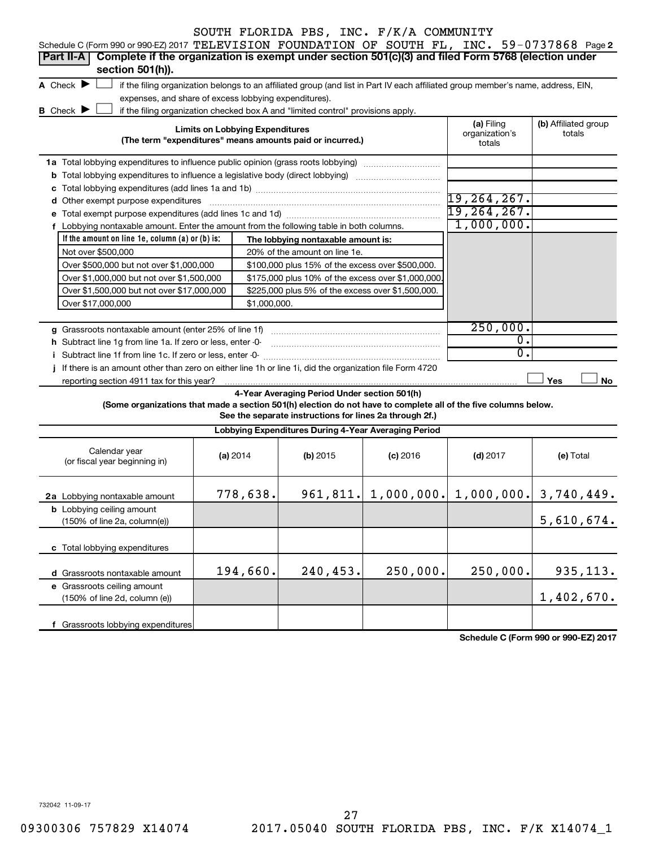| Schedule C (Form 990 or 990-EZ) 2017 TELEVISION FOUNDATION OF SOUTH FL, INC. 59-0737868 Page 2                  |                                                                                                                                   |                                        |                                                                                  |            |                                           |                                |  |  |  |  |
|-----------------------------------------------------------------------------------------------------------------|-----------------------------------------------------------------------------------------------------------------------------------|----------------------------------------|----------------------------------------------------------------------------------|------------|-------------------------------------------|--------------------------------|--|--|--|--|
| Complete if the organization is exempt under section 501(c)(3) and filed Form 5768 (election under<br>Part II-A |                                                                                                                                   |                                        |                                                                                  |            |                                           |                                |  |  |  |  |
| section 501(h)).                                                                                                |                                                                                                                                   |                                        |                                                                                  |            |                                           |                                |  |  |  |  |
| A Check $\blacktriangleright$                                                                                   | if the filing organization belongs to an affiliated group (and list in Part IV each affiliated group member's name, address, EIN, |                                        |                                                                                  |            |                                           |                                |  |  |  |  |
| expenses, and share of excess lobbying expenditures).                                                           |                                                                                                                                   |                                        |                                                                                  |            |                                           |                                |  |  |  |  |
| <b>B</b> Check $\blacktriangleright$                                                                            |                                                                                                                                   |                                        | if the filing organization checked box A and "limited control" provisions apply. |            |                                           |                                |  |  |  |  |
|                                                                                                                 |                                                                                                                                   | <b>Limits on Lobbying Expenditures</b> | (The term "expenditures" means amounts paid or incurred.)                        |            | (a) Filing<br>organization's<br>totals    | (b) Affiliated group<br>totals |  |  |  |  |
|                                                                                                                 |                                                                                                                                   |                                        |                                                                                  |            |                                           |                                |  |  |  |  |
|                                                                                                                 |                                                                                                                                   |                                        |                                                                                  |            |                                           |                                |  |  |  |  |
|                                                                                                                 |                                                                                                                                   |                                        |                                                                                  |            |                                           |                                |  |  |  |  |
| d Other exempt purpose expenditures                                                                             |                                                                                                                                   |                                        |                                                                                  |            | $19, 264, 267$ .                          |                                |  |  |  |  |
|                                                                                                                 |                                                                                                                                   |                                        |                                                                                  |            | 19,264,267.                               |                                |  |  |  |  |
| f Lobbying nontaxable amount. Enter the amount from the following table in both columns.                        |                                                                                                                                   |                                        |                                                                                  |            | 1,000,000.                                |                                |  |  |  |  |
| If the amount on line 1e, column $(a)$ or $(b)$ is:                                                             |                                                                                                                                   |                                        | The lobbying nontaxable amount is:                                               |            |                                           |                                |  |  |  |  |
|                                                                                                                 |                                                                                                                                   |                                        |                                                                                  |            |                                           |                                |  |  |  |  |
| Not over \$500,000                                                                                              |                                                                                                                                   |                                        | 20% of the amount on line 1e.                                                    |            |                                           |                                |  |  |  |  |
| Over \$500,000 but not over \$1,000,000                                                                         |                                                                                                                                   |                                        | \$100,000 plus 15% of the excess over \$500,000.                                 |            |                                           |                                |  |  |  |  |
| Over \$1,000,000 but not over \$1,500,000                                                                       |                                                                                                                                   |                                        | \$175,000 plus 10% of the excess over \$1,000,000                                |            |                                           |                                |  |  |  |  |
| Over \$1,500,000 but not over \$17,000,000                                                                      |                                                                                                                                   |                                        | \$225,000 plus 5% of the excess over \$1,500,000.                                |            |                                           |                                |  |  |  |  |
| Over \$17,000,000                                                                                               |                                                                                                                                   | \$1,000,000.                           |                                                                                  |            |                                           |                                |  |  |  |  |
|                                                                                                                 |                                                                                                                                   |                                        |                                                                                  |            | 250,000.                                  |                                |  |  |  |  |
| g Grassroots nontaxable amount (enter 25% of line 1f)                                                           |                                                                                                                                   |                                        |                                                                                  |            | $\overline{0}$ .                          |                                |  |  |  |  |
| h Subtract line 1g from line 1a. If zero or less, enter -0-                                                     |                                                                                                                                   |                                        |                                                                                  |            | $\overline{0}$ .                          |                                |  |  |  |  |
| i Subtract line 1f from line 1c. If zero or less, enter -0-                                                     |                                                                                                                                   |                                        |                                                                                  |            |                                           |                                |  |  |  |  |
| j If there is an amount other than zero on either line 1h or line 1i, did the organization file Form 4720       |                                                                                                                                   |                                        |                                                                                  |            |                                           |                                |  |  |  |  |
| reporting section 4911 tax for this year?                                                                       |                                                                                                                                   |                                        |                                                                                  |            |                                           | Yes<br>No                      |  |  |  |  |
|                                                                                                                 |                                                                                                                                   |                                        | 4-Year Averaging Period Under section 501(h)                                     |            |                                           |                                |  |  |  |  |
| (Some organizations that made a section 501(h) election do not have to complete all of the five columns below.  |                                                                                                                                   |                                        |                                                                                  |            |                                           |                                |  |  |  |  |
|                                                                                                                 |                                                                                                                                   |                                        | See the separate instructions for lines 2a through 2f.)                          |            |                                           |                                |  |  |  |  |
|                                                                                                                 |                                                                                                                                   |                                        | Lobbying Expenditures During 4-Year Averaging Period                             |            |                                           |                                |  |  |  |  |
| Calendar year<br>(or fiscal year beginning in)                                                                  |                                                                                                                                   | (a) 2014                               | (b) 2015                                                                         | $(c)$ 2016 | $(d)$ 2017                                | (e) Total                      |  |  |  |  |
| 2a Lobbying nontaxable amount                                                                                   |                                                                                                                                   | 778,638.                               |                                                                                  |            | 961,811. 1,000,000. 1,000,000. 3,740,449. |                                |  |  |  |  |
| <b>b</b> Lobbying ceiling amount<br>$(150\% \text{ of line } 2a, \text{ column}(e))$                            |                                                                                                                                   |                                        |                                                                                  |            |                                           | 5,610,674.                     |  |  |  |  |
| c Total lobbying expenditures                                                                                   |                                                                                                                                   |                                        |                                                                                  |            |                                           |                                |  |  |  |  |
| d Grassroots nontaxable amount                                                                                  |                                                                                                                                   | 194,660.                               | 240,453.                                                                         | 250,000.   | 250,000.                                  | 935,113.                       |  |  |  |  |
| e Grassroots ceiling amount                                                                                     |                                                                                                                                   |                                        |                                                                                  |            |                                           |                                |  |  |  |  |
| (150% of line 2d, column (e))                                                                                   |                                                                                                                                   |                                        |                                                                                  |            |                                           | 1,402,670.                     |  |  |  |  |
|                                                                                                                 |                                                                                                                                   |                                        |                                                                                  |            |                                           |                                |  |  |  |  |
|                                                                                                                 |                                                                                                                                   |                                        |                                                                                  |            |                                           |                                |  |  |  |  |

**Schedule C (Form 990 or 990-EZ) 2017**

732042 11-09-17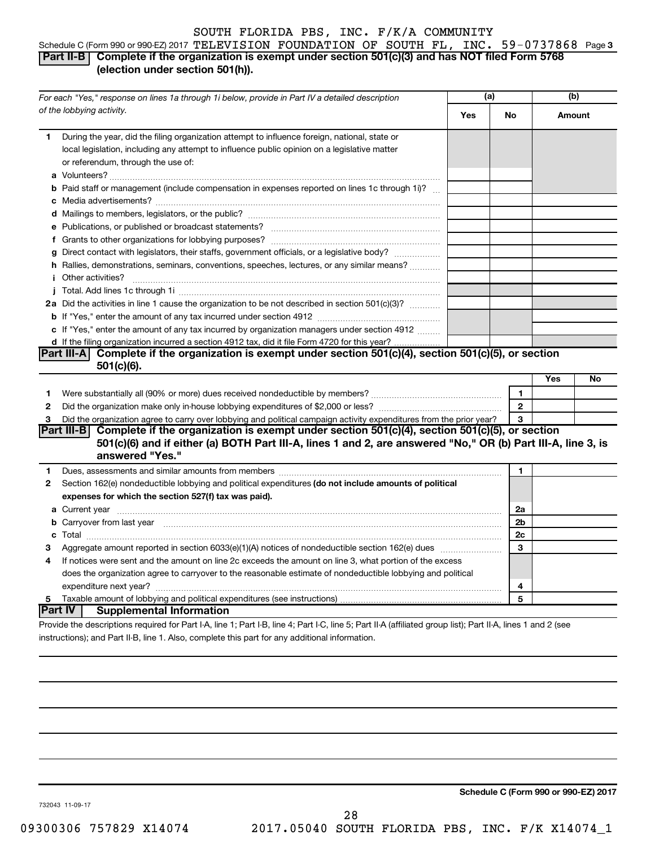#### Schedule C (Form 990 or 990-EZ) 2017  $\texttt{TELEXISION}$  FOUNDATION OF SOUTH FL, INC. 59-0737868 Page 3 **Part II-B Complete if the organization is exempt under section 501(c)(3) and has NOT filed Form 5768 (election under section 501(h)).**

|              | For each "Yes," response on lines 1a through 1i below, provide in Part IV a detailed description                                                                                                                                            | (a) |                |     | (b)    |
|--------------|---------------------------------------------------------------------------------------------------------------------------------------------------------------------------------------------------------------------------------------------|-----|----------------|-----|--------|
|              | of the lobbying activity.                                                                                                                                                                                                                   | Yes | No             |     | Amount |
| 1            | During the year, did the filing organization attempt to influence foreign, national, state or<br>local legislation, including any attempt to influence public opinion on a legislative matter<br>or referendum, through the use of:         |     |                |     |        |
|              | <b>b</b> Paid staff or management (include compensation in expenses reported on lines 1c through 1i)?                                                                                                                                       |     |                |     |        |
|              |                                                                                                                                                                                                                                             |     |                |     |        |
|              |                                                                                                                                                                                                                                             |     |                |     |        |
|              |                                                                                                                                                                                                                                             |     |                |     |        |
|              |                                                                                                                                                                                                                                             |     |                |     |        |
|              | g Direct contact with legislators, their staffs, government officials, or a legislative body?                                                                                                                                               |     |                |     |        |
|              | h Rallies, demonstrations, seminars, conventions, speeches, lectures, or any similar means?                                                                                                                                                 |     |                |     |        |
|              | <i>i</i> Other activities?                                                                                                                                                                                                                  |     |                |     |        |
|              |                                                                                                                                                                                                                                             |     |                |     |        |
|              | 2a Did the activities in line 1 cause the organization to be not described in section 501(c)(3)?                                                                                                                                            |     |                |     |        |
|              |                                                                                                                                                                                                                                             |     |                |     |        |
|              | c If "Yes," enter the amount of any tax incurred by organization managers under section 4912                                                                                                                                                |     |                |     |        |
|              | d If the filing organization incurred a section 4912 tax, did it file Form 4720 for this year?                                                                                                                                              |     |                |     |        |
|              | Part III-A Complete if the organization is exempt under section $501(c)(4)$ , section $501(c)(5)$ , or section                                                                                                                              |     |                |     |        |
|              | $501(c)(6)$ .                                                                                                                                                                                                                               |     |                |     |        |
|              |                                                                                                                                                                                                                                             |     |                | Yes | No     |
| 1            |                                                                                                                                                                                                                                             |     | 1              |     |        |
| $\mathbf{2}$ |                                                                                                                                                                                                                                             |     | $\mathbf{2}$   |     |        |
| 3            | Did the organization agree to carry over lobbying and political campaign activity expenditures from the prior year?                                                                                                                         |     | 3              |     |        |
|              | Part III-B Complete if the organization is exempt under section 501(c)(4), section 501(c)(5), or section<br>501(c)(6) and if either (a) BOTH Part III-A, lines 1 and 2, are answered "No," OR (b) Part III-A, line 3, is<br>answered "Yes." |     |                |     |        |
| 1            |                                                                                                                                                                                                                                             |     | 1              |     |        |
| $\mathbf{2}$ | Section 162(e) nondeductible lobbying and political expenditures (do not include amounts of political                                                                                                                                       |     |                |     |        |
|              | expenses for which the section 527(f) tax was paid).                                                                                                                                                                                        |     |                |     |        |
|              |                                                                                                                                                                                                                                             |     | 2a             |     |        |
|              | b Carryover from last year manufactured and contract the contract of the contract of the contract of the contract of contract of contract of contract of contract of contract of contract of contract of contract of contract               |     | 2 <sub>b</sub> |     |        |
|              |                                                                                                                                                                                                                                             |     | 2c             |     |        |
| 3            |                                                                                                                                                                                                                                             |     | 3              |     |        |
| 4            | If notices were sent and the amount on line 2c exceeds the amount on line 3, what portion of the excess                                                                                                                                     |     |                |     |        |
|              | does the organization agree to carryover to the reasonable estimate of nondeductible lobbying and political                                                                                                                                 |     |                |     |        |
|              |                                                                                                                                                                                                                                             |     | 4              |     |        |
| 5            |                                                                                                                                                                                                                                             |     | 5              |     |        |
|              | ∣Part IV ⊺<br><b>Supplemental Information</b>                                                                                                                                                                                               |     |                |     |        |
|              | Provide the descriptions required for Part I-A, line 1; Part I-B, line 4; Part I-C, line 5; Part II-A (affiliated group list); Part II-A, lines 1 and 2 (see                                                                                |     |                |     |        |

instructions); and Part II-B, line 1. Also, complete this part for any additional information.

**Schedule C (Form 990 or 990-EZ) 2017**

732043 11-09-17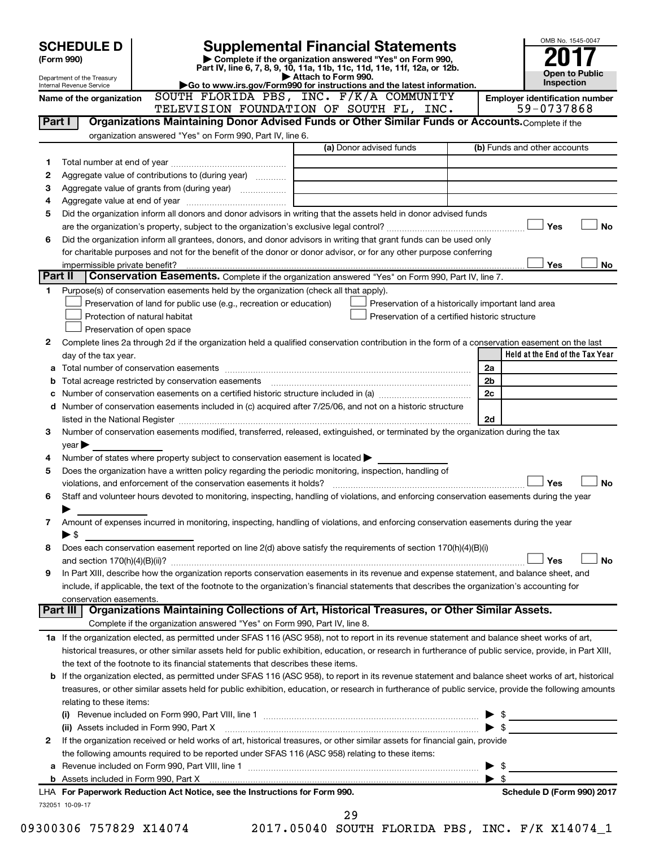| Part I<br>1 | Internal Revenue Service<br>Name of the organization |                                                                                                   | Attach to Form 990. | Part IV, line 6, 7, 8, 9, 10, 11a, 11b, 11c, 11d, 11e, 11f, 12a, or 12b.                                                                                                                                                                |                         | <b>Open to Public</b><br>Inspection                                                                                                                        |
|-------------|------------------------------------------------------|---------------------------------------------------------------------------------------------------|---------------------|-----------------------------------------------------------------------------------------------------------------------------------------------------------------------------------------------------------------------------------------|-------------------------|------------------------------------------------------------------------------------------------------------------------------------------------------------|
|             |                                                      |                                                                                                   |                     | Go to www.irs.gov/Form990 for instructions and the latest information.<br>SOUTH FLORIDA PBS, INC. F/K/A COMMUNITY<br>TELEVISION FOUNDATION OF SOUTH FL, INC.                                                                            |                         | <b>Employer identification number</b><br>59-0737868                                                                                                        |
|             |                                                      |                                                                                                   |                     | Organizations Maintaining Donor Advised Funds or Other Similar Funds or Accounts. Complete if the                                                                                                                                       |                         |                                                                                                                                                            |
|             |                                                      | organization answered "Yes" on Form 990, Part IV, line 6.                                         |                     |                                                                                                                                                                                                                                         |                         |                                                                                                                                                            |
|             |                                                      |                                                                                                   |                     | (a) Donor advised funds                                                                                                                                                                                                                 |                         | (b) Funds and other accounts                                                                                                                               |
|             |                                                      |                                                                                                   |                     |                                                                                                                                                                                                                                         |                         |                                                                                                                                                            |
| 2           |                                                      | Aggregate value of contributions to (during year)                                                 |                     |                                                                                                                                                                                                                                         |                         |                                                                                                                                                            |
| з           |                                                      |                                                                                                   |                     |                                                                                                                                                                                                                                         |                         |                                                                                                                                                            |
| 4           |                                                      |                                                                                                   |                     |                                                                                                                                                                                                                                         |                         |                                                                                                                                                            |
| 5           |                                                      |                                                                                                   |                     | Did the organization inform all donors and donor advisors in writing that the assets held in donor advised funds                                                                                                                        |                         |                                                                                                                                                            |
| 6           |                                                      |                                                                                                   |                     | Did the organization inform all grantees, donors, and donor advisors in writing that grant funds can be used only<br>for charitable purposes and not for the benefit of the donor or donor advisor, or for any other purpose conferring |                         | Yes<br><b>No</b><br>Yes<br>No                                                                                                                              |
| Part II     | impermissible private benefit?                       |                                                                                                   |                     | Conservation Easements. Complete if the organization answered "Yes" on Form 990, Part IV, line 7.                                                                                                                                       |                         |                                                                                                                                                            |
| 1           |                                                      | Purpose(s) of conservation easements held by the organization (check all that apply).             |                     |                                                                                                                                                                                                                                         |                         |                                                                                                                                                            |
|             |                                                      | Preservation of land for public use (e.g., recreation or education)                               |                     | Preservation of a historically important land area                                                                                                                                                                                      |                         |                                                                                                                                                            |
|             |                                                      | Protection of natural habitat                                                                     |                     | Preservation of a certified historic structure                                                                                                                                                                                          |                         |                                                                                                                                                            |
|             |                                                      | Preservation of open space                                                                        |                     |                                                                                                                                                                                                                                         |                         |                                                                                                                                                            |
| 2           |                                                      |                                                                                                   |                     |                                                                                                                                                                                                                                         |                         | Complete lines 2a through 2d if the organization held a qualified conservation contribution in the form of a conservation easement on the last             |
|             | day of the tax year.                                 |                                                                                                   |                     |                                                                                                                                                                                                                                         |                         | Held at the End of the Tax Year                                                                                                                            |
|             |                                                      |                                                                                                   |                     |                                                                                                                                                                                                                                         | 2a                      |                                                                                                                                                            |
| b           |                                                      |                                                                                                   |                     |                                                                                                                                                                                                                                         | 2 <sub>b</sub>          |                                                                                                                                                            |
|             |                                                      |                                                                                                   |                     |                                                                                                                                                                                                                                         | 2c                      |                                                                                                                                                            |
|             |                                                      |                                                                                                   |                     | d Number of conservation easements included in (c) acquired after 7/25/06, and not on a historic structure                                                                                                                              |                         |                                                                                                                                                            |
|             |                                                      |                                                                                                   |                     |                                                                                                                                                                                                                                         | 2d                      |                                                                                                                                                            |
| 3           |                                                      |                                                                                                   |                     | Number of conservation easements modified, transferred, released, extinguished, or terminated by the organization during the tax                                                                                                        |                         |                                                                                                                                                            |
|             | year                                                 |                                                                                                   |                     |                                                                                                                                                                                                                                         |                         |                                                                                                                                                            |
| 4<br>5      |                                                      | Number of states where property subject to conservation easement is located $\blacktriangleright$ |                     | Does the organization have a written policy regarding the periodic monitoring, inspection, handling of                                                                                                                                  |                         |                                                                                                                                                            |
|             |                                                      |                                                                                                   |                     |                                                                                                                                                                                                                                         |                         | Yes<br><b>No</b>                                                                                                                                           |
| 6           |                                                      |                                                                                                   |                     |                                                                                                                                                                                                                                         |                         | Staff and volunteer hours devoted to monitoring, inspecting, handling of violations, and enforcing conservation easements during the year                  |
|             |                                                      |                                                                                                   |                     |                                                                                                                                                                                                                                         |                         |                                                                                                                                                            |
| 7           |                                                      |                                                                                                   |                     | Amount of expenses incurred in monitoring, inspecting, handling of violations, and enforcing conservation easements during the year                                                                                                     |                         |                                                                                                                                                            |
|             | $\blacktriangleright$ \$                             |                                                                                                   |                     |                                                                                                                                                                                                                                         |                         |                                                                                                                                                            |
| 8           |                                                      |                                                                                                   |                     | Does each conservation easement reported on line 2(d) above satisfy the requirements of section 170(h)(4)(B)(i)                                                                                                                         |                         |                                                                                                                                                            |
|             |                                                      |                                                                                                   |                     |                                                                                                                                                                                                                                         |                         | Yes<br>No                                                                                                                                                  |
| 9           |                                                      |                                                                                                   |                     | In Part XIII, describe how the organization reports conservation easements in its revenue and expense statement, and balance sheet, and                                                                                                 |                         |                                                                                                                                                            |
|             |                                                      |                                                                                                   |                     | include, if applicable, the text of the footnote to the organization's financial statements that describes the organization's accounting for                                                                                            |                         |                                                                                                                                                            |
|             | conservation easements.                              |                                                                                                   |                     |                                                                                                                                                                                                                                         |                         |                                                                                                                                                            |
|             |                                                      |                                                                                                   |                     | Part III   Organizations Maintaining Collections of Art, Historical Treasures, or Other Similar Assets.                                                                                                                                 |                         |                                                                                                                                                            |
|             |                                                      | Complete if the organization answered "Yes" on Form 990, Part IV, line 8.                         |                     |                                                                                                                                                                                                                                         |                         |                                                                                                                                                            |
|             |                                                      |                                                                                                   |                     |                                                                                                                                                                                                                                         |                         | 1a If the organization elected, as permitted under SFAS 116 (ASC 958), not to report in its revenue statement and balance sheet works of art,              |
|             |                                                      |                                                                                                   |                     |                                                                                                                                                                                                                                         |                         | historical treasures, or other similar assets held for public exhibition, education, or research in furtherance of public service, provide, in Part XIII,  |
|             |                                                      | the text of the footnote to its financial statements that describes these items.                  |                     |                                                                                                                                                                                                                                         |                         | <b>b</b> If the organization elected, as permitted under SFAS 116 (ASC 958), to report in its revenue statement and balance sheet works of art, historical |
|             |                                                      |                                                                                                   |                     |                                                                                                                                                                                                                                         |                         | treasures, or other similar assets held for public exhibition, education, or research in furtherance of public service, provide the following amounts      |
|             | relating to these items:                             |                                                                                                   |                     |                                                                                                                                                                                                                                         |                         |                                                                                                                                                            |
|             |                                                      |                                                                                                   |                     | (i) Revenue included on Form 990, Part VIII, line 1 $\ldots$ $\ldots$ $\ldots$ $\ldots$ $\ldots$ $\ldots$ $\ldots$ $\ldots$ $\ldots$ $\ldots$ $\ldots$                                                                                  |                         |                                                                                                                                                            |
|             |                                                      | (ii) Assets included in Form 990, Part X                                                          |                     |                                                                                                                                                                                                                                         |                         |                                                                                                                                                            |
| 2           |                                                      |                                                                                                   |                     | If the organization received or held works of art, historical treasures, or other similar assets for financial gain, provide                                                                                                            |                         |                                                                                                                                                            |
|             |                                                      | the following amounts required to be reported under SFAS 116 (ASC 958) relating to these items:   |                     |                                                                                                                                                                                                                                         |                         |                                                                                                                                                            |
|             |                                                      |                                                                                                   |                     |                                                                                                                                                                                                                                         | $\triangleright$ \$     |                                                                                                                                                            |
|             |                                                      |                                                                                                   |                     | b Assets included in Form 990, Part X [11] Marten and Martin Martin Martin Martin Martin Martin Martin Martin M                                                                                                                         | $\blacktriangleright$ s |                                                                                                                                                            |
|             |                                                      | LHA For Paperwork Reduction Act Notice, see the Instructions for Form 990.                        |                     |                                                                                                                                                                                                                                         |                         | Schedule D (Form 990) 2017                                                                                                                                 |
|             | 732051 10-09-17                                      |                                                                                                   |                     |                                                                                                                                                                                                                                         |                         |                                                                                                                                                            |
|             | 09300306 757829 X14074                               |                                                                                                   | 29                  |                                                                                                                                                                                                                                         |                         | 2017.05040 SOUTH FLORIDA PBS, INC. F/K X14074_1                                                                                                            |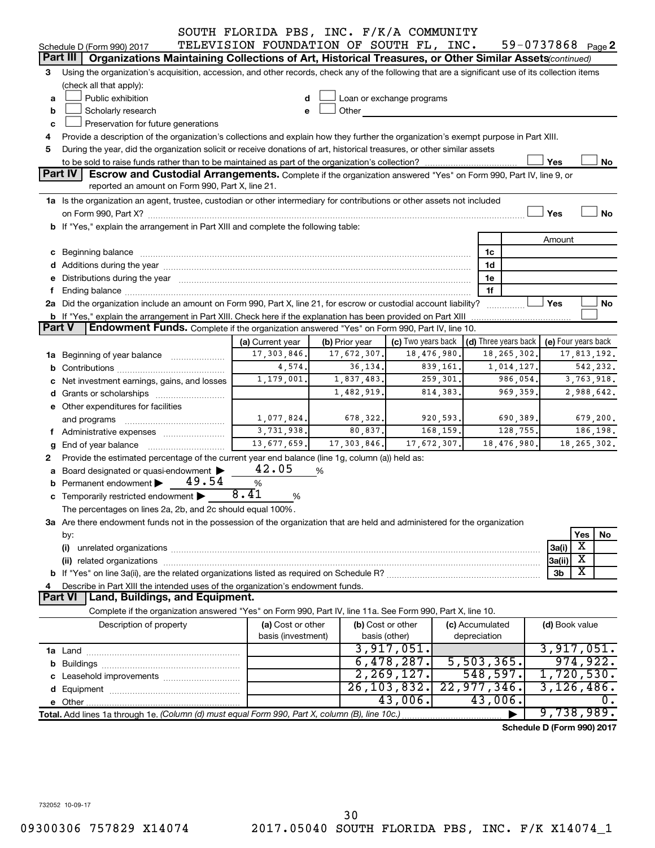|               |                                                                                                                                                                                                                                      | SOUTH FLORIDA PBS, INC. F/K/A COMMUNITY |                |                           |           |                                 |                            |                         |
|---------------|--------------------------------------------------------------------------------------------------------------------------------------------------------------------------------------------------------------------------------------|-----------------------------------------|----------------|---------------------------|-----------|---------------------------------|----------------------------|-------------------------|
|               | Schedule D (Form 990) 2017                                                                                                                                                                                                           | TELEVISION FOUNDATION OF SOUTH FL, INC. |                |                           |           |                                 | 59-0737868 Page 2          |                         |
|               | Part III<br>Organizations Maintaining Collections of Art, Historical Treasures, or Other Similar Assets (continued)                                                                                                                  |                                         |                |                           |           |                                 |                            |                         |
| З             | Using the organization's acquisition, accession, and other records, check any of the following that are a significant use of its collection items                                                                                    |                                         |                |                           |           |                                 |                            |                         |
|               | (check all that apply):                                                                                                                                                                                                              |                                         |                |                           |           |                                 |                            |                         |
| a             | Public exhibition                                                                                                                                                                                                                    |                                         |                | Loan or exchange programs |           |                                 |                            |                         |
| b             | Scholarly research                                                                                                                                                                                                                   |                                         | Other          |                           |           |                                 |                            |                         |
| C             | Preservation for future generations                                                                                                                                                                                                  |                                         |                |                           |           |                                 |                            |                         |
| 4             | Provide a description of the organization's collections and explain how they further the organization's exempt purpose in Part XIII.                                                                                                 |                                         |                |                           |           |                                 |                            |                         |
| 5             | During the year, did the organization solicit or receive donations of art, historical treasures, or other similar assets                                                                                                             |                                         |                |                           |           |                                 |                            |                         |
|               |                                                                                                                                                                                                                                      |                                         |                |                           |           |                                 | Yes                        | No                      |
|               | Part IV<br>Escrow and Custodial Arrangements. Complete if the organization answered "Yes" on Form 990, Part IV, line 9, or                                                                                                           |                                         |                |                           |           |                                 |                            |                         |
|               | reported an amount on Form 990, Part X, line 21.                                                                                                                                                                                     |                                         |                |                           |           |                                 |                            |                         |
|               | 1a Is the organization an agent, trustee, custodian or other intermediary for contributions or other assets not included                                                                                                             |                                         |                |                           |           |                                 |                            |                         |
|               |                                                                                                                                                                                                                                      |                                         |                |                           |           |                                 | Yes                        | No                      |
|               | b If "Yes," explain the arrangement in Part XIII and complete the following table:                                                                                                                                                   |                                         |                |                           |           |                                 |                            |                         |
|               |                                                                                                                                                                                                                                      |                                         |                |                           |           |                                 | Amount                     |                         |
|               | c Beginning balance <b>contract to the contract of the contract of the contract of the contract of the contract of the contract of the contract of the contract of the contract of the contract of the contract of the contract </b> |                                         |                |                           |           | 1c                              |                            |                         |
|               |                                                                                                                                                                                                                                      |                                         |                |                           |           | 1d                              |                            |                         |
|               | e Distributions during the year manufactured and continuum and contact the year manufactured and contact the year manufactured and contact the year manufactured and contact the year manufactured and contact the year manufa       |                                         |                |                           |           | 1e                              |                            |                         |
|               |                                                                                                                                                                                                                                      |                                         |                |                           |           | 1f                              |                            |                         |
|               | 2a Did the organization include an amount on Form 990, Part X, line 21, for escrow or custodial account liability?                                                                                                                   |                                         |                |                           |           |                                 | Yes                        | No                      |
|               | <b>b</b> If "Yes," explain the arrangement in Part XIII. Check here if the explanation has been provided on Part XIII                                                                                                                |                                         |                |                           |           |                                 |                            |                         |
| <b>Part V</b> | Endowment Funds. Complete if the organization answered "Yes" on Form 990, Part IV, line 10.                                                                                                                                          |                                         |                |                           |           |                                 |                            |                         |
|               |                                                                                                                                                                                                                                      | (a) Current year                        | (b) Prior year | (c) Two years back        |           | (d) Three years back            |                            | (e) Four years back     |
|               | 1a Beginning of year balance                                                                                                                                                                                                         | 17,303,846.                             | 17,672,307.    | 18,476,980.               |           | 18, 265, 302.                   |                            | 17,813,192.             |
|               |                                                                                                                                                                                                                                      | 4,574.                                  | 36, 134.       |                           | 839,161.  | 1,014,127.                      |                            | 542,232.                |
|               | c Net investment earnings, gains, and losses                                                                                                                                                                                         | 1,179,001.                              | 1,837,483.     |                           | 259,301.  | 986,054.                        |                            | 3,763,918.              |
|               |                                                                                                                                                                                                                                      |                                         | 1,482,919.     |                           | 814, 383. | 969,359                         |                            | 2,988,642.              |
|               | e Other expenditures for facilities                                                                                                                                                                                                  |                                         |                |                           |           |                                 |                            |                         |
|               | and programs                                                                                                                                                                                                                         | 1,077,824.                              | 678,322.       |                           | 920,593.  | 690,389.                        |                            | 679,200.                |
|               | f Administrative expenses                                                                                                                                                                                                            | 3,731,938.                              | 80,837.        |                           | 168,159.  | 128,755.                        |                            | 186,198.                |
| g             | End of year balance                                                                                                                                                                                                                  | 13,677,659.                             | 17,303,846.    | 17,672,307.               |           | 18,476,980.                     |                            | 18, 265, 302.           |
| 2             | Provide the estimated percentage of the current year end balance (line 1g, column (a)) held as:                                                                                                                                      |                                         |                |                           |           |                                 |                            |                         |
|               | a Board designated or quasi-endowment >                                                                                                                                                                                              | 42.05                                   | %              |                           |           |                                 |                            |                         |
|               | 49.54<br>Permanent endowment                                                                                                                                                                                                         | %<br>8.41                               |                |                           |           |                                 |                            |                         |
|               | <b>c</b> Temporarily restricted endowment $\blacktriangleright$                                                                                                                                                                      | %                                       |                |                           |           |                                 |                            |                         |
|               | The percentages on lines 2a, 2b, and 2c should equal 100%.                                                                                                                                                                           |                                         |                |                           |           |                                 |                            |                         |
|               | 3a Are there endowment funds not in the possession of the organization that are held and administered for the organization                                                                                                           |                                         |                |                           |           |                                 |                            |                         |
|               | by:                                                                                                                                                                                                                                  |                                         |                |                           |           |                                 |                            | Yes<br>No<br>X          |
|               | (i)                                                                                                                                                                                                                                  |                                         |                |                           |           |                                 | 3a(i)                      | $\overline{\mathbf{X}}$ |
|               |                                                                                                                                                                                                                                      |                                         |                |                           |           |                                 | 3a(ii)                     | X                       |
|               |                                                                                                                                                                                                                                      |                                         |                |                           |           |                                 | 3b                         |                         |
|               | Describe in Part XIII the intended uses of the organization's endowment funds.<br>Land, Buildings, and Equipment.<br><b>Part VI</b>                                                                                                  |                                         |                |                           |           |                                 |                            |                         |
|               | Complete if the organization answered "Yes" on Form 990, Part IV, line 11a. See Form 990, Part X, line 10.                                                                                                                           |                                         |                |                           |           |                                 |                            |                         |
|               |                                                                                                                                                                                                                                      |                                         |                |                           |           |                                 |                            |                         |
|               | Description of property                                                                                                                                                                                                              | (a) Cost or other<br>basis (investment) | basis (other)  | (b) Cost or other         |           | (c) Accumulated<br>depreciation | (d) Book value             |                         |
|               |                                                                                                                                                                                                                                      |                                         |                | 3,917,051.                |           |                                 |                            | 3,917,051.              |
|               |                                                                                                                                                                                                                                      |                                         |                | 6,478,287.                |           | 5,503,365.                      |                            | 974,922.                |
|               |                                                                                                                                                                                                                                      |                                         |                | 2, 269, 127.              |           | 548,597.                        |                            | 1,720,530.              |
|               |                                                                                                                                                                                                                                      |                                         |                | 26, 103, 832.             |           | 22,977,346.                     |                            | 3,126,486.              |
|               |                                                                                                                                                                                                                                      |                                         |                | 43,006.                   |           | 43,006.                         |                            | 0.                      |
|               | Total. Add lines 1a through 1e. (Column (d) must equal Form 990, Part X, column (B), line 10c.)                                                                                                                                      |                                         |                |                           |           |                                 |                            | 9,738,989.              |
|               |                                                                                                                                                                                                                                      |                                         |                |                           |           |                                 |                            |                         |
|               |                                                                                                                                                                                                                                      |                                         |                |                           |           |                                 | Schedule D (Form 990) 2017 |                         |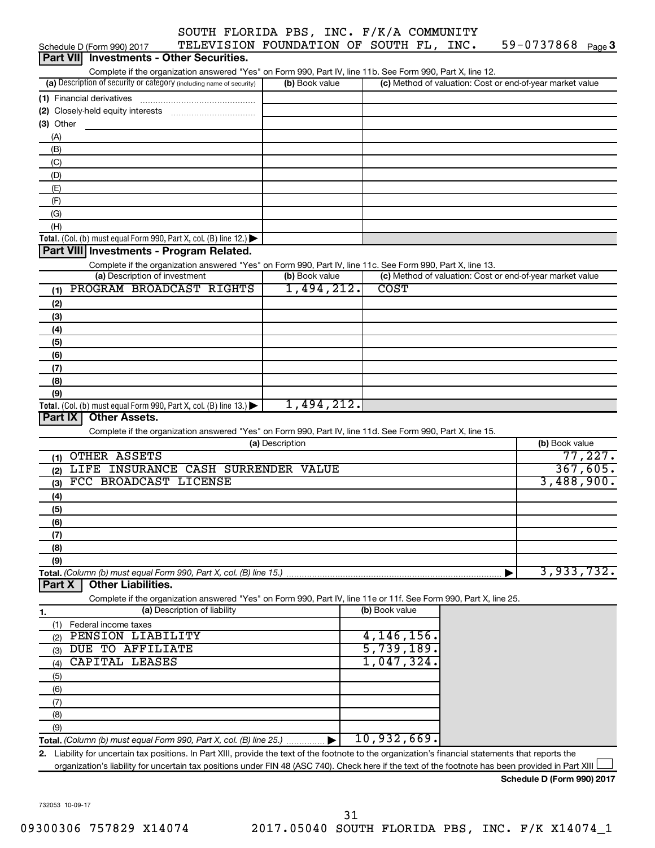| $59 - 0737868$ Page 3 |
|-----------------------|
|-----------------------|

| TELEVISION FOUNDATION OF SOUTH FL, INC.<br>Schedule D (Form 990) 2017                                                                                   |                 |                |  | 59-0737868 Page 3                                         |          |
|---------------------------------------------------------------------------------------------------------------------------------------------------------|-----------------|----------------|--|-----------------------------------------------------------|----------|
| <b>Investments - Other Securities.</b><br><b>Part VIII</b>                                                                                              |                 |                |  |                                                           |          |
| Complete if the organization answered "Yes" on Form 990, Part IV, line 11b. See Form 990, Part X, line 12.                                              |                 |                |  |                                                           |          |
| (a) Description of security or category (including name of security)                                                                                    | (b) Book value  |                |  | (c) Method of valuation: Cost or end-of-year market value |          |
| (1) Financial derivatives                                                                                                                               |                 |                |  |                                                           |          |
|                                                                                                                                                         |                 |                |  |                                                           |          |
| $(3)$ Other                                                                                                                                             |                 |                |  |                                                           |          |
| (A)                                                                                                                                                     |                 |                |  |                                                           |          |
| (B)                                                                                                                                                     |                 |                |  |                                                           |          |
| (C)                                                                                                                                                     |                 |                |  |                                                           |          |
| (D)                                                                                                                                                     |                 |                |  |                                                           |          |
| (E)                                                                                                                                                     |                 |                |  |                                                           |          |
| (F)                                                                                                                                                     |                 |                |  |                                                           |          |
| (G)                                                                                                                                                     |                 |                |  |                                                           |          |
| (H)                                                                                                                                                     |                 |                |  |                                                           |          |
| Total. (Col. (b) must equal Form 990, Part X, col. (B) line 12.) $\blacktriangleright$                                                                  |                 |                |  |                                                           |          |
| Part VIII Investments - Program Related.                                                                                                                |                 |                |  |                                                           |          |
| Complete if the organization answered "Yes" on Form 990, Part IV, line 11c. See Form 990, Part X, line 13.                                              |                 |                |  |                                                           |          |
| (a) Description of investment                                                                                                                           | (b) Book value  |                |  | (c) Method of valuation: Cost or end-of-year market value |          |
| PROGRAM BROADCAST RIGHTS<br>(1)                                                                                                                         | 1,494,212.      | <b>COST</b>    |  |                                                           |          |
| (2)                                                                                                                                                     |                 |                |  |                                                           |          |
| (3)                                                                                                                                                     |                 |                |  |                                                           |          |
| (4)                                                                                                                                                     |                 |                |  |                                                           |          |
| (5)                                                                                                                                                     |                 |                |  |                                                           |          |
| (6)                                                                                                                                                     |                 |                |  |                                                           |          |
| (7)                                                                                                                                                     |                 |                |  |                                                           |          |
| (8)                                                                                                                                                     |                 |                |  |                                                           |          |
| (9)                                                                                                                                                     |                 |                |  |                                                           |          |
| Total. (Col. (b) must equal Form 990, Part X, col. (B) line 13.) $\blacktriangleright$                                                                  | 1,494,212.      |                |  |                                                           |          |
| <b>Other Assets.</b><br>Part IX                                                                                                                         |                 |                |  |                                                           |          |
| Complete if the organization answered "Yes" on Form 990, Part IV, line 11d. See Form 990, Part X, line 15.                                              |                 |                |  |                                                           |          |
|                                                                                                                                                         | (a) Description |                |  | (b) Book value                                            |          |
| <b>OTHER ASSETS</b><br>(1)                                                                                                                              |                 |                |  |                                                           | 77,227.  |
| LIFE INSURANCE CASH SURRENDER VALUE<br>(2)                                                                                                              |                 |                |  |                                                           | 367,605. |
| FCC BROADCAST LICENSE<br>(3)                                                                                                                            |                 |                |  | 3,488,900.                                                |          |
| (4)                                                                                                                                                     |                 |                |  |                                                           |          |
| (5)                                                                                                                                                     |                 |                |  |                                                           |          |
| (6)                                                                                                                                                     |                 |                |  |                                                           |          |
| (7)                                                                                                                                                     |                 |                |  |                                                           |          |
| (8)                                                                                                                                                     |                 |                |  |                                                           |          |
| (9)                                                                                                                                                     |                 |                |  |                                                           |          |
| Total. (Column (b) must equal Form 990, Part X, col. (B) line 15.)                                                                                      |                 |                |  | 3,933,732.                                                |          |
| <b>Other Liabilities.</b><br>Part X                                                                                                                     |                 |                |  |                                                           |          |
| Complete if the organization answered "Yes" on Form 990, Part IV, line 11e or 11f. See Form 990, Part X, line 25.                                       |                 |                |  |                                                           |          |
| (a) Description of liability<br>1.                                                                                                                      |                 | (b) Book value |  |                                                           |          |
| (1)<br>Federal income taxes                                                                                                                             |                 |                |  |                                                           |          |
| PENSION LIABILITY<br>(2)                                                                                                                                |                 | 4,146,156      |  |                                                           |          |
| DUE TO AFFILIATE<br>(3)                                                                                                                                 |                 | 5,739,189      |  |                                                           |          |
| CAPITAL LEASES<br>(4)                                                                                                                                   |                 | 1,047,324      |  |                                                           |          |
| (5)                                                                                                                                                     |                 |                |  |                                                           |          |
| (6)                                                                                                                                                     |                 |                |  |                                                           |          |
| (7)                                                                                                                                                     |                 |                |  |                                                           |          |
| (8)                                                                                                                                                     |                 |                |  |                                                           |          |
| (9)                                                                                                                                                     |                 |                |  |                                                           |          |
| Total. (Column (b) must equal Form 990, Part X, col. (B) line 25.)                                                                                      |                 | 10,932,669.    |  |                                                           |          |
| Liability for uncertain tax positions. In Part XIII, provide the text of the footnote to the organization's financial statements that reports the<br>2. |                 |                |  |                                                           |          |
| organization's liability for uncertain tax positions under FIN 48 (ASC 740). Check here if the text of the footnote has been provided in Part XIII      |                 |                |  |                                                           |          |

**Schedule D (Form 990) 2017**

732053 10-09-17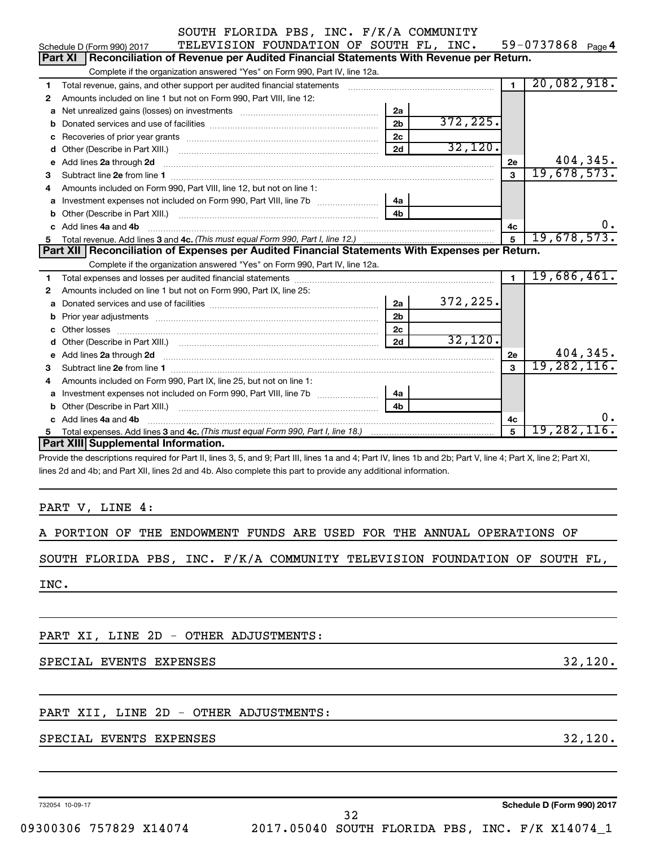| SOUTH FLORIDA PBS, INC. F/K/A COMMUNITY |  |  |  |  |
|-----------------------------------------|--|--|--|--|
|-----------------------------------------|--|--|--|--|

|    | SOUTH FLORIDA PBS, INC. F/K/A COMMUNITY                                                                                                                                                                                            |                |           |                |                    |
|----|------------------------------------------------------------------------------------------------------------------------------------------------------------------------------------------------------------------------------------|----------------|-----------|----------------|--------------------|
|    | TELEVISION FOUNDATION OF SOUTH FL, INC.<br>Schedule D (Form 990) 2017                                                                                                                                                              |                |           |                | 59-0737868 Page 4  |
|    | Reconciliation of Revenue per Audited Financial Statements With Revenue per Return.<br><b>Part XI</b>                                                                                                                              |                |           |                |                    |
|    | Complete if the organization answered "Yes" on Form 990, Part IV, line 12a.                                                                                                                                                        |                |           |                |                    |
| 1  | Total revenue, gains, and other support per audited financial statements                                                                                                                                                           |                |           | $\blacksquare$ | 20,082,918.        |
| 2  | Amounts included on line 1 but not on Form 990, Part VIII, line 12:                                                                                                                                                                |                |           |                |                    |
| a  |                                                                                                                                                                                                                                    | 2a             |           |                |                    |
| b  |                                                                                                                                                                                                                                    | 2 <sub>b</sub> | 372, 225. |                |                    |
| с  |                                                                                                                                                                                                                                    | 2 <sub>c</sub> |           |                |                    |
| d  |                                                                                                                                                                                                                                    | 2d             | 32,120.   |                |                    |
| е  | Add lines 2a through 2d                                                                                                                                                                                                            |                |           | <b>2e</b>      | 404,345.           |
| 3  |                                                                                                                                                                                                                                    |                |           | $\mathbf{a}$   | 19,678,573.        |
| 4  | Amounts included on Form 990, Part VIII, line 12, but not on line 1:                                                                                                                                                               |                |           |                |                    |
| a  | Investment expenses not included on Form 990, Part VIII, line 7b [                                                                                                                                                                 | 4a             |           |                |                    |
| b  |                                                                                                                                                                                                                                    | 4b             |           |                |                    |
| c. | Add lines 4a and 4b                                                                                                                                                                                                                |                |           | 4c             | υ.                 |
| 5. |                                                                                                                                                                                                                                    |                |           | 5              | 19,678,573.        |
|    |                                                                                                                                                                                                                                    |                |           |                |                    |
|    | Part XII   Reconciliation of Expenses per Audited Financial Statements With Expenses per Return.                                                                                                                                   |                |           |                |                    |
|    | Complete if the organization answered "Yes" on Form 990, Part IV, line 12a.                                                                                                                                                        |                |           |                |                    |
| 1  |                                                                                                                                                                                                                                    |                |           | $\blacksquare$ | 19,686,461.        |
| 2  | Amounts included on line 1 but not on Form 990, Part IX, line 25:                                                                                                                                                                  |                |           |                |                    |
| a  |                                                                                                                                                                                                                                    | 2a             | 372, 225. |                |                    |
| b  |                                                                                                                                                                                                                                    | 2 <sub>b</sub> |           |                |                    |
| c  |                                                                                                                                                                                                                                    | 2 <sub>c</sub> |           |                |                    |
| d  | Other (Describe in Part XIII.) (COLORGIAL CONSERVITY) (CONSERVITY) (CONSERVITY) (CONSERVITY) (CONSERVITY)                                                                                                                          | 2d             | 32,120.   |                |                    |
| е  | Add lines 2a through 2d <b>contained a contained a contained a contained a</b> contained a contained a contained a contained a contained a contact a contact a contact a contact a contact a contact a contact a contact a contact |                |           | 2e             | 404,345.           |
| 3  |                                                                                                                                                                                                                                    |                |           | $\mathbf{a}$   | 19,282,116.        |
| 4  | Amounts included on Form 990, Part IX, line 25, but not on line 1:                                                                                                                                                                 |                |           |                |                    |
| a  |                                                                                                                                                                                                                                    | 4a             |           |                |                    |
| b  |                                                                                                                                                                                                                                    | 4 <sub>h</sub> |           |                |                    |
|    | c Add lines 4a and 4b                                                                                                                                                                                                              |                |           | 4с             | о.                 |
| 5. |                                                                                                                                                                                                                                    |                |           | 5              | <u>19,282,116.</u> |
|    | Part XIII Supplemental Information.                                                                                                                                                                                                |                |           |                |                    |

lines 2d and 4b; and Part XII, lines 2d and 4b. Also complete this part to provide any additional information.

PART V, LINE 4:

A PORTION OF THE ENDOWMENT FUNDS ARE USED FOR THE ANNUAL OPERATIONS OF

SOUTH FLORIDA PBS, INC. F/K/A COMMUNITY TELEVISION FOUNDATION OF SOUTH FL,

INC.

PART XI, LINE 2D - OTHER ADJUSTMENTS:

SPECIAL EVENTS EXPENSES 32,120.

#### PART XII, LINE 2D - OTHER ADJUSTMENTS:

#### SPECIAL EVENTS EXPENSES 32,120.

732054 10-09-17

**Schedule D (Form 990) 2017**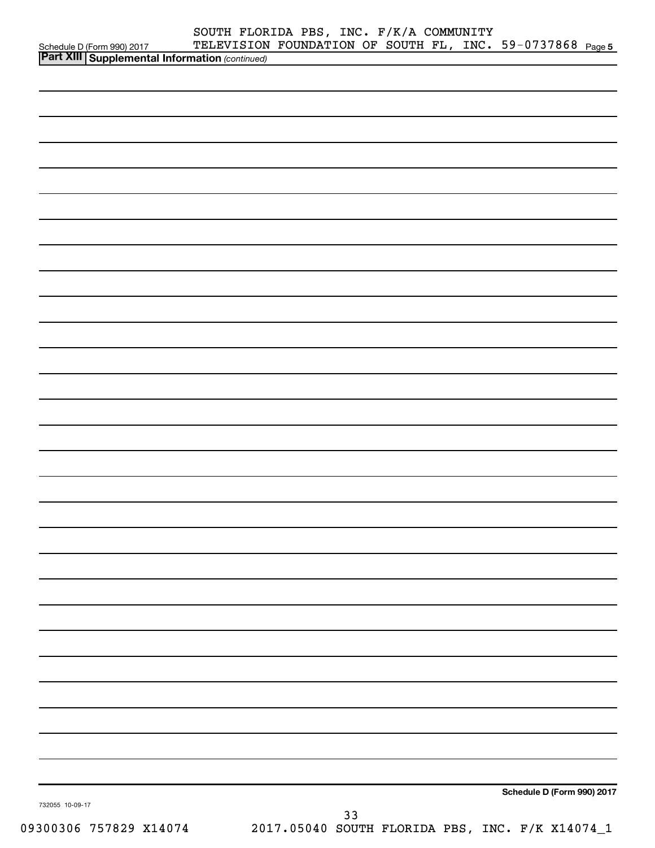|                                                                                         | SOUTH FLORIDA PBS, INC. F/K/A COMMUNITY                   |    |  |                            |  |
|-----------------------------------------------------------------------------------------|-----------------------------------------------------------|----|--|----------------------------|--|
| Schedule D (Form 990) 2017 TELEVISION<br>Part XIII Supplemental Information (continued) | TELEVISION FOUNDATION OF SOUTH FL, INC. 59-0737868 Page 5 |    |  |                            |  |
|                                                                                         |                                                           |    |  |                            |  |
|                                                                                         |                                                           |    |  |                            |  |
|                                                                                         |                                                           |    |  |                            |  |
|                                                                                         |                                                           |    |  |                            |  |
|                                                                                         |                                                           |    |  |                            |  |
|                                                                                         |                                                           |    |  |                            |  |
|                                                                                         |                                                           |    |  |                            |  |
|                                                                                         |                                                           |    |  |                            |  |
|                                                                                         |                                                           |    |  |                            |  |
|                                                                                         |                                                           |    |  |                            |  |
|                                                                                         |                                                           |    |  |                            |  |
|                                                                                         |                                                           |    |  |                            |  |
|                                                                                         |                                                           |    |  |                            |  |
|                                                                                         |                                                           |    |  |                            |  |
|                                                                                         |                                                           |    |  |                            |  |
|                                                                                         |                                                           |    |  |                            |  |
|                                                                                         |                                                           |    |  |                            |  |
|                                                                                         |                                                           |    |  |                            |  |
|                                                                                         |                                                           |    |  |                            |  |
|                                                                                         |                                                           |    |  |                            |  |
|                                                                                         |                                                           |    |  |                            |  |
|                                                                                         |                                                           |    |  |                            |  |
|                                                                                         |                                                           |    |  |                            |  |
|                                                                                         |                                                           |    |  |                            |  |
|                                                                                         |                                                           |    |  |                            |  |
|                                                                                         |                                                           |    |  |                            |  |
|                                                                                         |                                                           |    |  |                            |  |
|                                                                                         |                                                           |    |  |                            |  |
|                                                                                         |                                                           |    |  |                            |  |
|                                                                                         |                                                           |    |  |                            |  |
|                                                                                         |                                                           |    |  |                            |  |
|                                                                                         |                                                           |    |  |                            |  |
|                                                                                         |                                                           |    |  |                            |  |
|                                                                                         |                                                           |    |  |                            |  |
|                                                                                         |                                                           |    |  |                            |  |
|                                                                                         |                                                           |    |  |                            |  |
|                                                                                         |                                                           |    |  |                            |  |
|                                                                                         |                                                           |    |  |                            |  |
|                                                                                         |                                                           |    |  |                            |  |
|                                                                                         |                                                           |    |  |                            |  |
|                                                                                         |                                                           |    |  |                            |  |
|                                                                                         |                                                           |    |  |                            |  |
|                                                                                         |                                                           |    |  |                            |  |
|                                                                                         |                                                           |    |  |                            |  |
|                                                                                         |                                                           |    |  |                            |  |
|                                                                                         |                                                           |    |  |                            |  |
|                                                                                         |                                                           |    |  | Schedule D (Form 990) 2017 |  |
| 732055 10-09-17                                                                         |                                                           | 33 |  |                            |  |
|                                                                                         |                                                           |    |  |                            |  |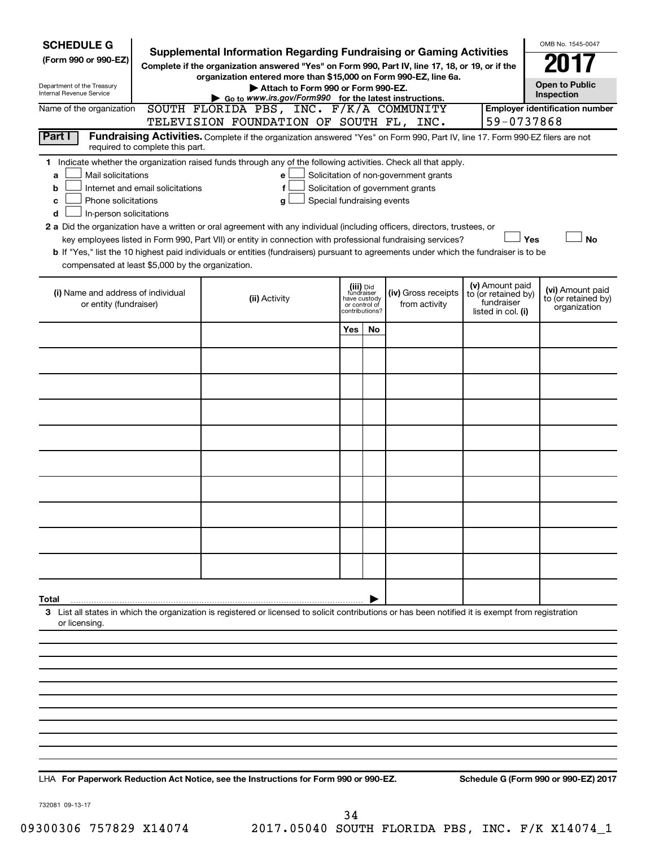| <b>SCHEDULE G</b><br>(Form 990 or 990-EZ)<br>Department of the Treasury<br>Internal Revenue Service                                                 | <b>Supplemental Information Regarding Fundraising or Gaming Activities</b><br>Complete if the organization answered "Yes" on Form 990, Part IV, line 17, 18, or 19, or if the | OMB No. 1545-0047<br><b>Open to Public</b><br>Inspection                                                                                                                                                                                                                                                                                                                                                                                                                                                                                         |     |                                                                            |                                                                            |  |                                                         |                                                         |
|-----------------------------------------------------------------------------------------------------------------------------------------------------|-------------------------------------------------------------------------------------------------------------------------------------------------------------------------------|--------------------------------------------------------------------------------------------------------------------------------------------------------------------------------------------------------------------------------------------------------------------------------------------------------------------------------------------------------------------------------------------------------------------------------------------------------------------------------------------------------------------------------------------------|-----|----------------------------------------------------------------------------|----------------------------------------------------------------------------|--|---------------------------------------------------------|---------------------------------------------------------|
| Name of the organization                                                                                                                            |                                                                                                                                                                               | Go to www.irs.gov/Form990 for the latest instructions.<br>SOUTH FLORIDA PBS, INC. F/K/A COMMUNITY<br>TELEVISION FOUNDATION OF SOUTH FL, INC.                                                                                                                                                                                                                                                                                                                                                                                                     |     |                                                                            |                                                                            |  | 59-0737868                                              | <b>Employer identification number</b>                   |
| Part I                                                                                                                                              |                                                                                                                                                                               | Fundraising Activities. Complete if the organization answered "Yes" on Form 990, Part IV, line 17. Form 990-EZ filers are not                                                                                                                                                                                                                                                                                                                                                                                                                    |     |                                                                            |                                                                            |  |                                                         |                                                         |
| 1.<br>Mail solicitations<br>а<br>b<br>Phone solicitations<br>с<br>In-person solicitations<br>d<br>compensated at least \$5,000 by the organization. | required to complete this part.<br>Internet and email solicitations                                                                                                           | Indicate whether the organization raised funds through any of the following activities. Check all that apply.<br>е<br>f<br>Special fundraising events<br>g<br>2 a Did the organization have a written or oral agreement with any individual (including officers, directors, trustees, or<br>key employees listed in Form 990, Part VII) or entity in connection with professional fundraising services?<br>b If "Yes," list the 10 highest paid individuals or entities (fundraisers) pursuant to agreements under which the fundraiser is to be |     |                                                                            | Solicitation of non-government grants<br>Solicitation of government grants |  | Yes<br>(v) Amount paid                                  | <b>No</b>                                               |
| (i) Name and address of individual<br>or entity (fundraiser)                                                                                        |                                                                                                                                                                               | (ii) Activity                                                                                                                                                                                                                                                                                                                                                                                                                                                                                                                                    |     | (iii) Did<br>fundraiser<br>have custody<br>or control of<br>contributions? | (iv) Gross receipts<br>from activity                                       |  | to (or retained by)<br>fundraiser<br>listed in col. (i) | (vi) Amount paid<br>to (or retained by)<br>organization |
|                                                                                                                                                     |                                                                                                                                                                               |                                                                                                                                                                                                                                                                                                                                                                                                                                                                                                                                                  | Yes | No                                                                         |                                                                            |  |                                                         |                                                         |
|                                                                                                                                                     |                                                                                                                                                                               |                                                                                                                                                                                                                                                                                                                                                                                                                                                                                                                                                  |     |                                                                            |                                                                            |  |                                                         |                                                         |
|                                                                                                                                                     |                                                                                                                                                                               |                                                                                                                                                                                                                                                                                                                                                                                                                                                                                                                                                  |     |                                                                            |                                                                            |  |                                                         |                                                         |
|                                                                                                                                                     |                                                                                                                                                                               |                                                                                                                                                                                                                                                                                                                                                                                                                                                                                                                                                  |     |                                                                            |                                                                            |  |                                                         |                                                         |
|                                                                                                                                                     |                                                                                                                                                                               |                                                                                                                                                                                                                                                                                                                                                                                                                                                                                                                                                  |     |                                                                            |                                                                            |  |                                                         |                                                         |
|                                                                                                                                                     |                                                                                                                                                                               |                                                                                                                                                                                                                                                                                                                                                                                                                                                                                                                                                  |     |                                                                            |                                                                            |  |                                                         |                                                         |
|                                                                                                                                                     |                                                                                                                                                                               |                                                                                                                                                                                                                                                                                                                                                                                                                                                                                                                                                  |     |                                                                            |                                                                            |  |                                                         |                                                         |
|                                                                                                                                                     |                                                                                                                                                                               |                                                                                                                                                                                                                                                                                                                                                                                                                                                                                                                                                  |     |                                                                            |                                                                            |  |                                                         |                                                         |
|                                                                                                                                                     |                                                                                                                                                                               |                                                                                                                                                                                                                                                                                                                                                                                                                                                                                                                                                  |     |                                                                            |                                                                            |  |                                                         |                                                         |
| Total                                                                                                                                               |                                                                                                                                                                               |                                                                                                                                                                                                                                                                                                                                                                                                                                                                                                                                                  |     |                                                                            |                                                                            |  |                                                         |                                                         |
| or licensing.                                                                                                                                       |                                                                                                                                                                               | 3 List all states in which the organization is registered or licensed to solicit contributions or has been notified it is exempt from registration                                                                                                                                                                                                                                                                                                                                                                                               |     |                                                                            |                                                                            |  |                                                         |                                                         |
|                                                                                                                                                     |                                                                                                                                                                               |                                                                                                                                                                                                                                                                                                                                                                                                                                                                                                                                                  |     |                                                                            |                                                                            |  |                                                         |                                                         |
|                                                                                                                                                     |                                                                                                                                                                               |                                                                                                                                                                                                                                                                                                                                                                                                                                                                                                                                                  |     |                                                                            |                                                                            |  |                                                         |                                                         |
|                                                                                                                                                     |                                                                                                                                                                               |                                                                                                                                                                                                                                                                                                                                                                                                                                                                                                                                                  |     |                                                                            |                                                                            |  |                                                         |                                                         |
|                                                                                                                                                     |                                                                                                                                                                               |                                                                                                                                                                                                                                                                                                                                                                                                                                                                                                                                                  |     |                                                                            |                                                                            |  |                                                         |                                                         |
|                                                                                                                                                     |                                                                                                                                                                               |                                                                                                                                                                                                                                                                                                                                                                                                                                                                                                                                                  |     |                                                                            |                                                                            |  |                                                         |                                                         |
|                                                                                                                                                     |                                                                                                                                                                               |                                                                                                                                                                                                                                                                                                                                                                                                                                                                                                                                                  |     |                                                                            |                                                                            |  |                                                         |                                                         |
|                                                                                                                                                     |                                                                                                                                                                               |                                                                                                                                                                                                                                                                                                                                                                                                                                                                                                                                                  |     |                                                                            |                                                                            |  |                                                         |                                                         |

**For Paperwork Reduction Act Notice, see the Instructions for Form 990 or 990-EZ. Schedule G (Form 990 or 990-EZ) 2017** LHA

732081 09-13-17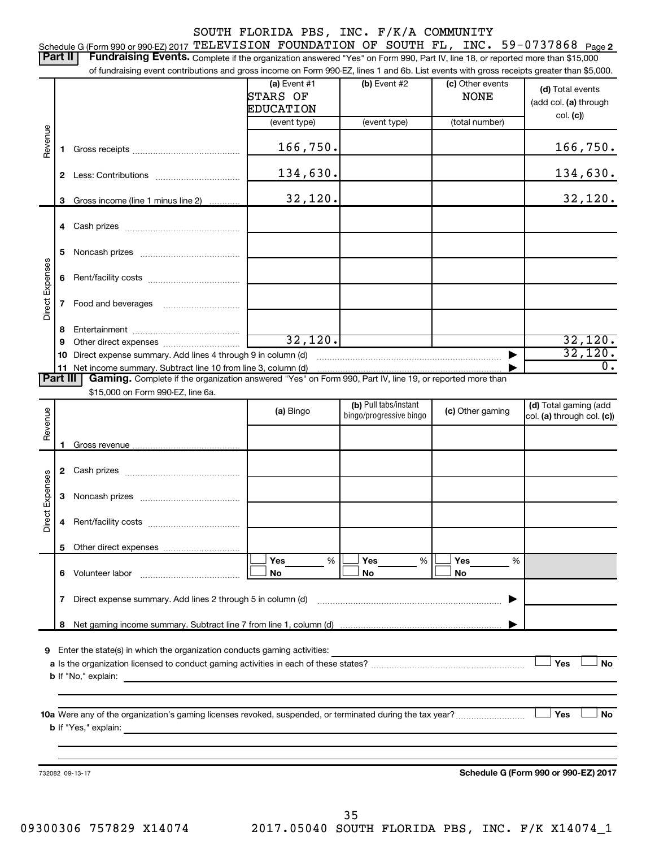#### SOUTH FLORIDA PBS, INC. F/K/A COMMUNITY 59-0737868 <sub>Page 2</sub> Schedule G (Form 990 or 990-EZ) 2017  $\texttt{TELEXISION}$   $\texttt{FOUNDATION}$   $\texttt{OF}$   $\texttt{SOUTH}$   $\texttt{FL}$  ,  $\texttt{INC.}$   $\texttt{59-0737868}$   $\texttt{Page}$ Part II | Fundraising Events. Complete if the organization answered "Yes" on Form 990, Part IV, line 18, or reported more than \$15,000 of fundraising event contributions and gross income on Form 990-EZ, lines 1 and 6b. List events with gross receipts greater than \$5,000. **(a)** Event #1  $\vert$  **(b)** Event #2 (c) Other events **(d)**  Total events STARS OF  $\qquad$  NONE (add col. (a) through EDUCATION col. **(c)**) (event type) (event type) (total number) Revenue 166,750. 166,750. **1** Gross receipts ~~~~~~~~~~~~~~ 134,630. **2** Less: Contributions ~~~~~~~~~~~ 32,120. 32,120. **3** Gross income (line 1 minus line 2) . . . . . . . . . . . . **4** Cash prizes ~~~~~~~~~~~~~~~ **5** Noncash prizes ~~~~~~~~~~~~~ Direct Expenses Direct Expenses **6** Rent/facility costs ~~~~~~~~~~~~ **7** Food and beverages **with the Strateger 7 8** Entertainment ~~~~~~~~~~~~~~ 32,120. 32,120. **9** Other direct expenses  $\ldots$  **............................** 32,120. **10** Direct expense summary. Add lines 4 through 9 in column (d) ~~~~~~~~~~~~~~~~~~~~~~~~ | **11** Net income summary. Subtract line 10 from line 3, column (d) 0. | Part III | Gaming. Complete if the organization answered "Yes" on Form 990, Part IV, line 19, or reported more than \$15,000 on Form 990-EZ, line 6a. (b) Pull tabs/instant (d) Total gaming (add Revenue **(a)** Bingo **a b**ingo/progressive bingo **(c)** Other gaming bingo/progressive bingo col. (a) through col. (c)) **1** Gross revenue **2** Cash prizes ~~~~~~~~~~~~~~~ Expenses Direct Expenses **3** Noncash prizes ~~~~~~~~~~~~~ Direct **4** Rent/facility costs ~~~~~~~~~~~~ **5** Other direct expenses  $|\Box$  Yes  $\qquad \%$   $|\Box$  Yes  $\qquad \%$   $|\Box$ **Yes Yes Yes** % % %  $|\Box$  No  $|\Box$  No  $|\Box$ **6** Volunteer labor ~~~~~~~~~~~~~ **No No No 7** Direct expense summary. Add lines 2 through 5 in column (d) ~~~~~~~~~~~~~~~~~~~~~~~~ | **8** Net gaming income summary. Subtract line 7 from line 1, column (d) | **9** Enter the state(s) in which the organization conducts gaming activities:  $|$  Yes **Yes No a** Is the organization licensed to conduct gaming activities in each of these states? ~~~~~~~~~~~~~~~~~~~~ **b** If "No," explain: **10 a Yes No** Were any of the organization's gaming licenses revoked, suspended, or terminated during the tax year? ~~~~~~~~~ † † **b** If "Yes," explain: **Schedule G (Form 990 or 990-EZ) 2017** 732082 09-13-17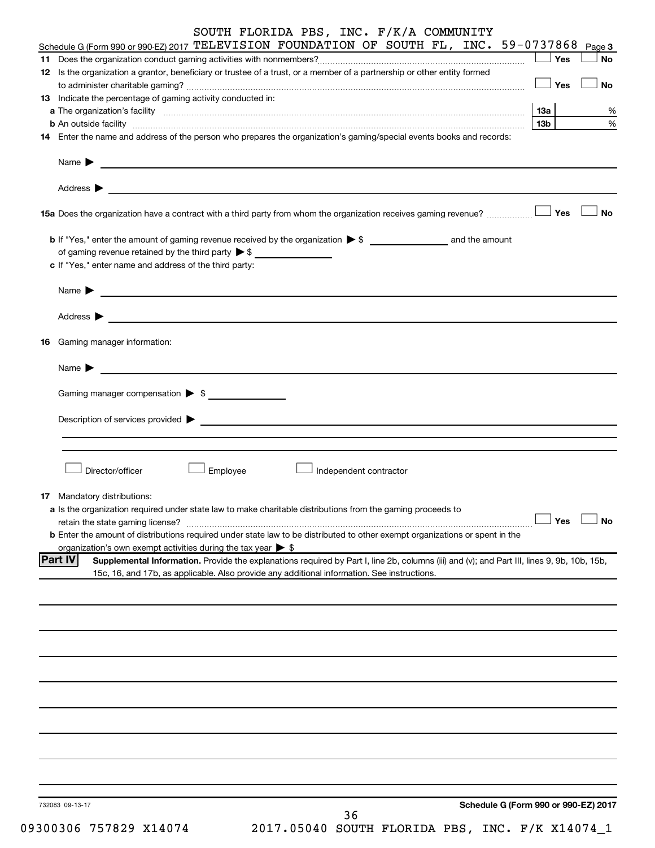|  |  |  | SOUTH FLORIDA PBS, INC. F/K/A COMMUNITY |  |
|--|--|--|-----------------------------------------|--|
|  |  |  |                                         |  |

| Schedule G (Form 990 or 990-EZ) 2017 TELEVISION FOUNDATION OF SOUTH FL, INC. 59-0737868<br>Page 3                                                             |
|---------------------------------------------------------------------------------------------------------------------------------------------------------------|
| Yes<br>No                                                                                                                                                     |
| 12 Is the organization a grantor, beneficiary or trustee of a trust, or a member of a partnership or other entity formed                                      |
| Yes<br>No                                                                                                                                                     |
| 13 Indicate the percentage of gaming activity conducted in:                                                                                                   |
| 13a<br>%                                                                                                                                                      |
| $\%$<br>13 <sub>b</sub><br>b An outside facility www.commutation.com/news/commutation.com/news/commutation.com/news/commutation/news/commu                    |
| 14 Enter the name and address of the person who prepares the organization's gaming/special events books and records:                                          |
|                                                                                                                                                               |
| Name $\sum_{n=1}^{\infty}$                                                                                                                                    |
|                                                                                                                                                               |
| Address $\blacktriangleright$<br><u> 1990 - Johann John Stone, markin fan it ferstjer fan de ferstjer fan it ferstjer fan it ferstjer fan it fers</u>         |
|                                                                                                                                                               |
| No                                                                                                                                                            |
|                                                                                                                                                               |
|                                                                                                                                                               |
| of gaming revenue retained by the third party $\triangleright$ \$                                                                                             |
| c If "Yes," enter name and address of the third party:                                                                                                        |
|                                                                                                                                                               |
|                                                                                                                                                               |
|                                                                                                                                                               |
| Address $\blacktriangleright$                                                                                                                                 |
|                                                                                                                                                               |
| <b>16</b> Gaming manager information:                                                                                                                         |
|                                                                                                                                                               |
| Name $\blacktriangleright$<br><u> 1989 - Johann Harry Harry Harry Harry Harry Harry Harry Harry Harry Harry Harry Harry Harry Harry Harry Harry</u>           |
|                                                                                                                                                               |
| Gaming manager compensation > \$                                                                                                                              |
|                                                                                                                                                               |
|                                                                                                                                                               |
|                                                                                                                                                               |
|                                                                                                                                                               |
| Director/officer<br>Employee<br>Independent contractor                                                                                                        |
|                                                                                                                                                               |
| 17 Mandatory distributions:                                                                                                                                   |
| a Is the organization required under state law to make charitable distributions from the gaming proceeds to                                                   |
| $\Box$ Yes $\Box$ No                                                                                                                                          |
| <b>b</b> Enter the amount of distributions required under state law to be distributed to other exempt organizations or spent in the                           |
| organization's own exempt activities during the tax year $\triangleright$ \$                                                                                  |
| <b>Part IV</b><br>Supplemental Information. Provide the explanations required by Part I, line 2b, columns (iii) and (v); and Part III, lines 9, 9b, 10b, 15b, |
| 15c, 16, and 17b, as applicable. Also provide any additional information. See instructions.                                                                   |
|                                                                                                                                                               |
|                                                                                                                                                               |
|                                                                                                                                                               |
|                                                                                                                                                               |
|                                                                                                                                                               |
|                                                                                                                                                               |
|                                                                                                                                                               |
|                                                                                                                                                               |
|                                                                                                                                                               |
|                                                                                                                                                               |
|                                                                                                                                                               |
|                                                                                                                                                               |
|                                                                                                                                                               |
|                                                                                                                                                               |
|                                                                                                                                                               |
|                                                                                                                                                               |
|                                                                                                                                                               |
| Schedule G (Form 990 or 990-EZ) 2017<br>732083 09-13-17                                                                                                       |
| 36                                                                                                                                                            |

09300306 757829 X14074 2017.05040 SOUTH FLORIDA PBS, INC. F/K X14074\_1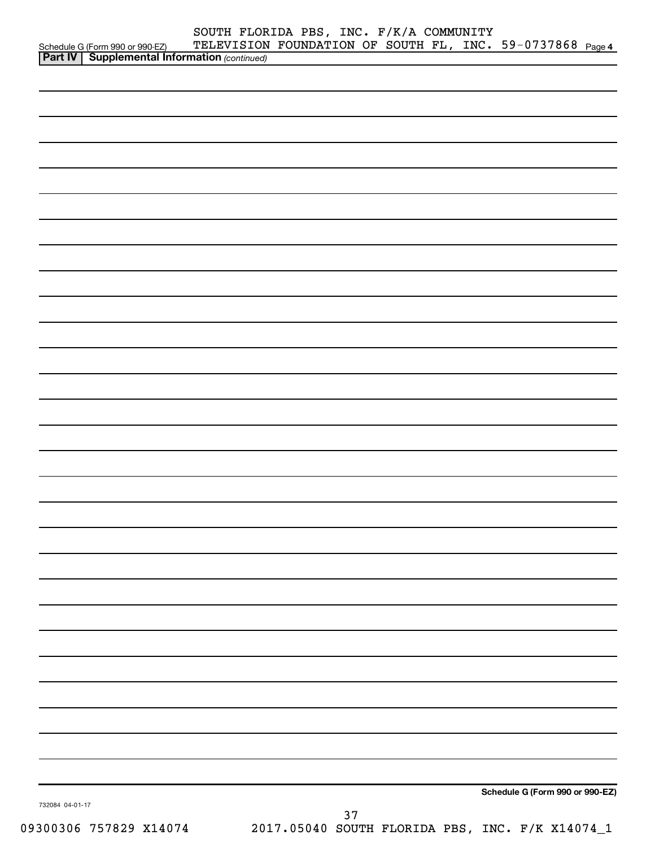|                 | Schedule G (Form 990 or 990-EZ) TELEVISION<br><b>Part IV   Supplemental Information</b> (continued) |  |    | SOUTH FLORIDA PBS, INC. F/K/A COMMUNITY<br>TELEVISION FOUNDATION OF SOUTH FL, INC. 59-0737868 Page 4 |  |                                 |
|-----------------|-----------------------------------------------------------------------------------------------------|--|----|------------------------------------------------------------------------------------------------------|--|---------------------------------|
|                 |                                                                                                     |  |    |                                                                                                      |  |                                 |
|                 |                                                                                                     |  |    |                                                                                                      |  |                                 |
|                 |                                                                                                     |  |    |                                                                                                      |  |                                 |
|                 |                                                                                                     |  |    |                                                                                                      |  |                                 |
|                 |                                                                                                     |  |    |                                                                                                      |  |                                 |
|                 |                                                                                                     |  |    |                                                                                                      |  |                                 |
|                 |                                                                                                     |  |    |                                                                                                      |  |                                 |
|                 |                                                                                                     |  |    |                                                                                                      |  |                                 |
|                 |                                                                                                     |  |    |                                                                                                      |  |                                 |
|                 |                                                                                                     |  |    |                                                                                                      |  |                                 |
|                 |                                                                                                     |  |    |                                                                                                      |  |                                 |
|                 |                                                                                                     |  |    |                                                                                                      |  |                                 |
|                 |                                                                                                     |  |    |                                                                                                      |  |                                 |
|                 |                                                                                                     |  |    |                                                                                                      |  |                                 |
|                 |                                                                                                     |  |    |                                                                                                      |  |                                 |
|                 |                                                                                                     |  |    |                                                                                                      |  |                                 |
|                 |                                                                                                     |  |    |                                                                                                      |  |                                 |
|                 |                                                                                                     |  |    |                                                                                                      |  |                                 |
|                 |                                                                                                     |  |    |                                                                                                      |  |                                 |
|                 |                                                                                                     |  |    |                                                                                                      |  |                                 |
|                 |                                                                                                     |  |    |                                                                                                      |  |                                 |
|                 |                                                                                                     |  |    |                                                                                                      |  |                                 |
|                 |                                                                                                     |  |    |                                                                                                      |  |                                 |
|                 |                                                                                                     |  |    |                                                                                                      |  |                                 |
|                 |                                                                                                     |  |    |                                                                                                      |  |                                 |
|                 |                                                                                                     |  |    |                                                                                                      |  |                                 |
|                 |                                                                                                     |  |    |                                                                                                      |  |                                 |
|                 |                                                                                                     |  |    |                                                                                                      |  |                                 |
|                 |                                                                                                     |  |    |                                                                                                      |  | Schedule G (Form 990 or 990-EZ) |
| 732084 04-01-17 |                                                                                                     |  | 37 |                                                                                                      |  |                                 |
|                 | 09300306 757829 X14074                                                                              |  |    | 2017.05040 SOUTH FLORIDA PBS, INC. F/K X14074_1                                                      |  |                                 |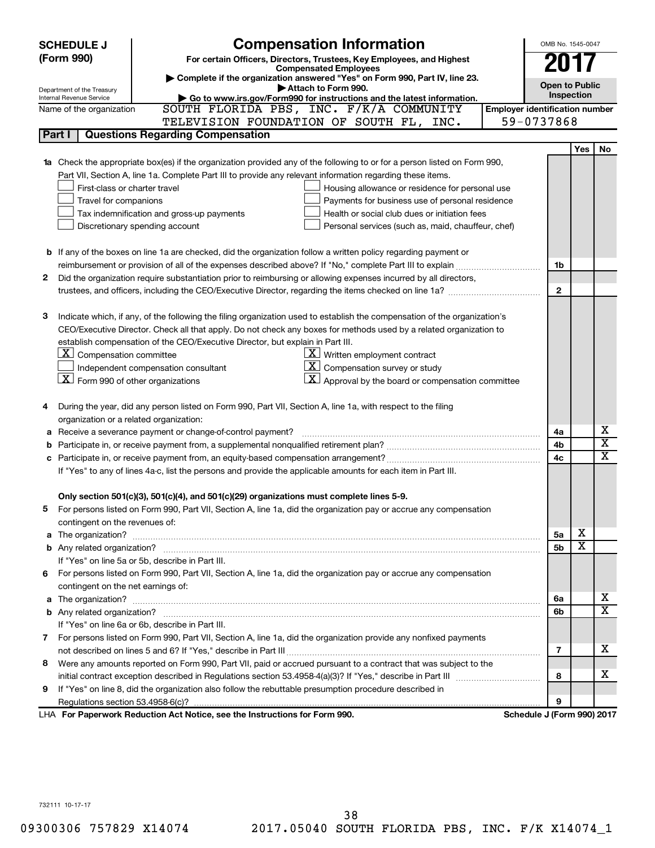|            | <b>Compensation Information</b><br><b>SCHEDULE J</b>                                                                                                                                                                                |                                       | OMB No. 1545-0047     |                         |                         |  |  |  |  |  |  |
|------------|-------------------------------------------------------------------------------------------------------------------------------------------------------------------------------------------------------------------------------------|---------------------------------------|-----------------------|-------------------------|-------------------------|--|--|--|--|--|--|
| (Form 990) | For certain Officers, Directors, Trustees, Key Employees, and Highest                                                                                                                                                               |                                       |                       |                         |                         |  |  |  |  |  |  |
|            | <b>Compensated Employees</b>                                                                                                                                                                                                        |                                       |                       |                         |                         |  |  |  |  |  |  |
|            | Complete if the organization answered "Yes" on Form 990, Part IV, line 23.                                                                                                                                                          |                                       | <b>Open to Public</b> |                         |                         |  |  |  |  |  |  |
|            | Attach to Form 990.<br>Department of the Treasury<br>Go to www.irs.gov/Form990 for instructions and the latest information.<br>Internal Revenue Service                                                                             |                                       | Inspection            |                         |                         |  |  |  |  |  |  |
|            | SOUTH FLORIDA PBS, INC. F/K/A COMMUNITY<br>Name of the organization                                                                                                                                                                 | <b>Employer identification number</b> |                       |                         |                         |  |  |  |  |  |  |
|            | TELEVISION FOUNDATION OF SOUTH FL, INC.                                                                                                                                                                                             | 59-0737868                            |                       |                         |                         |  |  |  |  |  |  |
| Part I     | <b>Questions Regarding Compensation</b>                                                                                                                                                                                             |                                       |                       |                         |                         |  |  |  |  |  |  |
|            |                                                                                                                                                                                                                                     |                                       |                       | Yes                     | <b>No</b>               |  |  |  |  |  |  |
|            | <b>1a</b> Check the appropriate box(es) if the organization provided any of the following to or for a person listed on Form 990,                                                                                                    |                                       |                       |                         |                         |  |  |  |  |  |  |
|            | Part VII, Section A, line 1a. Complete Part III to provide any relevant information regarding these items.                                                                                                                          |                                       |                       |                         |                         |  |  |  |  |  |  |
|            | First-class or charter travel<br>Housing allowance or residence for personal use                                                                                                                                                    |                                       |                       |                         |                         |  |  |  |  |  |  |
|            | Payments for business use of personal residence<br>Travel for companions                                                                                                                                                            |                                       |                       |                         |                         |  |  |  |  |  |  |
|            | Tax indemnification and gross-up payments<br>Health or social club dues or initiation fees                                                                                                                                          |                                       |                       |                         |                         |  |  |  |  |  |  |
|            | Discretionary spending account<br>Personal services (such as, maid, chauffeur, chef)                                                                                                                                                |                                       |                       |                         |                         |  |  |  |  |  |  |
|            |                                                                                                                                                                                                                                     |                                       |                       |                         |                         |  |  |  |  |  |  |
|            | <b>b</b> If any of the boxes on line 1a are checked, did the organization follow a written policy regarding payment or                                                                                                              |                                       |                       |                         |                         |  |  |  |  |  |  |
|            |                                                                                                                                                                                                                                     |                                       | 1b                    |                         |                         |  |  |  |  |  |  |
| 2          | Did the organization require substantiation prior to reimbursing or allowing expenses incurred by all directors,                                                                                                                    |                                       |                       |                         |                         |  |  |  |  |  |  |
|            | trustees, and officers, including the CEO/Executive Director, regarding the items checked on line 1a?                                                                                                                               |                                       | $\mathbf{2}$          |                         |                         |  |  |  |  |  |  |
|            |                                                                                                                                                                                                                                     |                                       |                       |                         |                         |  |  |  |  |  |  |
| З          | Indicate which, if any, of the following the filing organization used to establish the compensation of the organization's                                                                                                           |                                       |                       |                         |                         |  |  |  |  |  |  |
|            | CEO/Executive Director. Check all that apply. Do not check any boxes for methods used by a related organization to                                                                                                                  |                                       |                       |                         |                         |  |  |  |  |  |  |
|            | establish compensation of the CEO/Executive Director, but explain in Part III.                                                                                                                                                      |                                       |                       |                         |                         |  |  |  |  |  |  |
|            | $\lfloor \underline{\textbf{X}} \rfloor$ Compensation committee<br>$X$ Written employment contract                                                                                                                                  |                                       |                       |                         |                         |  |  |  |  |  |  |
|            | $\overline{X}$ Compensation survey or study<br>Independent compensation consultant                                                                                                                                                  |                                       |                       |                         |                         |  |  |  |  |  |  |
|            | $\boxed{\textbf{X}}$ Form 990 of other organizations<br>$\boxed{\text{X}}$ Approval by the board or compensation committee                                                                                                          |                                       |                       |                         |                         |  |  |  |  |  |  |
|            |                                                                                                                                                                                                                                     |                                       |                       |                         |                         |  |  |  |  |  |  |
|            | During the year, did any person listed on Form 990, Part VII, Section A, line 1a, with respect to the filing                                                                                                                        |                                       |                       |                         |                         |  |  |  |  |  |  |
|            | organization or a related organization:                                                                                                                                                                                             |                                       |                       |                         |                         |  |  |  |  |  |  |
|            | Receive a severance payment or change-of-control payment?                                                                                                                                                                           |                                       | 4a                    |                         | х                       |  |  |  |  |  |  |
|            |                                                                                                                                                                                                                                     |                                       | 4b                    |                         | $\overline{\textbf{x}}$ |  |  |  |  |  |  |
|            |                                                                                                                                                                                                                                     |                                       | 4c                    |                         | $\overline{\text{x}}$   |  |  |  |  |  |  |
|            | If "Yes" to any of lines 4a-c, list the persons and provide the applicable amounts for each item in Part III.                                                                                                                       |                                       |                       |                         |                         |  |  |  |  |  |  |
|            |                                                                                                                                                                                                                                     |                                       |                       |                         |                         |  |  |  |  |  |  |
|            | Only section 501(c)(3), 501(c)(4), and 501(c)(29) organizations must complete lines 5-9.                                                                                                                                            |                                       |                       |                         |                         |  |  |  |  |  |  |
| 5          | For persons listed on Form 990, Part VII, Section A, line 1a, did the organization pay or accrue any compensation                                                                                                                   |                                       |                       |                         |                         |  |  |  |  |  |  |
|            | contingent on the revenues of:                                                                                                                                                                                                      |                                       |                       |                         |                         |  |  |  |  |  |  |
|            | a The organization? <b>contracts</b> and contracts are contracted and contract and contract and contract and contract and contract and contract and contract and contract and contract and contract and contract and contract and c |                                       | 5а                    | х                       |                         |  |  |  |  |  |  |
|            |                                                                                                                                                                                                                                     |                                       | 5b                    | $\overline{\textbf{x}}$ |                         |  |  |  |  |  |  |
|            | If "Yes" on line 5a or 5b, describe in Part III.                                                                                                                                                                                    |                                       |                       |                         |                         |  |  |  |  |  |  |
| 6.         | For persons listed on Form 990, Part VII, Section A, line 1a, did the organization pay or accrue any compensation                                                                                                                   |                                       |                       |                         |                         |  |  |  |  |  |  |
|            | contingent on the net earnings of:                                                                                                                                                                                                  |                                       |                       |                         |                         |  |  |  |  |  |  |
|            | a The organization? <b>contracts</b> and a second contract of the organization?                                                                                                                                                     |                                       | 6a                    |                         | x                       |  |  |  |  |  |  |
|            |                                                                                                                                                                                                                                     |                                       | 6b                    |                         | $\overline{\texttt{x}}$ |  |  |  |  |  |  |
|            | If "Yes" on line 6a or 6b, describe in Part III.                                                                                                                                                                                    |                                       |                       |                         |                         |  |  |  |  |  |  |
|            | 7 For persons listed on Form 990, Part VII, Section A, line 1a, did the organization provide any nonfixed payments                                                                                                                  |                                       |                       |                         |                         |  |  |  |  |  |  |
|            |                                                                                                                                                                                                                                     |                                       | 7                     |                         | x                       |  |  |  |  |  |  |
| 8          | Were any amounts reported on Form 990, Part VII, paid or accrued pursuant to a contract that was subject to the                                                                                                                     |                                       |                       |                         |                         |  |  |  |  |  |  |
|            |                                                                                                                                                                                                                                     |                                       | 8                     |                         | x                       |  |  |  |  |  |  |
| 9          | If "Yes" on line 8, did the organization also follow the rebuttable presumption procedure described in                                                                                                                              |                                       |                       |                         |                         |  |  |  |  |  |  |
|            |                                                                                                                                                                                                                                     |                                       | 9                     |                         |                         |  |  |  |  |  |  |
|            | LHA For Paperwork Reduction Act Notice, see the Instructions for Form 990.                                                                                                                                                          | Schedule J (Form 990) 2017            |                       |                         |                         |  |  |  |  |  |  |

732111 10-17-17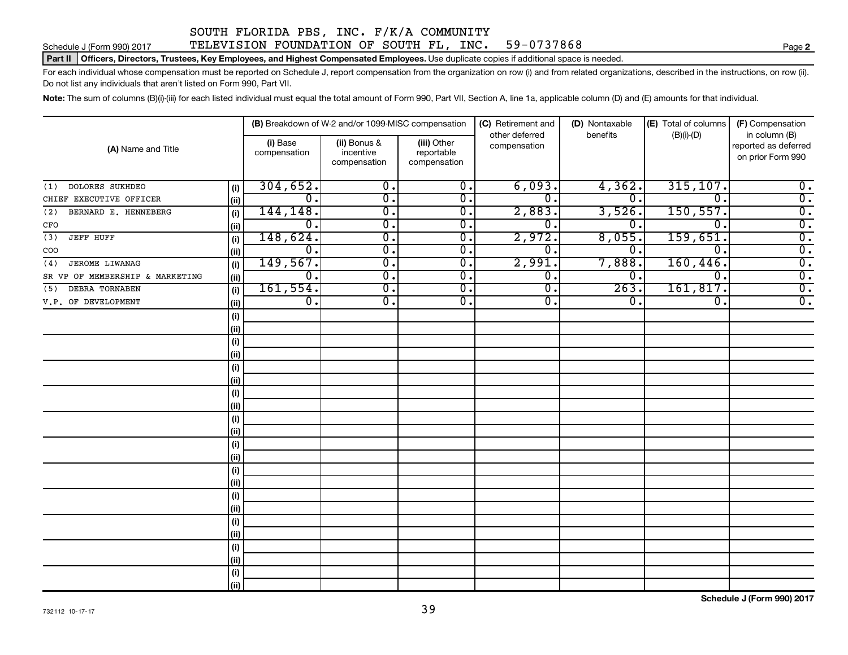#### Schedule J (Form 990) 2017 TELEVISION FOUNDATION OF SOUTH FL, INC. 59-0737868

Part II | Officers, Directors, Trustees, Key Employees, and Highest Compensated Employees. Use duplicate copies if additional space is needed.

For each individual whose compensation must be reported on Schedule J, report compensation from the organization on row (i) and from related organizations, described in the instructions, on row (ii). Do not list any individuals that aren't listed on Form 990, Part VII.

Note: The sum of columns (B)(i)-(iii) for each listed individual must equal the total amount of Form 990, Part VII, Section A, line 1a, applicable column (D) and (E) amounts for that individual.

|                                 |      |                          | (B) Breakdown of W-2 and/or 1099-MISC compensation |                                           | (C) Retirement and             | (D) Nontaxable   | (E) Total of columns | (F) Compensation<br>in column (B)         |
|---------------------------------|------|--------------------------|----------------------------------------------------|-------------------------------------------|--------------------------------|------------------|----------------------|-------------------------------------------|
| (A) Name and Title              |      | (i) Base<br>compensation | (ii) Bonus &<br>incentive<br>compensation          | (iii) Other<br>reportable<br>compensation | other deferred<br>compensation | benefits         | $(B)(i)-(D)$         | reported as deferred<br>on prior Form 990 |
| DOLORES SUKHDEO<br>(1)          | (i)  | 304, 652.                | 0.                                                 | 0.                                        | 6,093.                         | 4,362.           | 315, 107.            | 0.                                        |
| CHIEF EXECUTIVE OFFICER         | (ii) | 0.                       | 0.                                                 | Ο.                                        | 0.                             | 0.               | $\Omega$ .           | $\overline{0}$ .                          |
| BERNARD E. HENNEBERG<br>(2)     | (i)  | 144, 148.                | 0.                                                 | Ο.                                        | 2,883.                         | 3,526.           | 150, 557.            | $\overline{0}$ .                          |
| CFO                             | (ii) | 0.                       | $\overline{0}$ .                                   | Ο.                                        | 0.                             | 0.               | $\Omega$ .           | $\overline{0}$ .                          |
| (3)<br><b>JEFF HUFF</b>         | (i)  | 148,624.                 | 0.                                                 | Ο.                                        | 2,972.                         | 8,055.           | 159,651.             | $\overline{0}$ .                          |
| COO                             | (ii) | 0.                       | 0.                                                 | Ο.                                        | 0.                             | 0.               | 0.                   | $\overline{0}$ .                          |
| JEROME LIWANAG<br>(4)           | (i)  | 149,567.                 | 0.                                                 | Ο.                                        | 2,991.                         | 7,888            | 160,446.             | $\overline{0}$ .                          |
| SR VP OF MEMBERSHIP & MARKETING | (ii) | 0.                       | 0.                                                 | Ο.                                        | $\overline{0}$ .               | О.               | 0.                   | $\overline{0}$ .                          |
| DEBRA TORNABEN<br>(5)           | (i)  | 161,554.                 | 0.                                                 | Ο.                                        | $\overline{0}$ .               | 263.             | 161,817.             | $\overline{0}$ .                          |
| V.P. OF DEVELOPMENT             | (ii) | 0.                       | 0.                                                 | 0.                                        | $\overline{0}$ .               | $\overline{0}$ . | 0.                   | $\overline{0}$ .                          |
|                                 | (i)  |                          |                                                    |                                           |                                |                  |                      |                                           |
|                                 | (ii) |                          |                                                    |                                           |                                |                  |                      |                                           |
|                                 | (i)  |                          |                                                    |                                           |                                |                  |                      |                                           |
|                                 | (ii) |                          |                                                    |                                           |                                |                  |                      |                                           |
|                                 | (i)  |                          |                                                    |                                           |                                |                  |                      |                                           |
|                                 | (ii) |                          |                                                    |                                           |                                |                  |                      |                                           |
|                                 | (i)  |                          |                                                    |                                           |                                |                  |                      |                                           |
|                                 | (ii) |                          |                                                    |                                           |                                |                  |                      |                                           |
|                                 | (i)  |                          |                                                    |                                           |                                |                  |                      |                                           |
|                                 | (ii) |                          |                                                    |                                           |                                |                  |                      |                                           |
|                                 | (i)  |                          |                                                    |                                           |                                |                  |                      |                                           |
|                                 | (ii) |                          |                                                    |                                           |                                |                  |                      |                                           |
|                                 | (i)  |                          |                                                    |                                           |                                |                  |                      |                                           |
|                                 | (ii) |                          |                                                    |                                           |                                |                  |                      |                                           |
|                                 | (i)  |                          |                                                    |                                           |                                |                  |                      |                                           |
|                                 | (ii) |                          |                                                    |                                           |                                |                  |                      |                                           |
|                                 | (i)  |                          |                                                    |                                           |                                |                  |                      |                                           |
|                                 | (ii) |                          |                                                    |                                           |                                |                  |                      |                                           |
|                                 | (i)  |                          |                                                    |                                           |                                |                  |                      |                                           |
|                                 | (ii) |                          |                                                    |                                           |                                |                  |                      |                                           |
|                                 | (i)  |                          |                                                    |                                           |                                |                  |                      |                                           |
|                                 | (ii) |                          |                                                    |                                           |                                |                  |                      |                                           |

**2**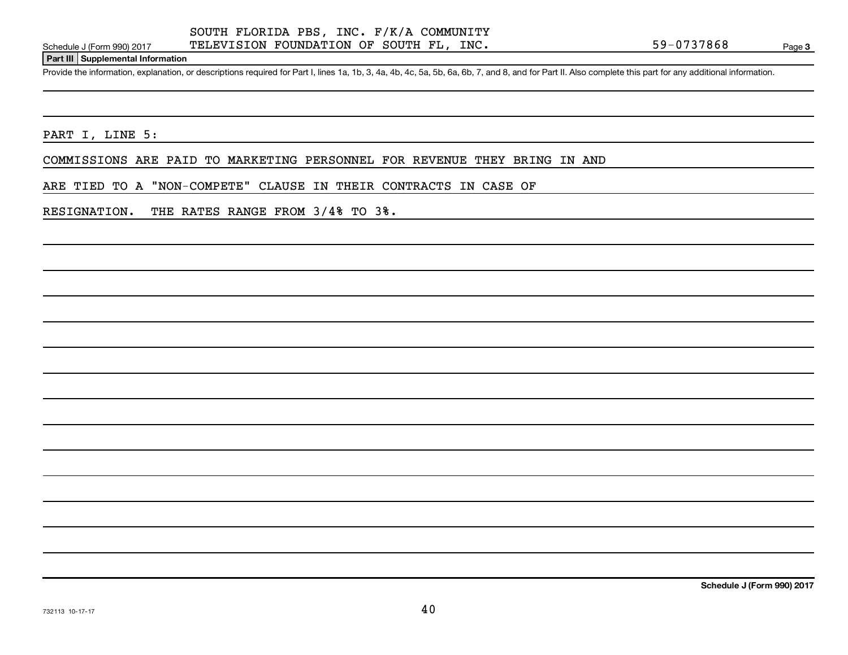#### **Part III Supplemental Information**

Provide the information, explanation, or descriptions required for Part I, lines 1a, 1b, 3, 4a, 4b, 4c, 5a, 5b, 6a, 6b, 7, and 8, and for Part II. Also complete this part for any additional information.

PART I, LINE 5:

COMMISSIONS ARE PAID TO MARKETING PERSONNEL FOR REVENUE THEY BRING IN AND

ARE TIED TO A "NON-COMPETE" CLAUSE IN THEIR CONTRACTS IN CASE OF

RESIGNATION. THE RATES RANGE FROM 3/4% TO 3%.

**Schedule J (Form 990) 2017**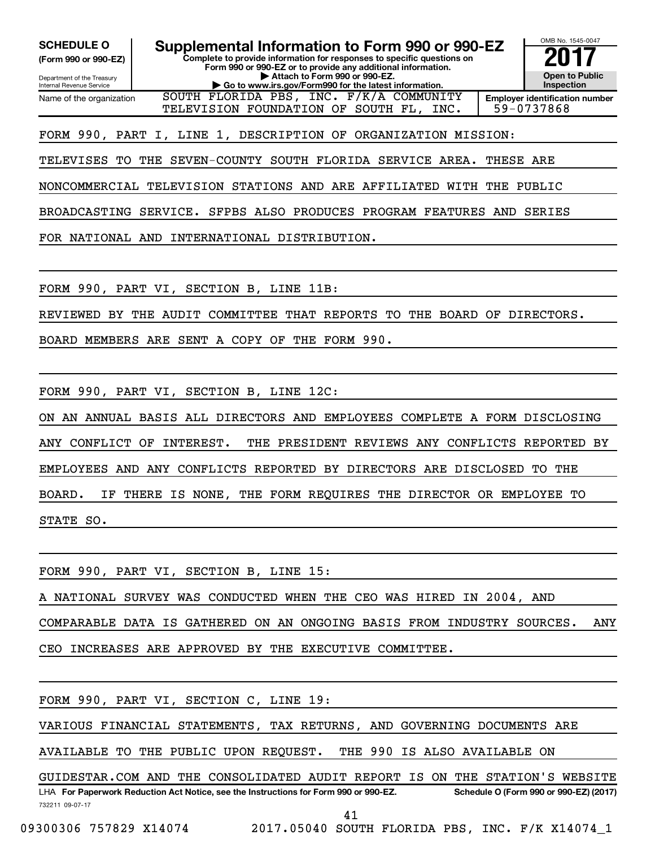**(Form 990 or 990-EZ)**

**Complete to provide information for responses to specific questions on Form 990 or 990-EZ or to provide any additional information. SCHEDULE O Supplemental Information to Form 990 or 990-EZ 2017**<br>(Form 990 or 990-EZ) Complete to provide information for responses to specific questions on

Department of the Treasury Internal Revenue Service Name of the organization

**| Attach to Form 990 or 990-EZ. EXECUTE GO TO K GO TO BUY A GO TO BUY A GOOD BUY A GOOD BUY A GOOD BUY A GOOD BUY A GOOD BUY A GOOD BUY A GOOD BUY A GOOD BUY A GOOD BUY A GOOD BUY A GOOD BUY A GOOD BUY A GOOD BUY A GOOD BUY A GOOD BUY A GOOD BUY A GOOD** INC. F/K/A COMMUNITY TELEVISION FOUNDATION OF SOUTH FL, INC. | 59-0737868

**Open to Public Inspection Employer identification number**

OMB No. 1545-0047

FORM 990, PART I, LINE 1, DESCRIPTION OF ORGANIZATION MISSION:

TELEVISES TO THE SEVEN-COUNTY SOUTH FLORIDA SERVICE AREA. THESE ARE

NONCOMMERCIAL TELEVISION STATIONS AND ARE AFFILIATED WITH THE PUBLIC

BROADCASTING SERVICE. SFPBS ALSO PRODUCES PROGRAM FEATURES AND SERIES

FOR NATIONAL AND INTERNATIONAL DISTRIBUTION.

FORM 990, PART VI, SECTION B, LINE 11B:

REVIEWED BY THE AUDIT COMMITTEE THAT REPORTS TO THE BOARD OF DIRECTORS.

BOARD MEMBERS ARE SENT A COPY OF THE FORM 990.

FORM 990, PART VI, SECTION B, LINE 12C:

ON AN ANNUAL BASIS ALL DIRECTORS AND EMPLOYEES COMPLETE A FORM DISCLOSING ANY CONFLICT OF INTEREST. THE PRESIDENT REVIEWS ANY CONFLICTS REPORTED BY EMPLOYEES AND ANY CONFLICTS REPORTED BY DIRECTORS ARE DISCLOSED TO THE BOARD. IF THERE IS NONE, THE FORM REQUIRES THE DIRECTOR OR EMPLOYEE TO STATE SO.

FORM 990, PART VI, SECTION B, LINE 15:

A NATIONAL SURVEY WAS CONDUCTED WHEN THE CEO WAS HIRED IN 2004, AND

COMPARABLE DATA IS GATHERED ON AN ONGOING BASIS FROM INDUSTRY SOURCES. ANY

CEO INCREASES ARE APPROVED BY THE EXECUTIVE COMMITTEE.

FORM 990, PART VI, SECTION C, LINE 19:

VARIOUS FINANCIAL STATEMENTS, TAX RETURNS, AND GOVERNING DOCUMENTS ARE

AVAILABLE TO THE PUBLIC UPON REQUEST. THE 990 IS ALSO AVAILABLE ON

732211 09-07-17 LHA For Paperwork Reduction Act Notice, see the Instructions for Form 990 or 990-EZ. Schedule O (Form 990 or 990-EZ) (2017) GUIDESTAR.COM AND THE CONSOLIDATED AUDIT REPORT IS ON THE STATION'S WEBSITE

41

09300306 757829 X14074 2017.05040 SOUTH FLORIDA PBS, INC. F/K X14074\_1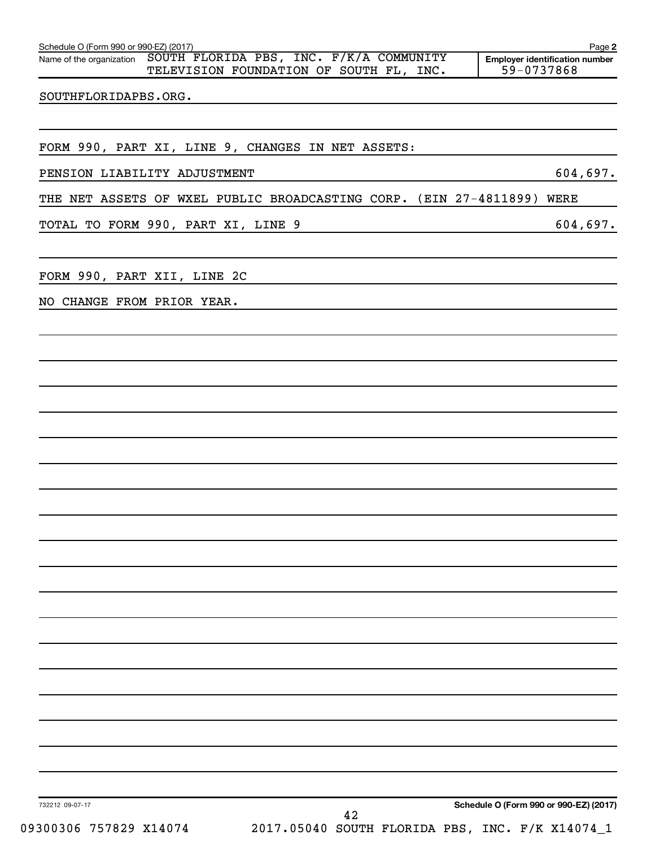| TELEVISION FOUNDATION OF SOUTH FL, INC.                                   |                                        | 59-0737868 |
|---------------------------------------------------------------------------|----------------------------------------|------------|
| SOUTHFLORIDAPBS.ORG.                                                      |                                        |            |
|                                                                           |                                        |            |
| FORM 990, PART XI, LINE 9, CHANGES IN NET ASSETS:                         |                                        |            |
| PENSION LIABILITY ADJUSTMENT                                              |                                        | 604,697.   |
| THE NET ASSETS OF WXEL PUBLIC BROADCASTING CORP. (EIN 27-4811899) WERE    |                                        |            |
| TOTAL TO FORM 990, PART XI, LINE 9                                        |                                        | 604,697.   |
| FORM 990, PART XII, LINE 2C                                               |                                        |            |
| NO CHANGE FROM PRIOR YEAR.                                                |                                        |            |
|                                                                           |                                        |            |
|                                                                           |                                        |            |
|                                                                           |                                        |            |
|                                                                           |                                        |            |
|                                                                           |                                        |            |
|                                                                           |                                        |            |
|                                                                           |                                        |            |
|                                                                           |                                        |            |
|                                                                           |                                        |            |
|                                                                           |                                        |            |
|                                                                           |                                        |            |
|                                                                           |                                        |            |
|                                                                           |                                        |            |
|                                                                           |                                        |            |
|                                                                           |                                        |            |
|                                                                           |                                        |            |
|                                                                           |                                        |            |
|                                                                           |                                        |            |
|                                                                           |                                        |            |
| 732212 09-07-17<br>42                                                     | Schedule O (Form 990 or 990-EZ) (2017) |            |
| 09300306 757829 X14074<br>2017.05040 SOUTH FLORIDA PBS, INC. F/K X14074_1 |                                        |            |

Schedule O (Form 990 or 990-EZ) (2017)

Name of the organization SOUTH FLORIDA PBS, INC. F/K/A COMMUNITY

**2**

**Employer identification number**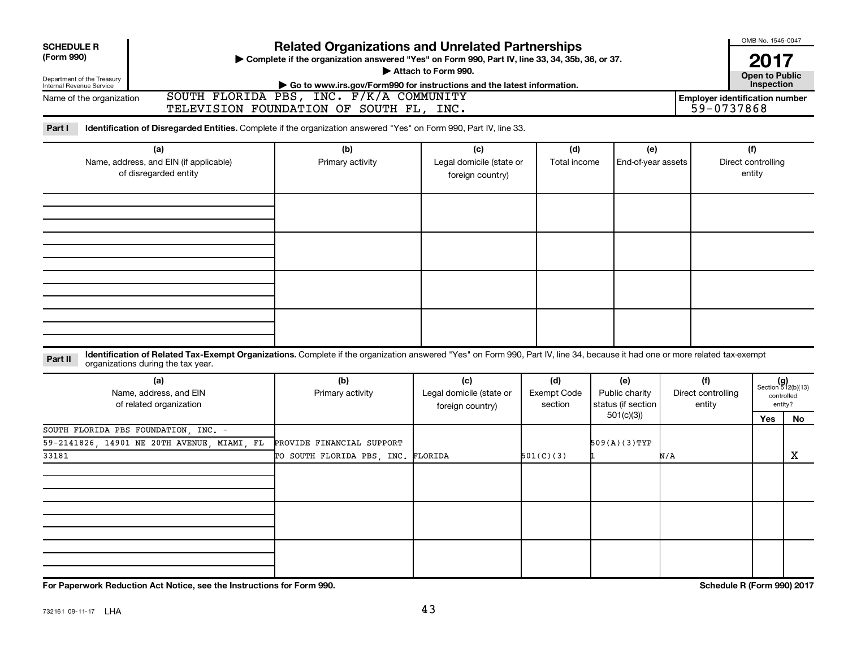| <b>SCHEDULE R</b><br>(Form 990)<br>Department of the Treasury<br>Internal Revenue Service | <b>Related Organizations and Unrelated Partnerships</b><br>Complete if the organization answered "Yes" on Form 990, Part IV, line 33, 34, 35b, 36, or 37.<br>Attach to Form 990.<br>Go to www.irs.gov/Form990 for instructions and the latest information.<br>SOUTH FLORIDA PBS, INC. F/K/A COMMUNITY<br>Name of the organization |                                                                 |                                                                                             |                     |                                                          |                                     |                                     |                                                            |  |
|-------------------------------------------------------------------------------------------|-----------------------------------------------------------------------------------------------------------------------------------------------------------------------------------------------------------------------------------------------------------------------------------------------------------------------------------|-----------------------------------------------------------------|---------------------------------------------------------------------------------------------|---------------------|----------------------------------------------------------|-------------------------------------|-------------------------------------|------------------------------------------------------------|--|
| Part I                                                                                    | Identification of Disregarded Entities. Complete if the organization answered "Yes" on Form 990, Part IV, line 33.                                                                                                                                                                                                                | TELEVISION FOUNDATION OF SOUTH FL, INC.                         |                                                                                             |                     |                                                          |                                     | 59-0737868                          |                                                            |  |
| (a)<br>Name, address, and EIN (if applicable)<br>of disregarded entity                    |                                                                                                                                                                                                                                                                                                                                   | (b)<br>Primary activity                                         | (c)<br>Legal domicile (state or<br>foreign country)                                         | (d)<br>Total income | (e)<br>End-of-year assets                                |                                     | (f)<br>Direct controlling<br>entity |                                                            |  |
|                                                                                           |                                                                                                                                                                                                                                                                                                                                   |                                                                 |                                                                                             |                     |                                                          |                                     |                                     |                                                            |  |
| Part II                                                                                   | Identification of Related Tax-Exempt Organizations. Complete if the organization answered "Yes" on Form 990, Part IV, line 34, because it had one or more related tax-exempt<br>organizations during the tax year.                                                                                                                |                                                                 |                                                                                             |                     |                                                          |                                     |                                     |                                                            |  |
|                                                                                           | (a)<br>Name, address, and EIN<br>of related organization                                                                                                                                                                                                                                                                          | (b)<br>Primary activity                                         | (c)<br>(d)<br>Legal domicile (state or<br><b>Exempt Code</b><br>section<br>foreign country) |                     | (e)<br>Public charity<br>status (if section<br>501(c)(3) | (f)<br>Direct controlling<br>entity | Yes                                 | $(g)$<br>Section 512(b)(13)<br>controlled<br>entity?<br>No |  |
| 33181                                                                                     | SOUTH FLORIDA PBS FOUNDATION, INC. -<br>59-2141826, 14901 NE 20TH AVENUE, MIAMI, FL                                                                                                                                                                                                                                               | PROVIDE FINANCIAL SUPPORT<br>TO SOUTH FLORIDA PBS, INC. FLORIDA |                                                                                             | 501(C)(3)           | $509(A)(3)$ TYP                                          | N/A                                 |                                     | X                                                          |  |
|                                                                                           |                                                                                                                                                                                                                                                                                                                                   |                                                                 |                                                                                             |                     |                                                          |                                     |                                     |                                                            |  |
|                                                                                           |                                                                                                                                                                                                                                                                                                                                   |                                                                 |                                                                                             |                     |                                                          |                                     |                                     |                                                            |  |

**For Paperwork Reduction Act Notice, see the Instructions for Form 990. Schedule R (Form 990) 2017**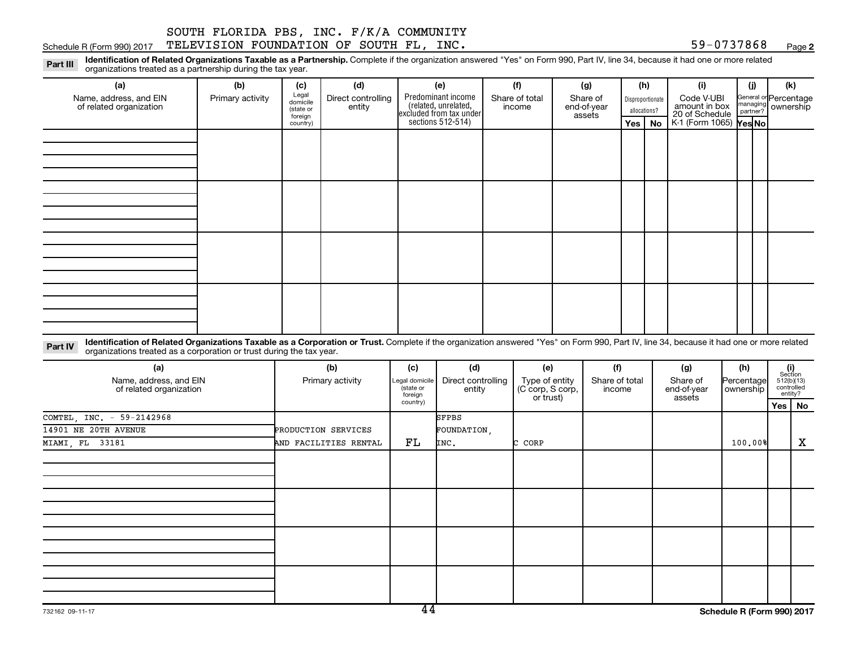#### Schedule R (Form 990) 2017  $\texttt{TELEXISION}$   $\texttt{FOUNDATION}$   $\texttt{OF}$   $\texttt{SOUTH}$   $\texttt{FL}$ ,  $\texttt{INC}$ .  $\texttt{S31}$   $\texttt{S41}$   $\texttt{S59}$   $\texttt{S737868}$   $\texttt{Page}$ SOUTH FLORIDA PBS, INC. F/K/A COMMUNITY

**2**

Part III Identification of Related Organizations Taxable as a Partnership. Complete if the organization answered "Yes" on Form 990, Part IV, line 34, because it had one or more related<br>Part III International tracted as a p organizations treated as a partnership during the tax year.

| (a)                                               | (b)              | (c)                  | (d)                | (e)                                                                                        | (f)            | (g)                   | (h)              | (i)                                                       | (j) | (k)                                                     |
|---------------------------------------------------|------------------|----------------------|--------------------|--------------------------------------------------------------------------------------------|----------------|-----------------------|------------------|-----------------------------------------------------------|-----|---------------------------------------------------------|
| Name, address, and EIN<br>of related organization | Primary activity | Legal<br>domicile    | Direct controlling | Predominant income<br>(related, unrelated,<br>excluded from tax under<br>sections 512-514) | Share of total | Share of              | Disproportionate | Code V-UBI                                                |     | General or Percentage<br>managing ownership<br>partner? |
|                                                   |                  | (state or<br>foreign | entity             |                                                                                            | income         | end-of-year<br>assets | allocations?     | amount in box<br>20 of Schedule<br>K-1 (Form 1065) Yes No |     |                                                         |
|                                                   |                  | country)             |                    |                                                                                            |                |                       | Yes   No         |                                                           |     |                                                         |
|                                                   |                  |                      |                    |                                                                                            |                |                       |                  |                                                           |     |                                                         |
|                                                   |                  |                      |                    |                                                                                            |                |                       |                  |                                                           |     |                                                         |
|                                                   |                  |                      |                    |                                                                                            |                |                       |                  |                                                           |     |                                                         |
|                                                   |                  |                      |                    |                                                                                            |                |                       |                  |                                                           |     |                                                         |
|                                                   |                  |                      |                    |                                                                                            |                |                       |                  |                                                           |     |                                                         |
|                                                   |                  |                      |                    |                                                                                            |                |                       |                  |                                                           |     |                                                         |
|                                                   |                  |                      |                    |                                                                                            |                |                       |                  |                                                           |     |                                                         |
|                                                   |                  |                      |                    |                                                                                            |                |                       |                  |                                                           |     |                                                         |
|                                                   |                  |                      |                    |                                                                                            |                |                       |                  |                                                           |     |                                                         |
|                                                   |                  |                      |                    |                                                                                            |                |                       |                  |                                                           |     |                                                         |
|                                                   |                  |                      |                    |                                                                                            |                |                       |                  |                                                           |     |                                                         |
|                                                   |                  |                      |                    |                                                                                            |                |                       |                  |                                                           |     |                                                         |
|                                                   |                  |                      |                    |                                                                                            |                |                       |                  |                                                           |     |                                                         |
|                                                   |                  |                      |                    |                                                                                            |                |                       |                  |                                                           |     |                                                         |
|                                                   |                  |                      |                    |                                                                                            |                |                       |                  |                                                           |     |                                                         |
|                                                   |                  |                      |                    |                                                                                            |                |                       |                  |                                                           |     |                                                         |
|                                                   |                  |                      |                    |                                                                                            |                |                       |                  |                                                           |     |                                                         |

Part IV Identification of Related Organizations Taxable as a Corporation or Trust. Complete if the organization answered "Yes" on Form 990, Part IV, line 34, because it had one or more related organizations treated as a corporation or trust during the tax year.

| (a)<br>Name, address, and EIN<br>of related organization | (b)<br>Primary activity | (c)<br>Legal domicile<br>(state or<br>foreign | (d)<br>Direct controlling<br>entity | (e)<br>Type of entity<br>(C corp, S corp,<br>or trust) | (f)<br>Share of total<br>income | (g)<br>Share of<br>end-of-year<br>assets | (h)<br>Percentage<br>ownership |     | $\begin{array}{c} \textbf{(i)}\\ \text{Section}\\ 512 \text{(b)} \text{(13)}\\ \text{controlled}\end{array}$<br>entity? |
|----------------------------------------------------------|-------------------------|-----------------------------------------------|-------------------------------------|--------------------------------------------------------|---------------------------------|------------------------------------------|--------------------------------|-----|-------------------------------------------------------------------------------------------------------------------------|
|                                                          | country)                |                                               |                                     |                                                        |                                 |                                          |                                | Yes | No                                                                                                                      |
| COMTEL, INC. - 59-2142968                                |                         |                                               | <b>SFPBS</b>                        |                                                        |                                 |                                          |                                |     |                                                                                                                         |
| 14901 NE 20TH AVENUE                                     | PRODUCTION SERVICES     |                                               | FOUNDATION,                         |                                                        |                                 |                                          |                                |     |                                                                                                                         |
| MIAMI, FL 33181                                          | AND FACILITIES RENTAL   | FL                                            | INC.                                | C CORP                                                 |                                 |                                          | 100.00%                        |     | X                                                                                                                       |
|                                                          |                         |                                               |                                     |                                                        |                                 |                                          |                                |     |                                                                                                                         |
|                                                          |                         |                                               |                                     |                                                        |                                 |                                          |                                |     |                                                                                                                         |
|                                                          |                         |                                               |                                     |                                                        |                                 |                                          |                                |     |                                                                                                                         |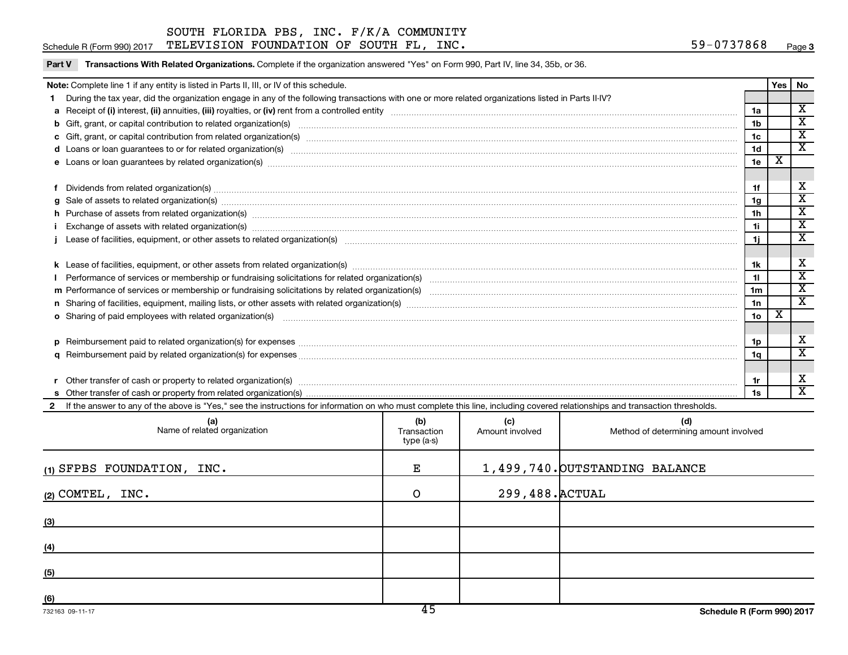Part V Transactions With Related Organizations. Complete if the organization answered "Yes" on Form 990, Part IV, line 34, 35b, or 36.

#### Schedule R (Form 990) 2017  $\texttt{TELEXISION}$   $\texttt{FOUNDATION}$   $\texttt{OF}$   $\texttt{SOUTH}$   $\texttt{FL}$ ,  $\texttt{INC}$ .  $\texttt{S31}$   $\texttt{S41}$   $\texttt{S59}$   $\texttt{S737868}$   $\texttt{Page}$

| Note: Complete line 1 if any entity is listed in Parts II, III, or IV of this schedule.                                                                                                                                        |                 | Yes   No    |                         |
|--------------------------------------------------------------------------------------------------------------------------------------------------------------------------------------------------------------------------------|-----------------|-------------|-------------------------|
| 1 During the tax year, did the organization engage in any of the following transactions with one or more related organizations listed in Parts II-IV?                                                                          |                 |             |                         |
|                                                                                                                                                                                                                                | 1a              |             | $\overline{\mathbf{x}}$ |
|                                                                                                                                                                                                                                | 1 <sub>b</sub>  |             | $\overline{\mathbf{X}}$ |
|                                                                                                                                                                                                                                | 1c              |             | $\mathbf x$             |
| d Loans or loan guarantees to or for related organization(s) www.communities.com/www.communities.com/www.communities.com/www.communities.com/www.communities.com/www.communities.com/www.communities.com/www.communities.com/w | 1 <sub>d</sub>  |             | $\overline{\texttt{x}}$ |
| e Loans or loan guarantees by related organization(s) material contents and content to content the content of the content of the content of the content of the content of the content of the content of the content of the con | 1e              | х           |                         |
|                                                                                                                                                                                                                                | 1f              |             | х                       |
| $g$ Sale of assets to related organization(s) with the contraction of the contraction of the contract of the contract of the contract of the contract of the contract of the contract of the contract of the contract of the   | 1g              |             | $\overline{\textbf{X}}$ |
| h Purchase of assets from related organization(s) manufactured content and content and content and content and content and content and content and content and content and content and content and content and content and con | 1 <sub>h</sub>  |             | $\overline{\texttt{x}}$ |
| i Exchange of assets with related organization(s) manufactured content to the content of the content of the content of the content of the content of the content of the content of the content of the content of the content o | 1i              |             | $\overline{\mathbf{x}}$ |
|                                                                                                                                                                                                                                | 1j.             |             | $\overline{\mathbf{x}}$ |
|                                                                                                                                                                                                                                |                 |             |                         |
|                                                                                                                                                                                                                                | 1k              |             | X                       |
|                                                                                                                                                                                                                                | 11              |             | $\overline{\texttt{x}}$ |
|                                                                                                                                                                                                                                | 1 <sub>m</sub>  |             | $\overline{\mathbf{x}}$ |
| n Sharing of facilities, equipment, mailing lists, or other assets with related organization(s) marror manufactured material contents and the Sharing of facilities, equipment, mailing lists, or other assets with related or | 1n              |             | $\mathbf{x}$            |
| o Sharing of paid employees with related organization(s) material contents and content to the starting of paid employees with related organization(s) material contents and content of the starting of paid employees with rel | 10 <sub>o</sub> | $\mathbf x$ |                         |
|                                                                                                                                                                                                                                |                 |             |                         |
|                                                                                                                                                                                                                                | 1p              |             | X                       |
|                                                                                                                                                                                                                                | 1q              |             | $\overline{\mathtt{x}}$ |
|                                                                                                                                                                                                                                |                 |             |                         |
|                                                                                                                                                                                                                                | 1r              |             | X                       |
|                                                                                                                                                                                                                                | 1s              |             | $\overline{\mathbf{x}}$ |
| 2 If the answer to any of the above is "Yes," see the instructions for information on who must complete this line, including covered relationships and transaction thresholds.                                                 |                 |             |                         |
|                                                                                                                                                                                                                                |                 |             |                         |

| (a)<br>Name of related organization | (b)<br>Transaction<br>type (a-s) | (c)<br>Amount involved | (d)<br>Method of determining amount involved |
|-------------------------------------|----------------------------------|------------------------|----------------------------------------------|
| (1) SFPBS FOUNDATION, INC.          | Е                                |                        | 1,499,740. OUTSTANDING BALANCE               |
| $(2)$ COMTEL, INC.                  | $\circ$                          | 299,488. ACTUAL        |                                              |
| (3)                                 |                                  |                        |                                              |
| (4)                                 |                                  |                        |                                              |
| (5)                                 |                                  |                        |                                              |
| (6)                                 | $\overline{ }$                   |                        |                                              |

 $\overline{\phantom{a}}$ 

 $\overline{\phantom{0}}$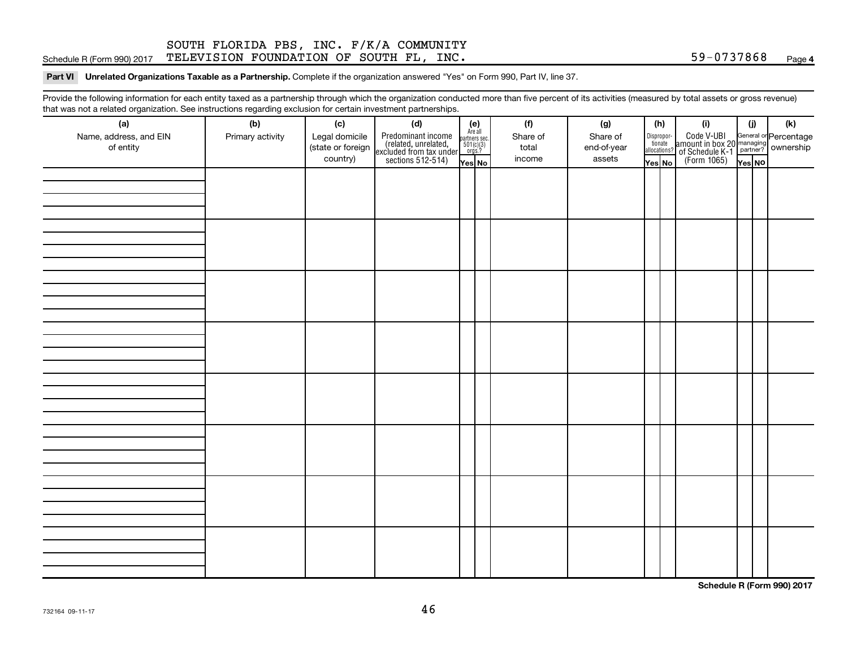#### Schedule R (Form 990) 2017  $\texttt{TELEXISION}$   $\texttt{FOUNDATION}$   $\texttt{OF}$   $\texttt{SOUTH}$   $\texttt{FL}$ ,  $\texttt{INC}$ .  $\texttt{S31}$   $\texttt{S41}$   $\texttt{S59}$   $\texttt{S737868}$   $\texttt{Page}$ SOUTH FLORIDA PBS, INC. F/K/A COMMUNITY

#### Part VI Unrelated Organizations Taxable as a Partnership. Complete if the organization answered "Yes" on Form 990, Part IV, line 37.

Provide the following information for each entity taxed as a partnership through which the organization conducted more than five percent of its activities (measured by total assets or gross revenue) that was not a related organization. See instructions regarding exclusion for certain investment partnerships.

| (a)<br>Name, address, and EIN<br>of entity | - - -<br>(b)<br>Primary activity | (c)<br>Legal domicile<br>(state or foreign<br>country) | . <b>.</b><br>(d)<br>Predominant income<br>(related, unrelated,<br>excluded from tax under<br>sections 512-514) | (e)<br>Are all<br>partners sec.<br>$501(c)(3)$<br>orgs.?<br>Yes No | (f)<br>Share of<br>total<br>income | (g)<br>Share of<br>end-of-year<br>assets | (h)<br>allocations? | Dispropor-<br>tionate<br>Yes No | (i)<br>Code V-UBI<br>amount in box 20 managing<br>of Schedule K-1<br>(Form 1065)<br>$\overline{Y}_{\text{res}}$ No | (i)<br>Yes NO | (k) |
|--------------------------------------------|----------------------------------|--------------------------------------------------------|-----------------------------------------------------------------------------------------------------------------|--------------------------------------------------------------------|------------------------------------|------------------------------------------|---------------------|---------------------------------|--------------------------------------------------------------------------------------------------------------------|---------------|-----|
|                                            |                                  |                                                        |                                                                                                                 |                                                                    |                                    |                                          |                     |                                 |                                                                                                                    |               |     |
|                                            |                                  |                                                        |                                                                                                                 |                                                                    |                                    |                                          |                     |                                 |                                                                                                                    |               |     |
|                                            |                                  |                                                        |                                                                                                                 |                                                                    |                                    |                                          |                     |                                 |                                                                                                                    |               |     |
|                                            |                                  |                                                        |                                                                                                                 |                                                                    |                                    |                                          |                     |                                 |                                                                                                                    |               |     |
|                                            |                                  |                                                        |                                                                                                                 |                                                                    |                                    |                                          |                     |                                 |                                                                                                                    |               |     |
|                                            |                                  |                                                        |                                                                                                                 |                                                                    |                                    |                                          |                     |                                 |                                                                                                                    |               |     |
|                                            |                                  |                                                        |                                                                                                                 |                                                                    |                                    |                                          |                     |                                 |                                                                                                                    |               |     |
|                                            |                                  |                                                        |                                                                                                                 |                                                                    |                                    |                                          |                     |                                 |                                                                                                                    |               |     |

**Schedule R (Form 990) 2017**